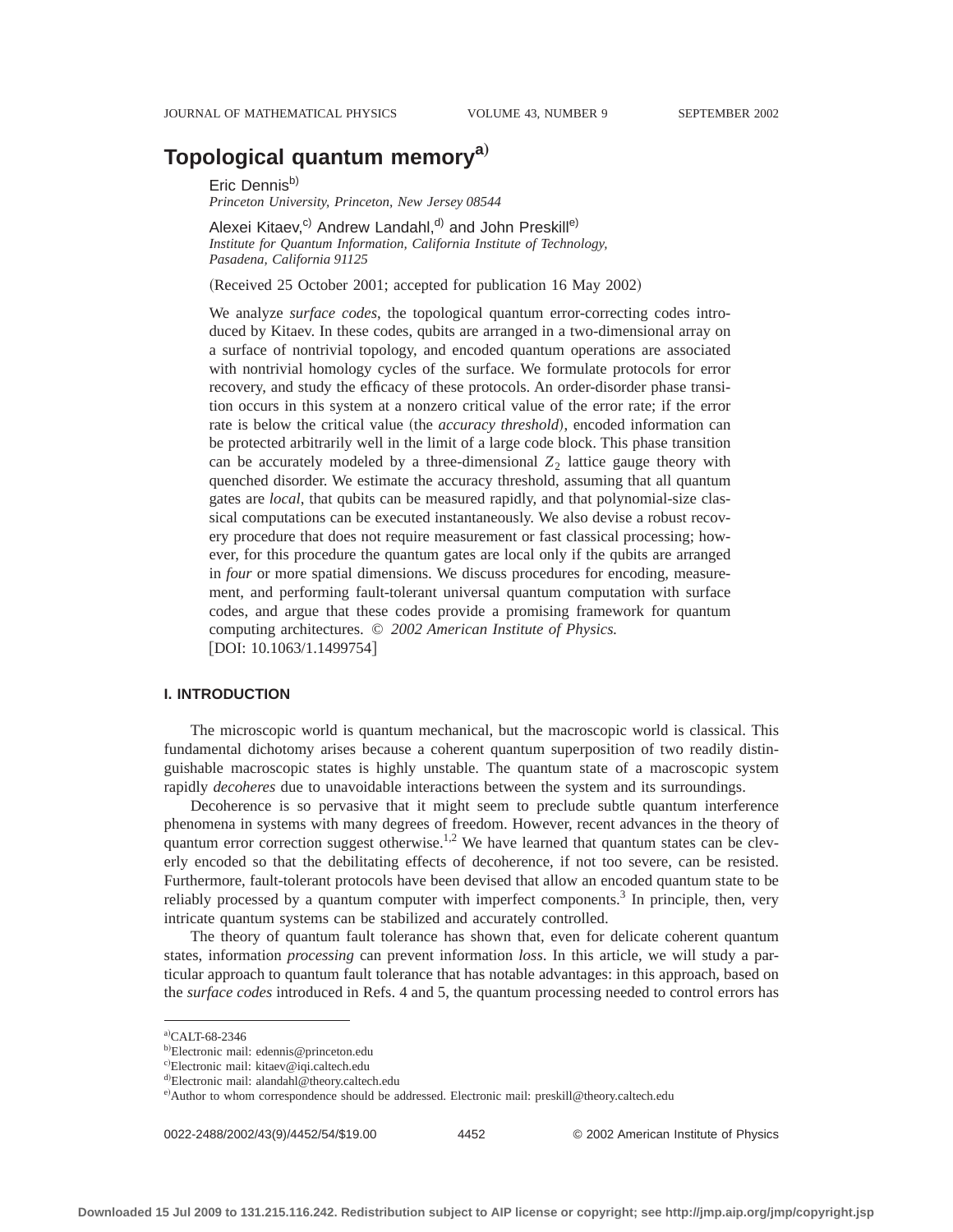# **Topological quantum memorya**…

Eric Dennisb)

*Princeton University, Princeton, New Jersey 08544*

Alexei Kitaev,<sup>c)</sup> Andrew Landahl,<sup>d)</sup> and John Preskill<sup>e)</sup> *Institute for Quantum Information, California Institute of Technology, Pasadena, California 91125*

(Received 25 October 2001; accepted for publication 16 May 2002)

We analyze *surface codes*, the topological quantum error-correcting codes introduced by Kitaev. In these codes, qubits are arranged in a two-dimensional array on a surface of nontrivial topology, and encoded quantum operations are associated with nontrivial homology cycles of the surface. We formulate protocols for error recovery, and study the efficacy of these protocols. An order-disorder phase transition occurs in this system at a nonzero critical value of the error rate; if the error rate is below the critical value (the *accuracy threshold*), encoded information can be protected arbitrarily well in the limit of a large code block. This phase transition can be accurately modeled by a three-dimensional  $Z_2$  lattice gauge theory with quenched disorder. We estimate the accuracy threshold, assuming that all quantum gates are *local*, that qubits can be measured rapidly, and that polynomial-size classical computations can be executed instantaneously. We also devise a robust recovery procedure that does not require measurement or fast classical processing; however, for this procedure the quantum gates are local only if the qubits are arranged in *four* or more spatial dimensions. We discuss procedures for encoding, measurement, and performing fault-tolerant universal quantum computation with surface codes, and argue that these codes provide a promising framework for quantum computing architectures. © *2002 American Institute of Physics.* [DOI: 10.1063/1.1499754]

## **I. INTRODUCTION**

The microscopic world is quantum mechanical, but the macroscopic world is classical. This fundamental dichotomy arises because a coherent quantum superposition of two readily distinguishable macroscopic states is highly unstable. The quantum state of a macroscopic system rapidly *decoheres* due to unavoidable interactions between the system and its surroundings.

Decoherence is so pervasive that it might seem to preclude subtle quantum interference phenomena in systems with many degrees of freedom. However, recent advances in the theory of quantum error correction suggest otherwise.<sup>1,2</sup> We have learned that quantum states can be cleverly encoded so that the debilitating effects of decoherence, if not too severe, can be resisted. Furthermore, fault-tolerant protocols have been devised that allow an encoded quantum state to be reliably processed by a quantum computer with imperfect components. $3$  In principle, then, very intricate quantum systems can be stabilized and accurately controlled.

The theory of quantum fault tolerance has shown that, even for delicate coherent quantum states, information *processing* can prevent information *loss*. In this article, we will study a particular approach to quantum fault tolerance that has notable advantages: in this approach, based on the *surface codes* introduced in Refs. 4 and 5, the quantum processing needed to control errors has

0022-2488/2002/43(9)/4452/54/\$19.00 4452 © 2002 American Institute of Physics

 $a)$ CALT-68-2346

<sup>&</sup>lt;sup>b)</sup>Electronic mail: edennis@princeton.edu

c)Electronic mail: kitaev@iqi.caltech.edu

d)Electronic mail: alandahl@theory.caltech.edu

e)Author to whom correspondence should be addressed. Electronic mail: preskill@theory.caltech.edu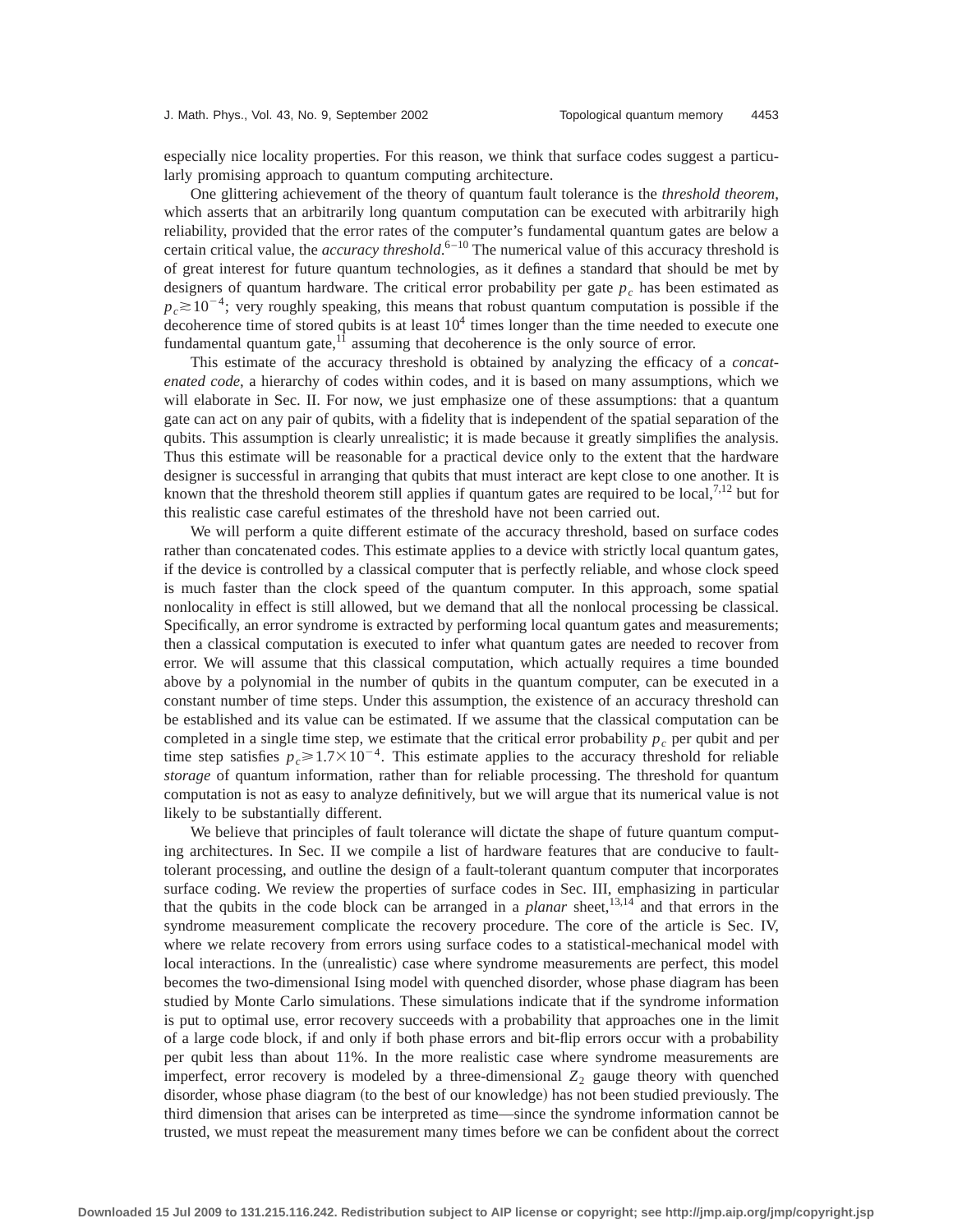especially nice locality properties. For this reason, we think that surface codes suggest a particularly promising approach to quantum computing architecture.

One glittering achievement of the theory of quantum fault tolerance is the *threshold theorem*, which asserts that an arbitrarily long quantum computation can be executed with arbitrarily high reliability, provided that the error rates of the computer's fundamental quantum gates are below a certain critical value, the *accuracy threshold*. 6–10 The numerical value of this accuracy threshold is of great interest for future quantum technologies, as it defines a standard that should be met by designers of quantum hardware. The critical error probability per gate  $p_c$  has been estimated as  $p_c \ge 10^{-4}$ ; very roughly speaking, this means that robust quantum computation is possible if the decoherence time of stored qubits is at least  $10<sup>4</sup>$  times longer than the time needed to execute one fundamental quantum gate, $^{11}$  assuming that decoherence is the only source of error.

This estimate of the accuracy threshold is obtained by analyzing the efficacy of a *concatenated code*, a hierarchy of codes within codes, and it is based on many assumptions, which we will elaborate in Sec. II. For now, we just emphasize one of these assumptions: that a quantum gate can act on any pair of qubits, with a fidelity that is independent of the spatial separation of the qubits. This assumption is clearly unrealistic; it is made because it greatly simplifies the analysis. Thus this estimate will be reasonable for a practical device only to the extent that the hardware designer is successful in arranging that qubits that must interact are kept close to one another. It is known that the threshold theorem still applies if quantum gates are required to be local, $7,12$  but for this realistic case careful estimates of the threshold have not been carried out.

We will perform a quite different estimate of the accuracy threshold, based on surface codes rather than concatenated codes. This estimate applies to a device with strictly local quantum gates, if the device is controlled by a classical computer that is perfectly reliable, and whose clock speed is much faster than the clock speed of the quantum computer. In this approach, some spatial nonlocality in effect is still allowed, but we demand that all the nonlocal processing be classical. Specifically, an error syndrome is extracted by performing local quantum gates and measurements; then a classical computation is executed to infer what quantum gates are needed to recover from error. We will assume that this classical computation, which actually requires a time bounded above by a polynomial in the number of qubits in the quantum computer, can be executed in a constant number of time steps. Under this assumption, the existence of an accuracy threshold can be established and its value can be estimated. If we assume that the classical computation can be completed in a single time step, we estimate that the critical error probability  $p_c$  per qubit and per time step satisfies  $p_c \ge 1.7 \times 10^{-4}$ . This estimate applies to the accuracy threshold for reliable *storage* of quantum information, rather than for reliable processing. The threshold for quantum computation is not as easy to analyze definitively, but we will argue that its numerical value is not likely to be substantially different.

We believe that principles of fault tolerance will dictate the shape of future quantum computing architectures. In Sec. II we compile a list of hardware features that are conducive to faulttolerant processing, and outline the design of a fault-tolerant quantum computer that incorporates surface coding. We review the properties of surface codes in Sec. III, emphasizing in particular that the qubits in the code block can be arranged in a *planar* sheet,<sup>13,14</sup> and that errors in the syndrome measurement complicate the recovery procedure. The core of the article is Sec. IV, where we relate recovery from errors using surface codes to a statistical-mechanical model with local interactions. In the (unrealistic) case where syndrome measurements are perfect, this model becomes the two-dimensional Ising model with quenched disorder, whose phase diagram has been studied by Monte Carlo simulations. These simulations indicate that if the syndrome information is put to optimal use, error recovery succeeds with a probability that approaches one in the limit of a large code block, if and only if both phase errors and bit-flip errors occur with a probability per qubit less than about 11%. In the more realistic case where syndrome measurements are imperfect, error recovery is modeled by a three-dimensional  $Z_2$  gauge theory with quenched disorder, whose phase diagram (to the best of our knowledge) has not been studied previously. The third dimension that arises can be interpreted as time—since the syndrome information cannot be trusted, we must repeat the measurement many times before we can be confident about the correct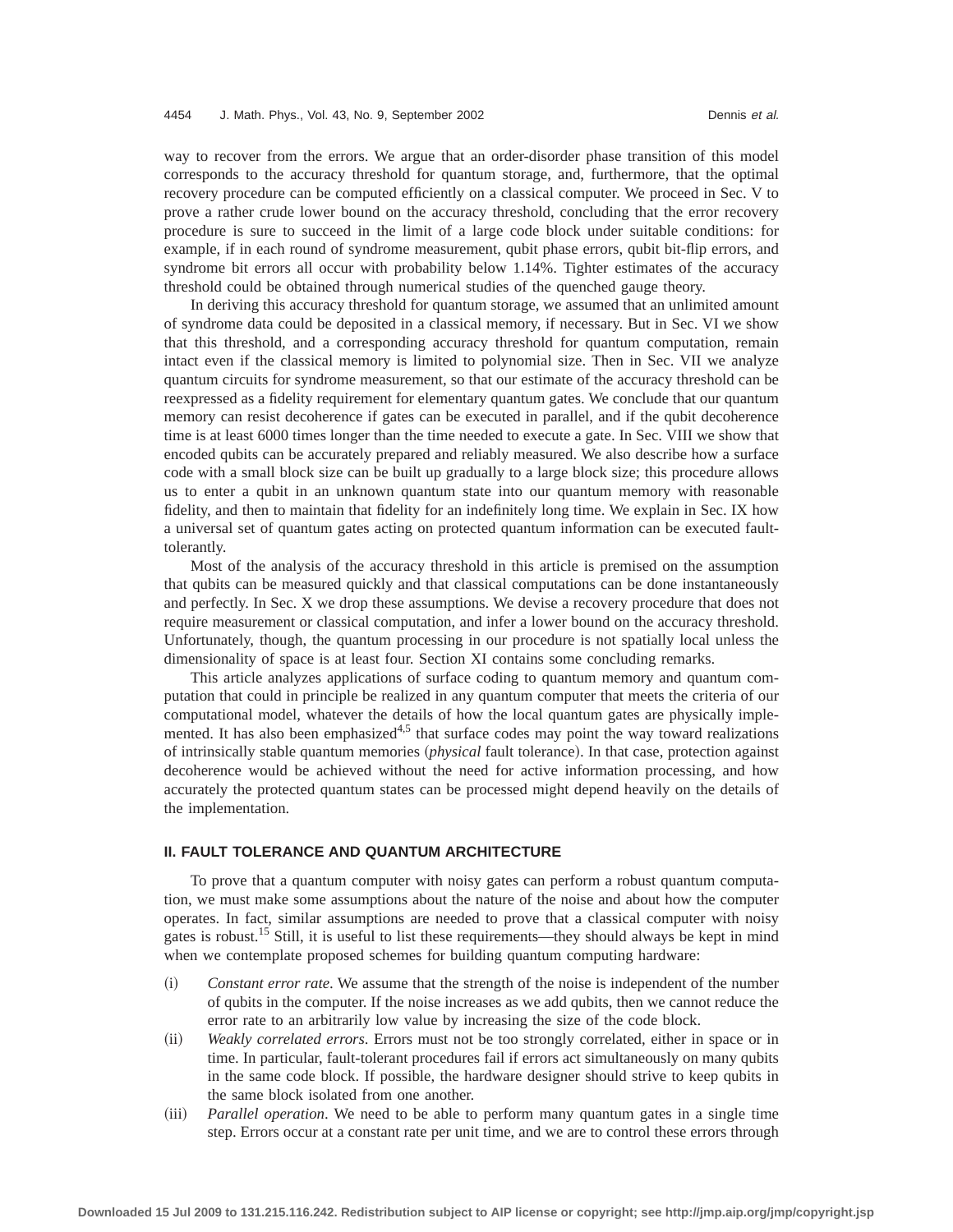way to recover from the errors. We argue that an order-disorder phase transition of this model corresponds to the accuracy threshold for quantum storage, and, furthermore, that the optimal recovery procedure can be computed efficiently on a classical computer. We proceed in Sec. V to prove a rather crude lower bound on the accuracy threshold, concluding that the error recovery procedure is sure to succeed in the limit of a large code block under suitable conditions: for example, if in each round of syndrome measurement, qubit phase errors, qubit bit-flip errors, and syndrome bit errors all occur with probability below 1.14%. Tighter estimates of the accuracy threshold could be obtained through numerical studies of the quenched gauge theory.

In deriving this accuracy threshold for quantum storage, we assumed that an unlimited amount of syndrome data could be deposited in a classical memory, if necessary. But in Sec. VI we show that this threshold, and a corresponding accuracy threshold for quantum computation, remain intact even if the classical memory is limited to polynomial size. Then in Sec. VII we analyze quantum circuits for syndrome measurement, so that our estimate of the accuracy threshold can be reexpressed as a fidelity requirement for elementary quantum gates. We conclude that our quantum memory can resist decoherence if gates can be executed in parallel, and if the qubit decoherence time is at least 6000 times longer than the time needed to execute a gate. In Sec. VIII we show that encoded qubits can be accurately prepared and reliably measured. We also describe how a surface code with a small block size can be built up gradually to a large block size; this procedure allows us to enter a qubit in an unknown quantum state into our quantum memory with reasonable fidelity, and then to maintain that fidelity for an indefinitely long time. We explain in Sec. IX how a universal set of quantum gates acting on protected quantum information can be executed faulttolerantly.

Most of the analysis of the accuracy threshold in this article is premised on the assumption that qubits can be measured quickly and that classical computations can be done instantaneously and perfectly. In Sec. X we drop these assumptions. We devise a recovery procedure that does not require measurement or classical computation, and infer a lower bound on the accuracy threshold. Unfortunately, though, the quantum processing in our procedure is not spatially local unless the dimensionality of space is at least four. Section XI contains some concluding remarks.

This article analyzes applications of surface coding to quantum memory and quantum computation that could in principle be realized in any quantum computer that meets the criteria of our computational model, whatever the details of how the local quantum gates are physically implemented. It has also been emphasized<sup>4,5</sup> that surface codes may point the way toward realizations of intrinsically stable quantum memories (*physical* fault tolerance). In that case, protection against decoherence would be achieved without the need for active information processing, and how accurately the protected quantum states can be processed might depend heavily on the details of the implementation.

## **II. FAULT TOLERANCE AND QUANTUM ARCHITECTURE**

To prove that a quantum computer with noisy gates can perform a robust quantum computation, we must make some assumptions about the nature of the noise and about how the computer operates. In fact, similar assumptions are needed to prove that a classical computer with noisy gates is robust.15 Still, it is useful to list these requirements—they should always be kept in mind when we contemplate proposed schemes for building quantum computing hardware:

- ~i! *Constant error rate*. We assume that the strength of the noise is independent of the number of qubits in the computer. If the noise increases as we add qubits, then we cannot reduce the error rate to an arbitrarily low value by increasing the size of the code block.
- $(iii)$  *Weakly correlated errors*. Errors must not be too strongly correlated, either in space or in time. In particular, fault-tolerant procedures fail if errors act simultaneously on many qubits in the same code block. If possible, the hardware designer should strive to keep qubits in the same block isolated from one another.
- ~iii! *Parallel operation*. We need to be able to perform many quantum gates in a single time step. Errors occur at a constant rate per unit time, and we are to control these errors through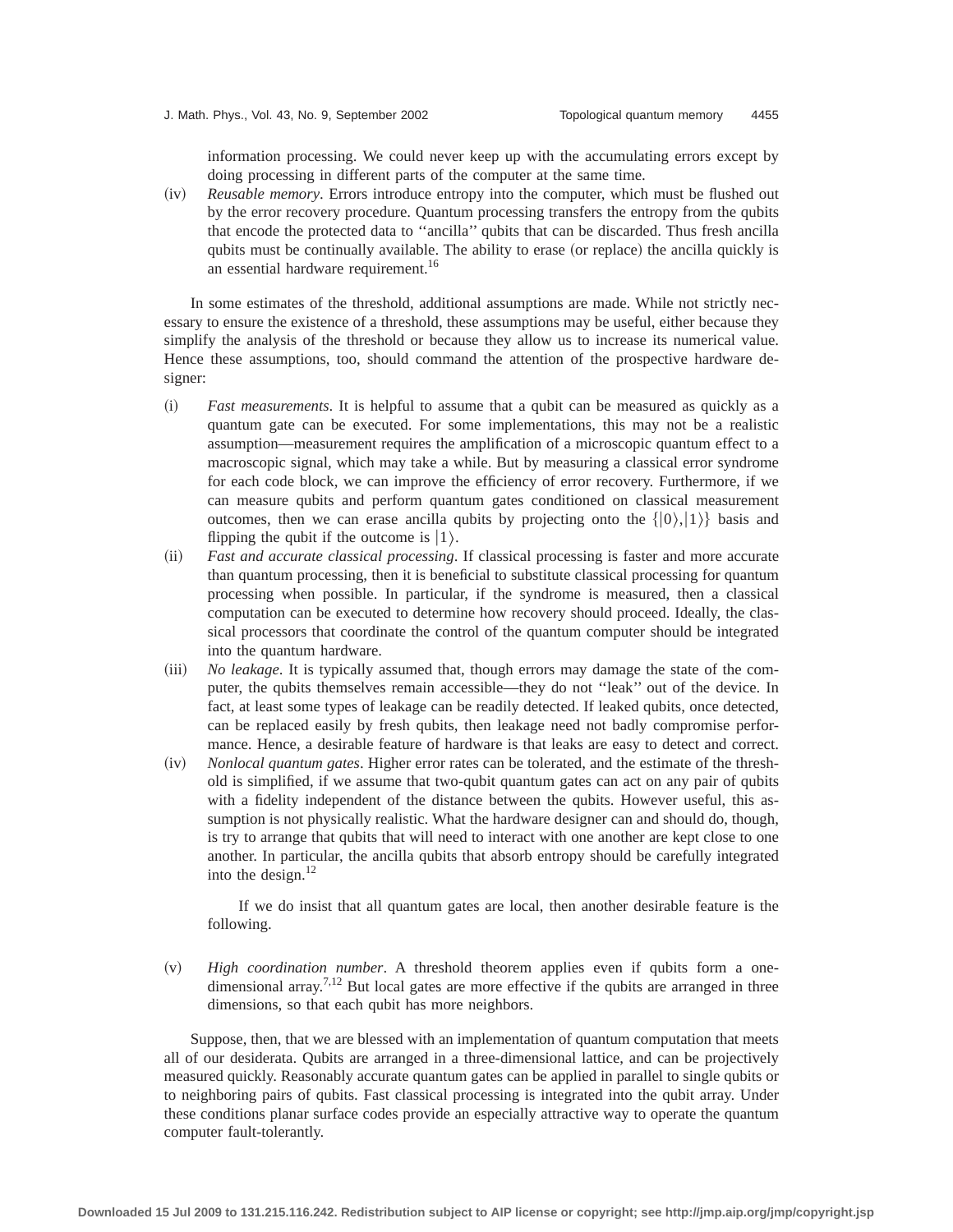information processing. We could never keep up with the accumulating errors except by doing processing in different parts of the computer at the same time.

(iv) *Reusable memory*. Errors introduce entropy into the computer, which must be flushed out by the error recovery procedure. Quantum processing transfers the entropy from the qubits that encode the protected data to ''ancilla'' qubits that can be discarded. Thus fresh ancilla qubits must be continually available. The ability to erase (or replace) the ancilla quickly is an essential hardware requirement.<sup>16</sup>

In some estimates of the threshold, additional assumptions are made. While not strictly necessary to ensure the existence of a threshold, these assumptions may be useful, either because they simplify the analysis of the threshold or because they allow us to increase its numerical value. Hence these assumptions, too, should command the attention of the prospective hardware designer:

- ~i! *Fast measurements*. It is helpful to assume that a qubit can be measured as quickly as a quantum gate can be executed. For some implementations, this may not be a realistic assumption—measurement requires the amplification of a microscopic quantum effect to a macroscopic signal, which may take a while. But by measuring a classical error syndrome for each code block, we can improve the efficiency of error recovery. Furthermore, if we can measure qubits and perform quantum gates conditioned on classical measurement outcomes, then we can erase ancilla qubits by projecting onto the  $\{|0\rangle, |1\rangle\}$  basis and flipping the qubit if the outcome is  $|1\rangle$ .
- ~ii! *Fast and accurate classical processing*. If classical processing is faster and more accurate than quantum processing, then it is beneficial to substitute classical processing for quantum processing when possible. In particular, if the syndrome is measured, then a classical computation can be executed to determine how recovery should proceed. Ideally, the classical processors that coordinate the control of the quantum computer should be integrated into the quantum hardware.
- (iii) *No leakage*. It is typically assumed that, though errors may damage the state of the computer, the qubits themselves remain accessible—they do not ''leak'' out of the device. In fact, at least some types of leakage can be readily detected. If leaked qubits, once detected, can be replaced easily by fresh qubits, then leakage need not badly compromise performance. Hence, a desirable feature of hardware is that leaks are easy to detect and correct.
- ~iv! *Nonlocal quantum gates*. Higher error rates can be tolerated, and the estimate of the threshold is simplified, if we assume that two-qubit quantum gates can act on any pair of qubits with a fidelity independent of the distance between the qubits. However useful, this assumption is not physically realistic. What the hardware designer can and should do, though, is try to arrange that qubits that will need to interact with one another are kept close to one another. In particular, the ancilla qubits that absorb entropy should be carefully integrated into the design. $^{12}$

If we do insist that all quantum gates are local, then another desirable feature is the following.

(v) *High coordination number*. A threshold theorem applies even if qubits form a onedimensional array.<sup>7,12</sup> But local gates are more effective if the qubits are arranged in three dimensions, so that each qubit has more neighbors.

Suppose, then, that we are blessed with an implementation of quantum computation that meets all of our desiderata. Qubits are arranged in a three-dimensional lattice, and can be projectively measured quickly. Reasonably accurate quantum gates can be applied in parallel to single qubits or to neighboring pairs of qubits. Fast classical processing is integrated into the qubit array. Under these conditions planar surface codes provide an especially attractive way to operate the quantum computer fault-tolerantly.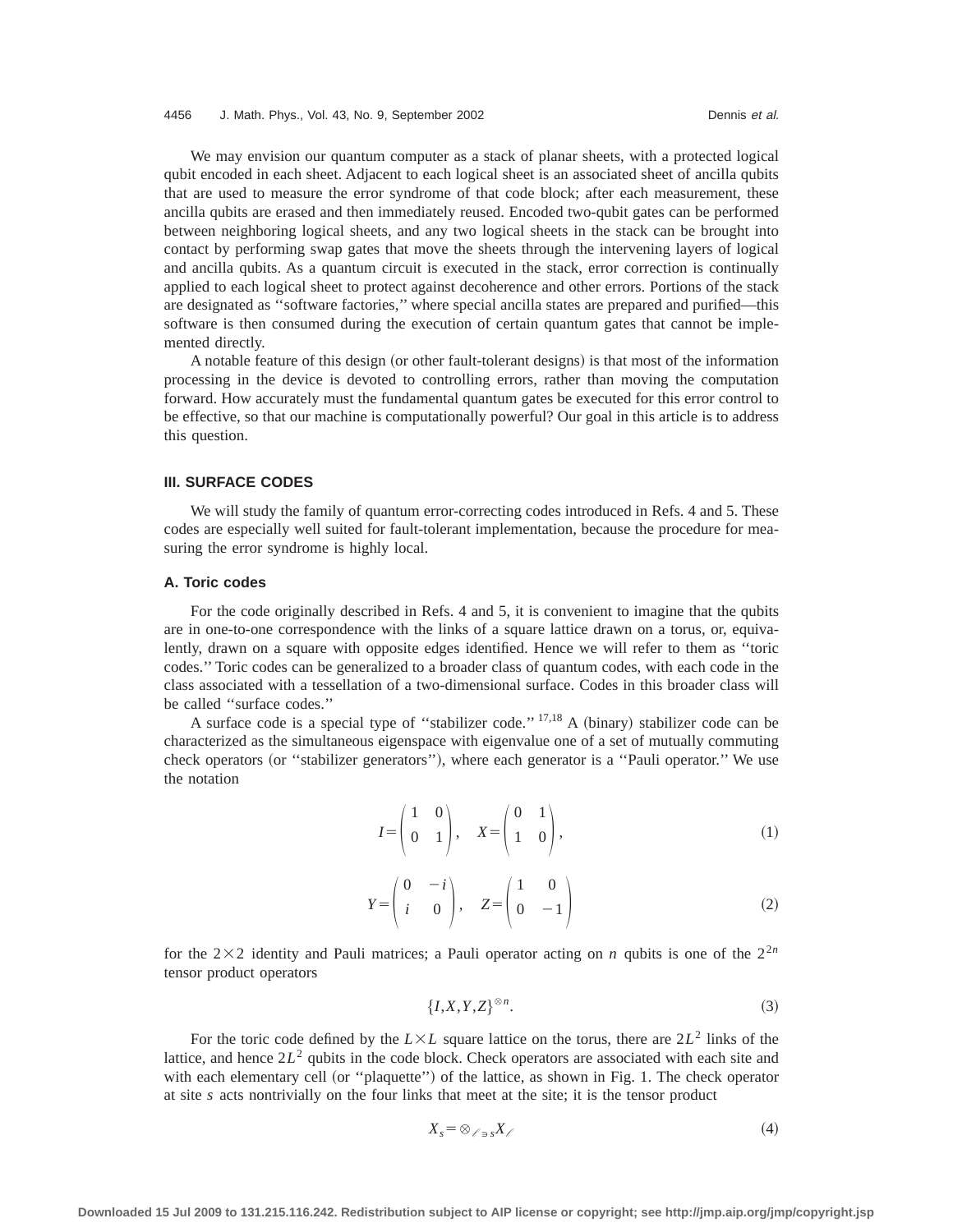We may envision our quantum computer as a stack of planar sheets, with a protected logical qubit encoded in each sheet. Adjacent to each logical sheet is an associated sheet of ancilla qubits that are used to measure the error syndrome of that code block; after each measurement, these ancilla qubits are erased and then immediately reused. Encoded two-qubit gates can be performed between neighboring logical sheets, and any two logical sheets in the stack can be brought into contact by performing swap gates that move the sheets through the intervening layers of logical and ancilla qubits. As a quantum circuit is executed in the stack, error correction is continually applied to each logical sheet to protect against decoherence and other errors. Portions of the stack are designated as ''software factories,'' where special ancilla states are prepared and purified—this software is then consumed during the execution of certain quantum gates that cannot be implemented directly.

A notable feature of this design (or other fault-tolerant designs) is that most of the information processing in the device is devoted to controlling errors, rather than moving the computation forward. How accurately must the fundamental quantum gates be executed for this error control to be effective, so that our machine is computationally powerful? Our goal in this article is to address this question.

## **III. SURFACE CODES**

We will study the family of quantum error-correcting codes introduced in Refs. 4 and 5. These codes are especially well suited for fault-tolerant implementation, because the procedure for measuring the error syndrome is highly local.

## **A. Toric codes**

For the code originally described in Refs. 4 and 5, it is convenient to imagine that the qubits are in one-to-one correspondence with the links of a square lattice drawn on a torus, or, equivalently, drawn on a square with opposite edges identified. Hence we will refer to them as ''toric codes.'' Toric codes can be generalized to a broader class of quantum codes, with each code in the class associated with a tessellation of a two-dimensional surface. Codes in this broader class will be called ''surface codes.''

A surface code is a special type of "stabilizer code."  $17,18$  A (binary) stabilizer code can be characterized as the simultaneous eigenspace with eigenvalue one of a set of mutually commuting check operators (or "stabilizer generators"), where each generator is a "Pauli operator." We use the notation

$$
I = \begin{pmatrix} 1 & 0 \\ 0 & 1 \end{pmatrix}, \quad X = \begin{pmatrix} 0 & 1 \\ 1 & 0 \end{pmatrix}, \tag{1}
$$

$$
Y = \begin{pmatrix} 0 & -i \\ i & 0 \end{pmatrix}, \quad Z = \begin{pmatrix} 1 & 0 \\ 0 & -1 \end{pmatrix}
$$
 (2)

for the  $2\times2$  identity and Pauli matrices; a Pauli operator acting on *n* qubits is one of the  $2^{2n}$ tensor product operators

$$
\{I, X, Y, Z\}^{\otimes n}.\tag{3}
$$

For the toric code defined by the  $L\times L$  square lattice on the torus, there are  $2L^2$  links of the lattice, and hence  $2L^2$  qubits in the code block. Check operators are associated with each site and with each elementary cell (or "plaquette") of the lattice, as shown in Fig. 1. The check operator at site *s* acts nontrivially on the four links that meet at the site; it is the tensor product

$$
X_s = \otimes_{\ell \ni s} X_{\ell} \tag{4}
$$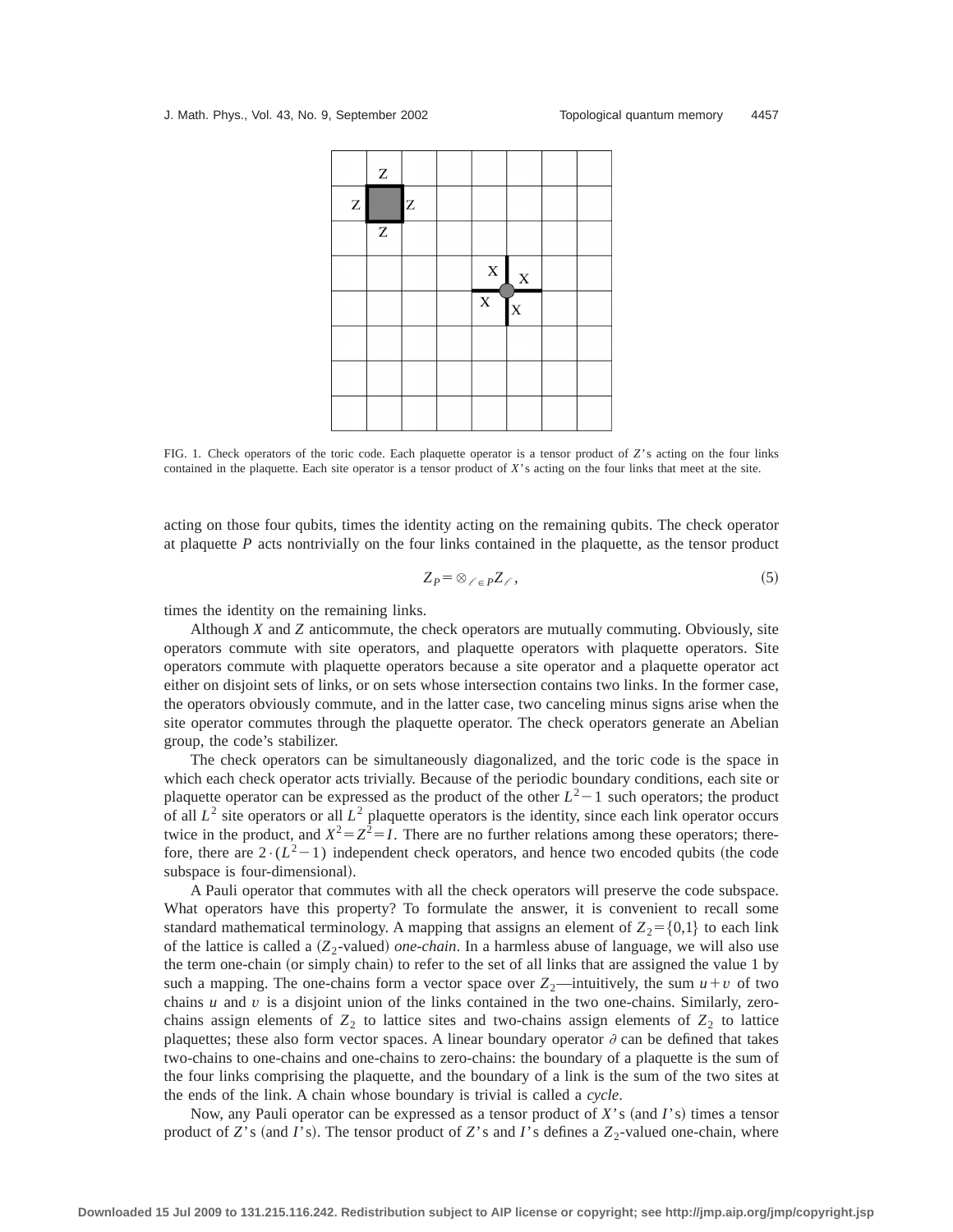

FIG. 1. Check operators of the toric code. Each plaquette operator is a tensor product of *Z*'s acting on the four links contained in the plaquette. Each site operator is a tensor product of *X*'s acting on the four links that meet at the site.

acting on those four qubits, times the identity acting on the remaining qubits. The check operator at plaquette *P* acts nontrivially on the four links contained in the plaquette, as the tensor product

$$
Z_P = \otimes_{\ell \in P} Z_{\ell},\tag{5}
$$

times the identity on the remaining links.

Although *X* and *Z* anticommute, the check operators are mutually commuting. Obviously, site operators commute with site operators, and plaquette operators with plaquette operators. Site operators commute with plaquette operators because a site operator and a plaquette operator act either on disjoint sets of links, or on sets whose intersection contains two links. In the former case, the operators obviously commute, and in the latter case, two canceling minus signs arise when the site operator commutes through the plaquette operator. The check operators generate an Abelian group, the code's stabilizer.

The check operators can be simultaneously diagonalized, and the toric code is the space in which each check operator acts trivially. Because of the periodic boundary conditions, each site or plaquette operator can be expressed as the product of the other  $L^2-1$  such operators; the product of all  $L^2$  site operators or all  $L^2$  plaquette operators is the identity, since each link operator occurs twice in the product, and  $X^2 = Z^2 = I$ . There are no further relations among these operators; therefore, there are  $2 \cdot (L^2-1)$  independent check operators, and hence two encoded qubits (the code subspace is four-dimensional).

A Pauli operator that commutes with all the check operators will preserve the code subspace. What operators have this property? To formulate the answer, it is convenient to recall some standard mathematical terminology. A mapping that assigns an element of  $Z_2 = \{0,1\}$  to each link of the lattice is called a  $(Z_2$ -valued) *one-chain*. In a harmless abuse of language, we will also use the term one-chain (or simply chain) to refer to the set of all links that are assigned the value 1 by such a mapping. The one-chains form a vector space over  $Z_2$ —intuitively, the sum  $u + v$  of two chains  $u$  and  $v$  is a disjoint union of the links contained in the two one-chains. Similarly, zerochains assign elements of  $Z_2$  to lattice sites and two-chains assign elements of  $Z_2$  to lattice plaquettes; these also form vector spaces. A linear boundary operator  $\partial$  can be defined that takes two-chains to one-chains and one-chains to zero-chains: the boundary of a plaquette is the sum of the four links comprising the plaquette, and the boundary of a link is the sum of the two sites at the ends of the link. A chain whose boundary is trivial is called a *cycle*.

Now, any Pauli operator can be expressed as a tensor product of *X*'s (and *I*'s) times a tensor product of *Z*'s (and *I*'s). The tensor product of *Z*'s and *I*'s defines a  $Z_2$ -valued one-chain, where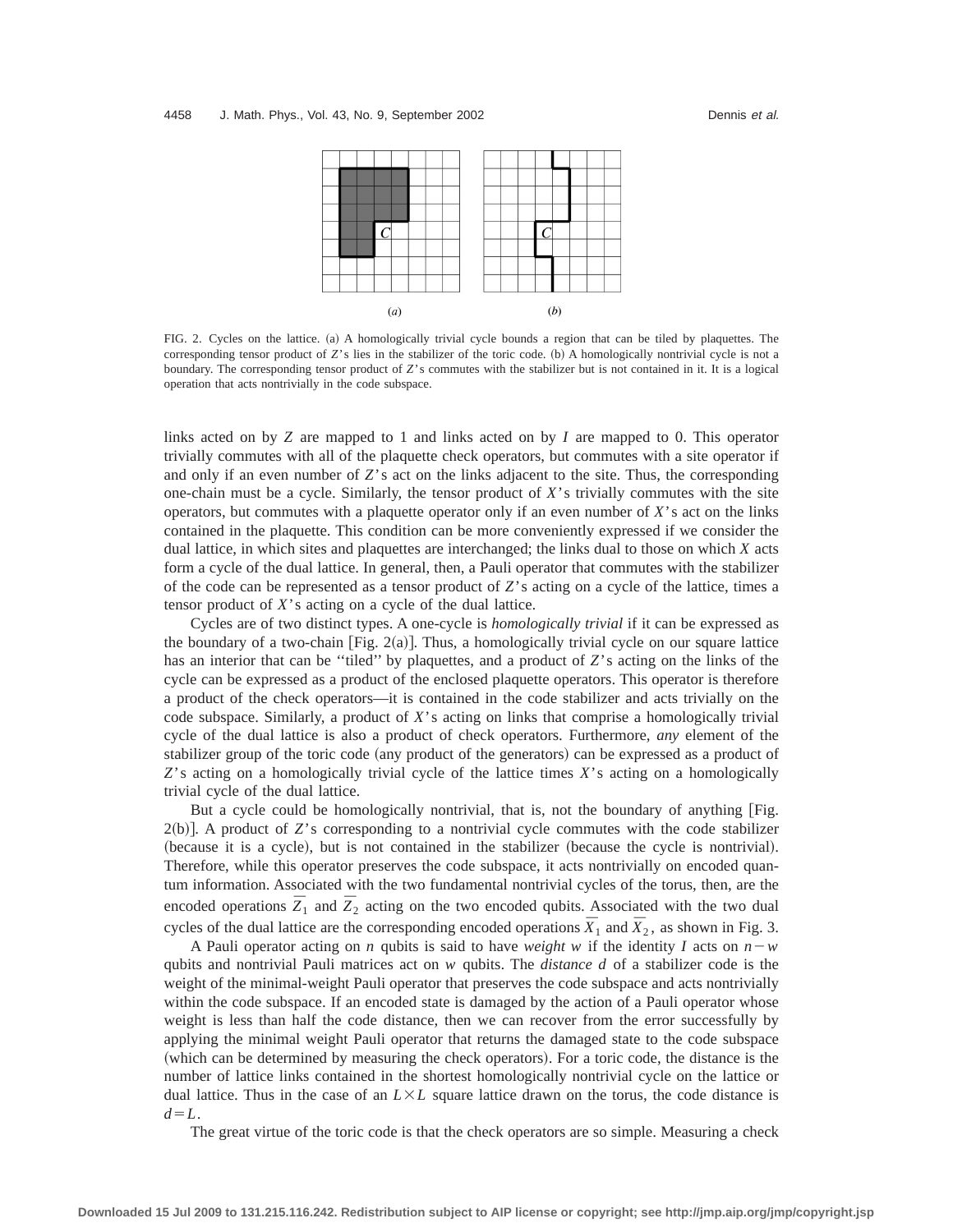

FIG. 2. Cycles on the lattice. (a) A homologically trivial cycle bounds a region that can be tiled by plaquettes. The corresponding tensor product of *Z*'s lies in the stabilizer of the toric code. (b) A homologically nontrivial cycle is not a boundary. The corresponding tensor product of *Z*'s commutes with the stabilizer but is not contained in it. It is a logical operation that acts nontrivially in the code subspace.

links acted on by *Z* are mapped to 1 and links acted on by *I* are mapped to 0. This operator trivially commutes with all of the plaquette check operators, but commutes with a site operator if and only if an even number of  $Z$ 's act on the links adjacent to the site. Thus, the corresponding one-chain must be a cycle. Similarly, the tensor product of *X*'s trivially commutes with the site operators, but commutes with a plaquette operator only if an even number of *X*'s act on the links contained in the plaquette. This condition can be more conveniently expressed if we consider the dual lattice, in which sites and plaquettes are interchanged; the links dual to those on which *X* acts form a cycle of the dual lattice. In general, then, a Pauli operator that commutes with the stabilizer of the code can be represented as a tensor product of *Z*'s acting on a cycle of the lattice, times a tensor product of *X*'s acting on a cycle of the dual lattice.

Cycles are of two distinct types. A one-cycle is *homologically trivial* if it can be expressed as the boundary of a two-chain  $[Fig. 2(a)]$ . Thus, a homologically trivial cycle on our square lattice has an interior that can be ''tiled'' by plaquettes, and a product of *Z*'s acting on the links of the cycle can be expressed as a product of the enclosed plaquette operators. This operator is therefore a product of the check operators—it is contained in the code stabilizer and acts trivially on the code subspace. Similarly, a product of *X*'s acting on links that comprise a homologically trivial cycle of the dual lattice is also a product of check operators. Furthermore, *any* element of the stabilizer group of the toric code (any product of the generators) can be expressed as a product of *Z*'s acting on a homologically trivial cycle of the lattice times *X*'s acting on a homologically trivial cycle of the dual lattice.

But a cycle could be homologically nontrivial, that is, not the boundary of anything [Fig. 2(b)]. A product of *Z*'s corresponding to a nontrivial cycle commutes with the code stabilizer (because it is a cycle), but is not contained in the stabilizer (because the cycle is nontrivial). Therefore, while this operator preserves the code subspace, it acts nontrivially on encoded quantum information. Associated with the two fundamental nontrivial cycles of the torus, then, are the encoded operations  $\overline{Z}_1$  and  $\overline{Z}_2$  acting on the two encoded qubits. Associated with the two dual cycles of the dual lattice are the corresponding encoded operations  $\bar{X}_1$  and  $\bar{X}_2$ , as shown in Fig. 3.

A Pauli operator acting on *n* qubits is said to have *weight* w if the identity *I* acts on  $n-w$ qubits and nontrivial Pauli matrices act on *w* qubits. The *distance d* of a stabilizer code is the weight of the minimal-weight Pauli operator that preserves the code subspace and acts nontrivially within the code subspace. If an encoded state is damaged by the action of a Pauli operator whose weight is less than half the code distance, then we can recover from the error successfully by applying the minimal weight Pauli operator that returns the damaged state to the code subspace (which can be determined by measuring the check operators). For a toric code, the distance is the number of lattice links contained in the shortest homologically nontrivial cycle on the lattice or dual lattice. Thus in the case of an  $L \times L$  square lattice drawn on the torus, the code distance is  $d=L$ .

The great virtue of the toric code is that the check operators are so simple. Measuring a check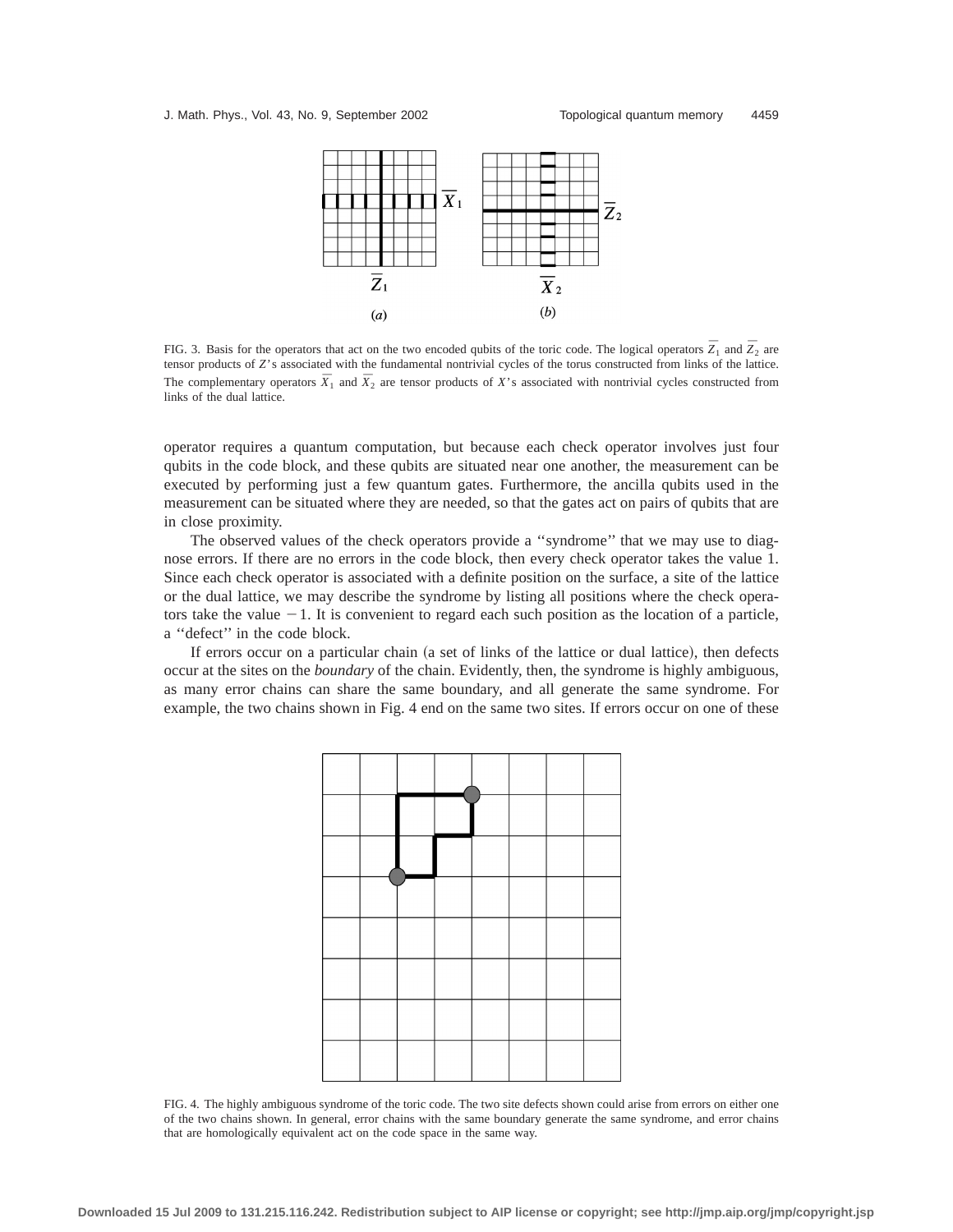

FIG. 3. Basis for the operators that act on the two encoded qubits of the toric code. The logical operators  $\bar{Z}_1$  and  $\bar{Z}_2$  are tensor products of *Z*'s associated with the fundamental nontrivial cycles of the torus constructed from links of the lattice. The complementary operators  $\bar{X}_1$  and  $\bar{X}_2$  are tensor products of *X*'s associated with nontrivial cycles constructed from links of the dual lattice.

operator requires a quantum computation, but because each check operator involves just four qubits in the code block, and these qubits are situated near one another, the measurement can be executed by performing just a few quantum gates. Furthermore, the ancilla qubits used in the measurement can be situated where they are needed, so that the gates act on pairs of qubits that are in close proximity.

The observed values of the check operators provide a ''syndrome'' that we may use to diagnose errors. If there are no errors in the code block, then every check operator takes the value 1. Since each check operator is associated with a definite position on the surface, a site of the lattice or the dual lattice, we may describe the syndrome by listing all positions where the check operators take the value  $-1$ . It is convenient to regard each such position as the location of a particle, a ''defect'' in the code block.

If errors occur on a particular chain (a set of links of the lattice or dual lattice), then defects occur at the sites on the *boundary* of the chain. Evidently, then, the syndrome is highly ambiguous, as many error chains can share the same boundary, and all generate the same syndrome. For example, the two chains shown in Fig. 4 end on the same two sites. If errors occur on one of these



FIG. 4. The highly ambiguous syndrome of the toric code. The two site defects shown could arise from errors on either one of the two chains shown. In general, error chains with the same boundary generate the same syndrome, and error chains that are homologically equivalent act on the code space in the same way.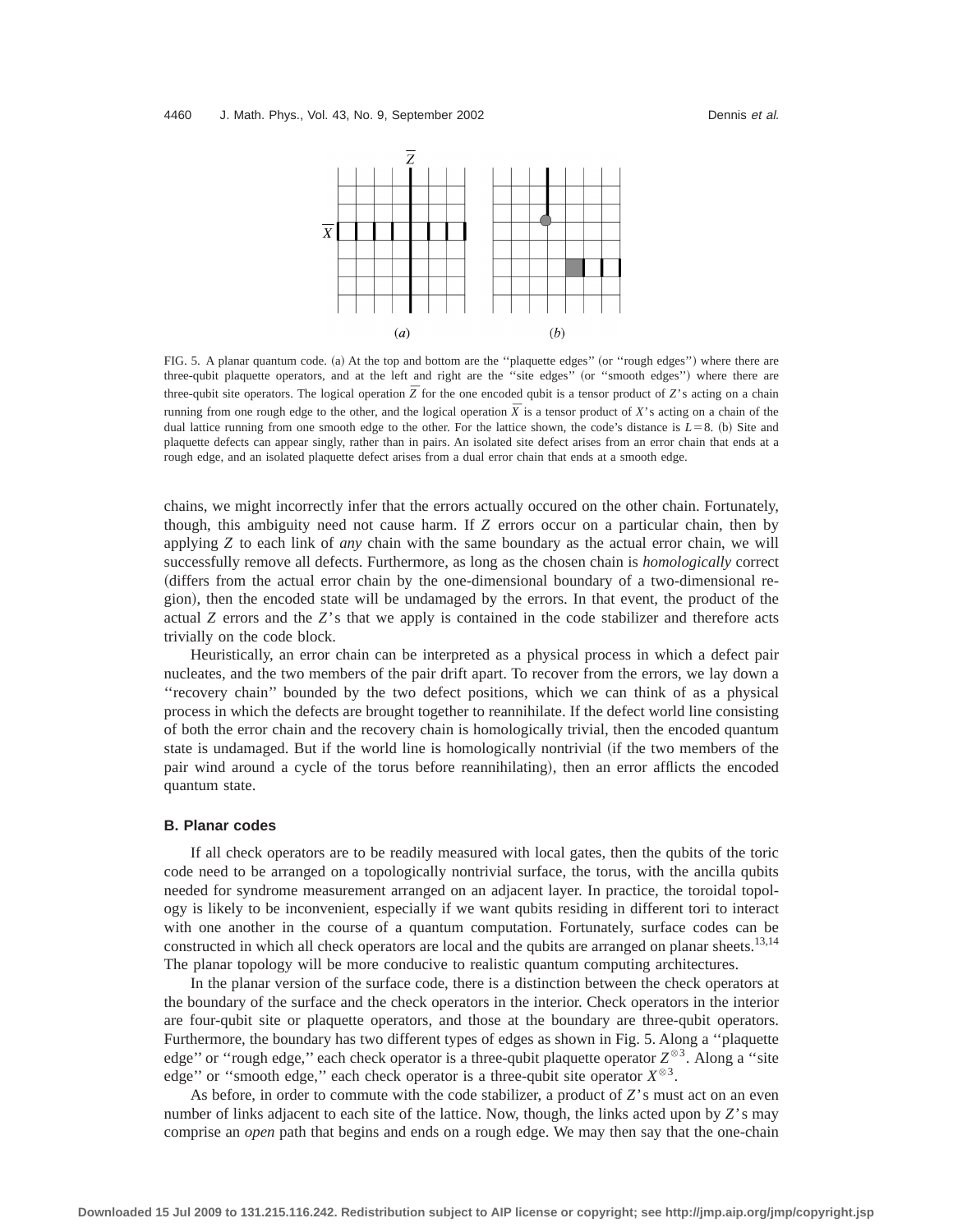

FIG. 5. A planar quantum code. (a) At the top and bottom are the "plaquette edges" (or "rough edges") where there are three-qubit plaquette operators, and at the left and right are the "site edges" (or "smooth edges") where there are three-qubit site operators. The logical operation  $\overline{Z}$  for the one encoded qubit is a tensor product of *Z*'s acting on a chain running from one rough edge to the other, and the logical operation  $\bar{X}$  is a tensor product of *X*'s acting on a chain of the dual lattice running from one smooth edge to the other. For the lattice shown, the code's distance is  $L=8$ . (b) Site and plaquette defects can appear singly, rather than in pairs. An isolated site defect arises from an error chain that ends at a rough edge, and an isolated plaquette defect arises from a dual error chain that ends at a smooth edge.

chains, we might incorrectly infer that the errors actually occured on the other chain. Fortunately, though, this ambiguity need not cause harm. If *Z* errors occur on a particular chain, then by applying *Z* to each link of *any* chain with the same boundary as the actual error chain, we will successfully remove all defects. Furthermore, as long as the chosen chain is *homologically* correct ~differs from the actual error chain by the one-dimensional boundary of a two-dimensional region), then the encoded state will be undamaged by the errors. In that event, the product of the actual *Z* errors and the *Z*'s that we apply is contained in the code stabilizer and therefore acts trivially on the code block.

Heuristically, an error chain can be interpreted as a physical process in which a defect pair nucleates, and the two members of the pair drift apart. To recover from the errors, we lay down a ''recovery chain'' bounded by the two defect positions, which we can think of as a physical process in which the defects are brought together to reannihilate. If the defect world line consisting of both the error chain and the recovery chain is homologically trivial, then the encoded quantum state is undamaged. But if the world line is homologically nontrivial (if the two members of the pair wind around a cycle of the torus before reannihilating), then an error afflicts the encoded quantum state.

## **B. Planar codes**

If all check operators are to be readily measured with local gates, then the qubits of the toric code need to be arranged on a topologically nontrivial surface, the torus, with the ancilla qubits needed for syndrome measurement arranged on an adjacent layer. In practice, the toroidal topology is likely to be inconvenient, especially if we want qubits residing in different tori to interact with one another in the course of a quantum computation. Fortunately, surface codes can be constructed in which all check operators are local and the qubits are arranged on planar sheets.<sup>13,14</sup> The planar topology will be more conducive to realistic quantum computing architectures.

In the planar version of the surface code, there is a distinction between the check operators at the boundary of the surface and the check operators in the interior. Check operators in the interior are four-qubit site or plaquette operators, and those at the boundary are three-qubit operators. Furthermore, the boundary has two different types of edges as shown in Fig. 5. Along a ''plaquette edge" or "rough edge," each check operator is a three-qubit plaquette operator  $Z^{\otimes 3}$ . Along a "site edge" or "smooth edge," each check operator is a three-qubit site operator  $X^{\otimes 3}$ .

As before, in order to commute with the code stabilizer, a product of *Z*'s must act on an even number of links adjacent to each site of the lattice. Now, though, the links acted upon by *Z*'s may comprise an *open* path that begins and ends on a rough edge. We may then say that the one-chain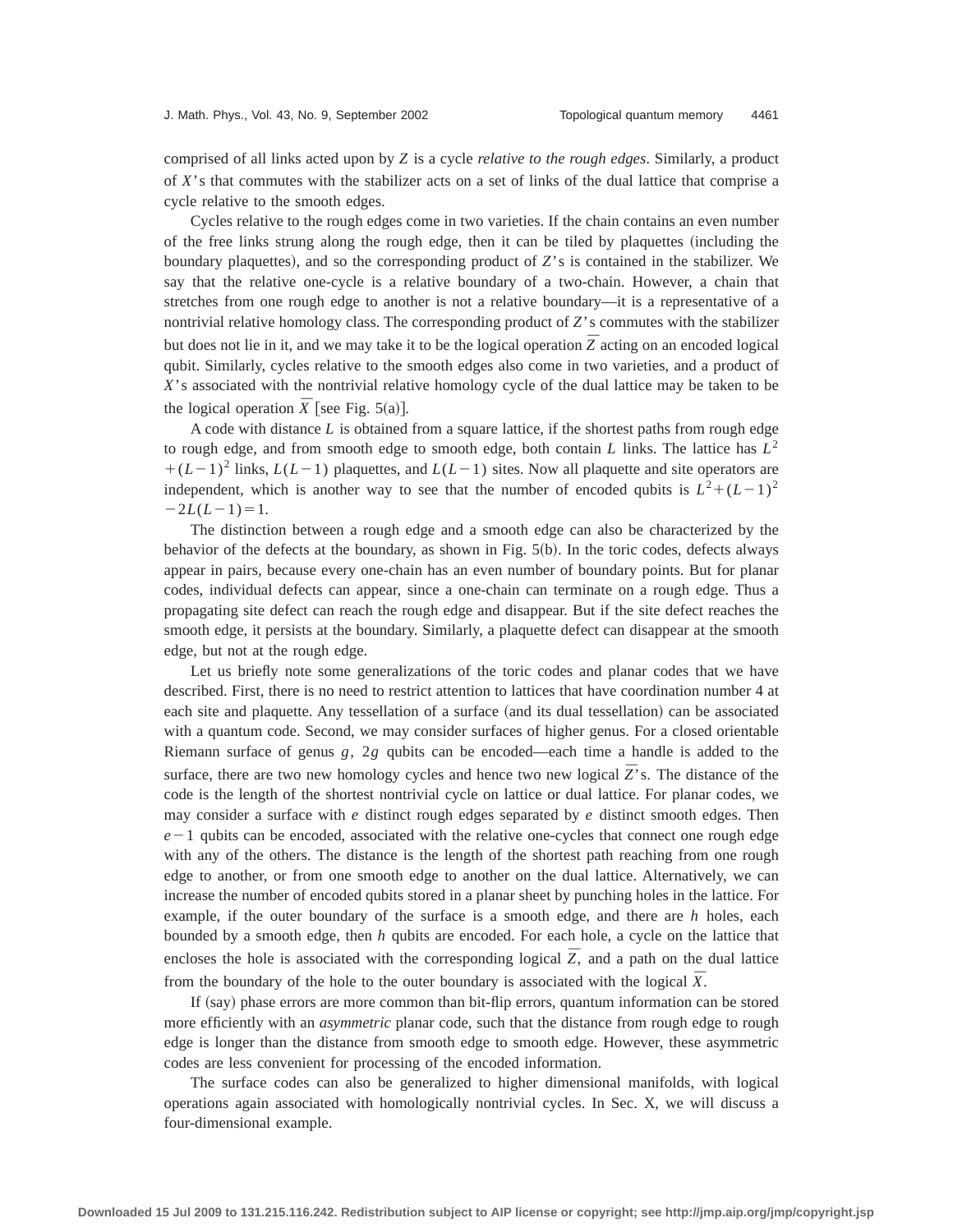comprised of all links acted upon by *Z* is a cycle *relative to the rough edges*. Similarly, a product of *X*'s that commutes with the stabilizer acts on a set of links of the dual lattice that comprise a cycle relative to the smooth edges.

Cycles relative to the rough edges come in two varieties. If the chain contains an even number of the free links strung along the rough edge, then it can be tiled by plaquettes (including the boundary plaquettes), and so the corresponding product of *Z*'s is contained in the stabilizer. We say that the relative one-cycle is a relative boundary of a two-chain. However, a chain that stretches from one rough edge to another is not a relative boundary—it is a representative of a nontrivial relative homology class. The corresponding product of *Z*'s commutes with the stabilizer but does not lie in it, and we may take it to be the logical operation  $\overline{Z}$  acting on an encoded logical qubit. Similarly, cycles relative to the smooth edges also come in two varieties, and a product of *X*'s associated with the nontrivial relative homology cycle of the dual lattice may be taken to be the logical operation  $\bar{X}$  [see Fig. 5(a)].

A code with distance *L* is obtained from a square lattice, if the shortest paths from rough edge to rough edge, and from smooth edge to smooth edge, both contain *L* links. The lattice has  $L^2$  $+(L-1)^2$  links,  $L(L-1)$  plaquettes, and  $L(L-1)$  sites. Now all plaquette and site operators are independent, which is another way to see that the number of encoded qubits is  $L^2 + (L-1)^2$  $-2L(L-1)=1.$ 

The distinction between a rough edge and a smooth edge can also be characterized by the behavior of the defects at the boundary, as shown in Fig.  $5(b)$ . In the toric codes, defects always appear in pairs, because every one-chain has an even number of boundary points. But for planar codes, individual defects can appear, since a one-chain can terminate on a rough edge. Thus a propagating site defect can reach the rough edge and disappear. But if the site defect reaches the smooth edge, it persists at the boundary. Similarly, a plaquette defect can disappear at the smooth edge, but not at the rough edge.

Let us briefly note some generalizations of the toric codes and planar codes that we have described. First, there is no need to restrict attention to lattices that have coordination number 4 at each site and plaquette. Any tessellation of a surface (and its dual tessellation) can be associated with a quantum code. Second, we may consider surfaces of higher genus. For a closed orientable Riemann surface of genus *g*, 2*g* qubits can be encoded—each time a handle is added to the surface, there are two new homology cycles and hence two new logical  $\overline{Z}$ 's. The distance of the code is the length of the shortest nontrivial cycle on lattice or dual lattice. For planar codes, we may consider a surface with *e* distinct rough edges separated by *e* distinct smooth edges. Then  $e-1$  qubits can be encoded, associated with the relative one-cycles that connect one rough edge with any of the others. The distance is the length of the shortest path reaching from one rough edge to another, or from one smooth edge to another on the dual lattice. Alternatively, we can increase the number of encoded qubits stored in a planar sheet by punching holes in the lattice. For example, if the outer boundary of the surface is a smooth edge, and there are *h* holes, each bounded by a smooth edge, then *h* qubits are encoded. For each hole, a cycle on the lattice that encloses the hole is associated with the corresponding logical  $\overline{Z}$ , and a path on the dual lattice from the boundary of the hole to the outer boundary is associated with the logical  $\bar{X}$ .

If (say) phase errors are more common than bit-flip errors, quantum information can be stored more efficiently with an *asymmetric* planar code, such that the distance from rough edge to rough edge is longer than the distance from smooth edge to smooth edge. However, these asymmetric codes are less convenient for processing of the encoded information.

The surface codes can also be generalized to higher dimensional manifolds, with logical operations again associated with homologically nontrivial cycles. In Sec. X, we will discuss a four-dimensional example.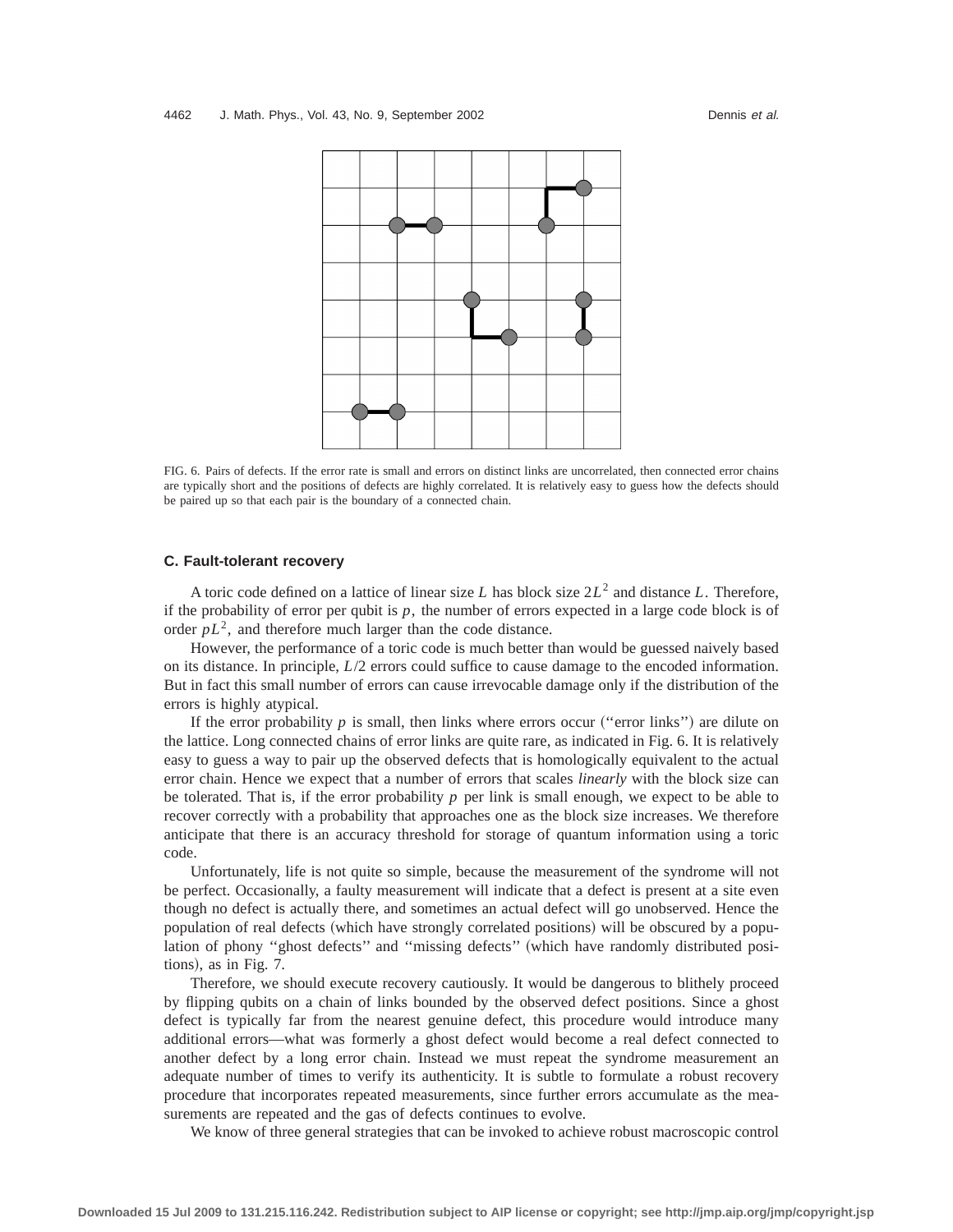

FIG. 6. Pairs of defects. If the error rate is small and errors on distinct links are uncorrelated, then connected error chains are typically short and the positions of defects are highly correlated. It is relatively easy to guess how the defects should be paired up so that each pair is the boundary of a connected chain.

## **C. Fault-tolerant recovery**

A toric code defined on a lattice of linear size *L* has block size 2*L*<sup>2</sup> and distance *L*. Therefore, if the probability of error per qubit is  $p$ , the number of errors expected in a large code block is of order  $pL^2$ , and therefore much larger than the code distance.

However, the performance of a toric code is much better than would be guessed naively based on its distance. In principle, *L*/2 errors could suffice to cause damage to the encoded information. But in fact this small number of errors can cause irrevocable damage only if the distribution of the errors is highly atypical.

If the error probability  $p$  is small, then links where errors occur ("error links") are dilute on the lattice. Long connected chains of error links are quite rare, as indicated in Fig. 6. It is relatively easy to guess a way to pair up the observed defects that is homologically equivalent to the actual error chain. Hence we expect that a number of errors that scales *linearly* with the block size can be tolerated. That is, if the error probability *p* per link is small enough, we expect to be able to recover correctly with a probability that approaches one as the block size increases. We therefore anticipate that there is an accuracy threshold for storage of quantum information using a toric code.

Unfortunately, life is not quite so simple, because the measurement of the syndrome will not be perfect. Occasionally, a faulty measurement will indicate that a defect is present at a site even though no defect is actually there, and sometimes an actual defect will go unobserved. Hence the population of real defects (which have strongly correlated positions) will be obscured by a population of phony "ghost defects" and "missing defects" (which have randomly distributed positions), as in Fig.  $7$ .

Therefore, we should execute recovery cautiously. It would be dangerous to blithely proceed by flipping qubits on a chain of links bounded by the observed defect positions. Since a ghost defect is typically far from the nearest genuine defect, this procedure would introduce many additional errors—what was formerly a ghost defect would become a real defect connected to another defect by a long error chain. Instead we must repeat the syndrome measurement an adequate number of times to verify its authenticity. It is subtle to formulate a robust recovery procedure that incorporates repeated measurements, since further errors accumulate as the measurements are repeated and the gas of defects continues to evolve.

We know of three general strategies that can be invoked to achieve robust macroscopic control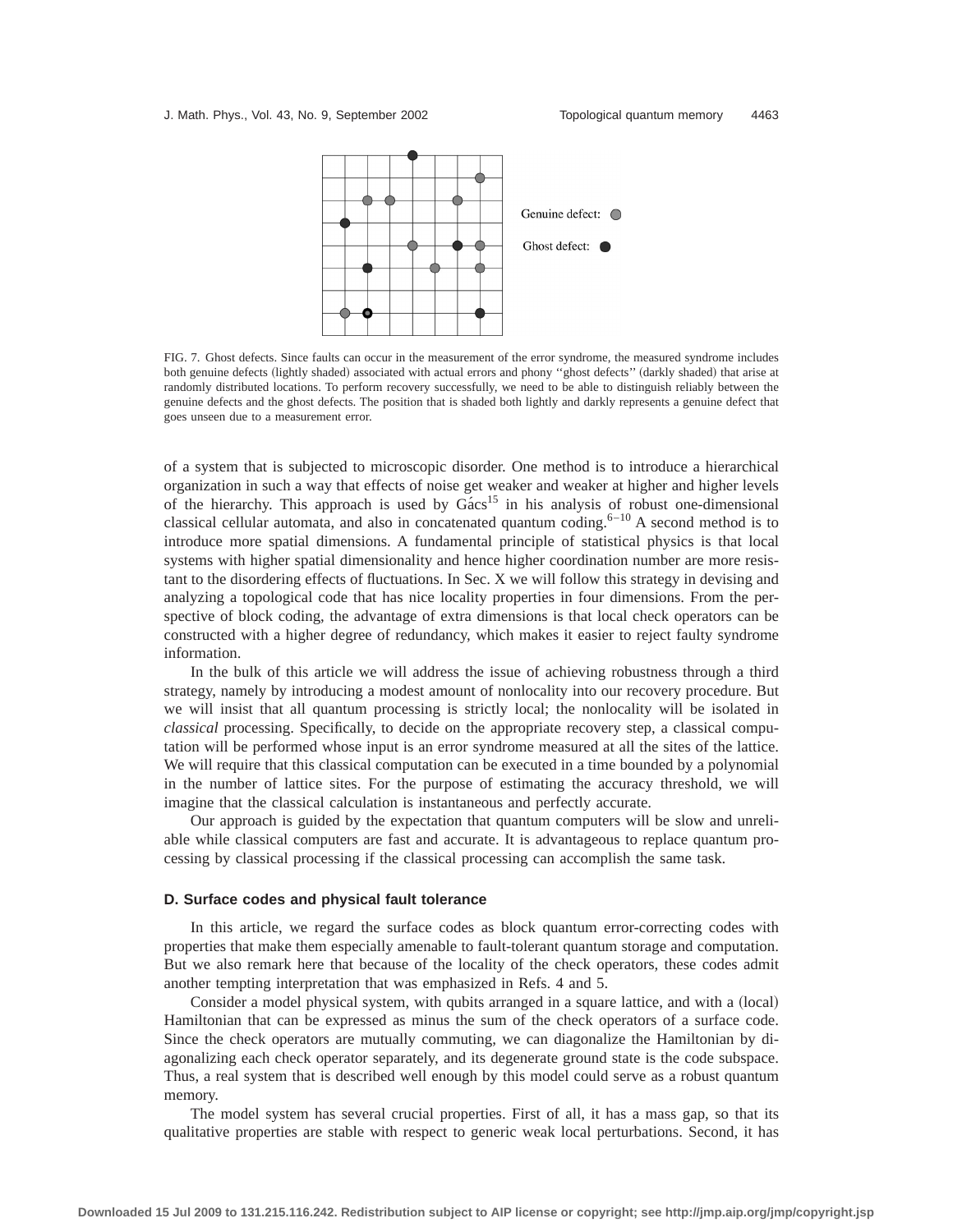

FIG. 7. Ghost defects. Since faults can occur in the measurement of the error syndrome, the measured syndrome includes both genuine defects (lightly shaded) associated with actual errors and phony "ghost defects" (darkly shaded) that arise at randomly distributed locations. To perform recovery successfully, we need to be able to distinguish reliably between the genuine defects and the ghost defects. The position that is shaded both lightly and darkly represents a genuine defect that goes unseen due to a measurement error.

of a system that is subjected to microscopic disorder. One method is to introduce a hierarchical organization in such a way that effects of noise get weaker and weaker at higher and higher levels of the hierarchy. This approach is used by  $Gács<sup>15</sup>$  in his analysis of robust one-dimensional classical cellular automata, and also in concatenated quantum coding.<sup>6–10</sup> A second method is to introduce more spatial dimensions. A fundamental principle of statistical physics is that local systems with higher spatial dimensionality and hence higher coordination number are more resistant to the disordering effects of fluctuations. In Sec. X we will follow this strategy in devising and analyzing a topological code that has nice locality properties in four dimensions. From the perspective of block coding, the advantage of extra dimensions is that local check operators can be constructed with a higher degree of redundancy, which makes it easier to reject faulty syndrome information.

In the bulk of this article we will address the issue of achieving robustness through a third strategy, namely by introducing a modest amount of nonlocality into our recovery procedure. But we will insist that all quantum processing is strictly local; the nonlocality will be isolated in *classical* processing. Specifically, to decide on the appropriate recovery step, a classical computation will be performed whose input is an error syndrome measured at all the sites of the lattice. We will require that this classical computation can be executed in a time bounded by a polynomial in the number of lattice sites. For the purpose of estimating the accuracy threshold, we will imagine that the classical calculation is instantaneous and perfectly accurate.

Our approach is guided by the expectation that quantum computers will be slow and unreliable while classical computers are fast and accurate. It is advantageous to replace quantum processing by classical processing if the classical processing can accomplish the same task.

## **D. Surface codes and physical fault tolerance**

In this article, we regard the surface codes as block quantum error-correcting codes with properties that make them especially amenable to fault-tolerant quantum storage and computation. But we also remark here that because of the locality of the check operators, these codes admit another tempting interpretation that was emphasized in Refs. 4 and 5.

Consider a model physical system, with qubits arranged in a square lattice, and with a (local) Hamiltonian that can be expressed as minus the sum of the check operators of a surface code. Since the check operators are mutually commuting, we can diagonalize the Hamiltonian by diagonalizing each check operator separately, and its degenerate ground state is the code subspace. Thus, a real system that is described well enough by this model could serve as a robust quantum memory.

The model system has several crucial properties. First of all, it has a mass gap, so that its qualitative properties are stable with respect to generic weak local perturbations. Second, it has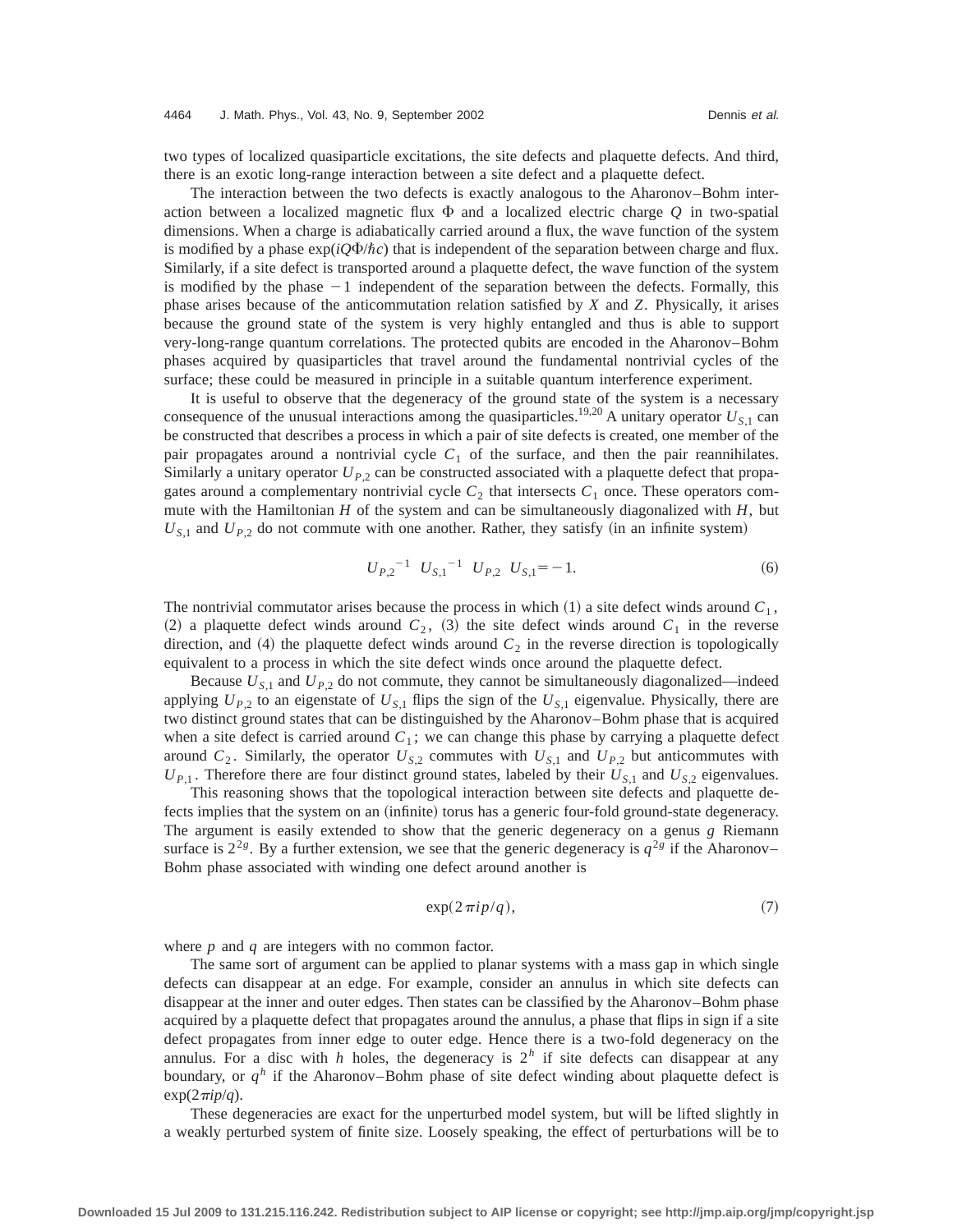two types of localized quasiparticle excitations, the site defects and plaquette defects. And third, there is an exotic long-range interaction between a site defect and a plaquette defect.

The interaction between the two defects is exactly analogous to the Aharonov–Bohm interaction between a localized magnetic flux  $\Phi$  and a localized electric charge  $Q$  in two-spatial dimensions. When a charge is adiabatically carried around a flux, the wave function of the system is modified by a phase  $\exp(iQ\Phi/\hbar c)$  that is independent of the separation between charge and flux. Similarly, if a site defect is transported around a plaquette defect, the wave function of the system is modified by the phase  $-1$  independent of the separation between the defects. Formally, this phase arises because of the anticommutation relation satisfied by *X* and *Z*. Physically, it arises because the ground state of the system is very highly entangled and thus is able to support very-long-range quantum correlations. The protected qubits are encoded in the Aharonov–Bohm phases acquired by quasiparticles that travel around the fundamental nontrivial cycles of the surface; these could be measured in principle in a suitable quantum interference experiment.

It is useful to observe that the degeneracy of the ground state of the system is a necessary consequence of the unusual interactions among the quasiparticles.<sup>19,20</sup> A unitary operator  $U_{S,1}$  can be constructed that describes a process in which a pair of site defects is created, one member of the pair propagates around a nontrivial cycle  $C_1$  of the surface, and then the pair reannihilates. Similarly a unitary operator  $U_{P,2}$  can be constructed associated with a plaquette defect that propagates around a complementary nontrivial cycle  $C_2$  that intersects  $C_1$  once. These operators commute with the Hamiltonian *H* of the system and can be simultaneously diagonalized with *H*, but  $U_{S,1}$  and  $U_{P,2}$  do not commute with one another. Rather, they satisfy (in an infinite system)

$$
U_{P,2}^{-1} U_{S,1}^{-1} U_{P,2} U_{S,1} = -1.
$$
 (6)

The nontrivial commutator arises because the process in which  $(1)$  a site defect winds around  $C_1$ , (2) a plaquette defect winds around  $C_2$ , (3) the site defect winds around  $C_1$  in the reverse direction, and  $(4)$  the plaquette defect winds around  $C_2$  in the reverse direction is topologically equivalent to a process in which the site defect winds once around the plaquette defect.

Because  $U_{S,1}$  and  $U_{P,2}$  do not commute, they cannot be simultaneously diagonalized—indeed applying  $U_{P,2}$  to an eigenstate of  $U_{S,1}$  flips the sign of the  $U_{S,1}$  eigenvalue. Physically, there are two distinct ground states that can be distinguished by the Aharonov–Bohm phase that is acquired when a site defect is carried around  $C_1$ ; we can change this phase by carrying a plaquette defect around  $C_2$ . Similarly, the operator  $U_{S,2}$  commutes with  $U_{S,1}$  and  $U_{P,2}$  but anticommutes with  $U_{P,1}$ . Therefore there are four distinct ground states, labeled by their  $U_{S,1}$  and  $U_{S,2}$  eigenvalues.

This reasoning shows that the topological interaction between site defects and plaquette defects implies that the system on an (infinite) torus has a generic four-fold ground-state degeneracy. The argument is easily extended to show that the generic degeneracy on a genus *g* Riemann surface is  $2^{2g}$ . By a further extension, we see that the generic degeneracy is  $q^{2g}$  if the Aharonov– Bohm phase associated with winding one defect around another is

$$
\exp(2\pi i p/q),\tag{7}
$$

where *p* and *q* are integers with no common factor.

The same sort of argument can be applied to planar systems with a mass gap in which single defects can disappear at an edge. For example, consider an annulus in which site defects can disappear at the inner and outer edges. Then states can be classified by the Aharonov–Bohm phase acquired by a plaquette defect that propagates around the annulus, a phase that flips in sign if a site defect propagates from inner edge to outer edge. Hence there is a two-fold degeneracy on the annulus. For a disc with *h* holes, the degeneracy is  $2<sup>h</sup>$  if site defects can disappear at any boundary, or  $q^h$  if the Aharonov–Bohm phase of site defect winding about plaquette defect is  $\exp(2\pi i p/q)$ .

These degeneracies are exact for the unperturbed model system, but will be lifted slightly in a weakly perturbed system of finite size. Loosely speaking, the effect of perturbations will be to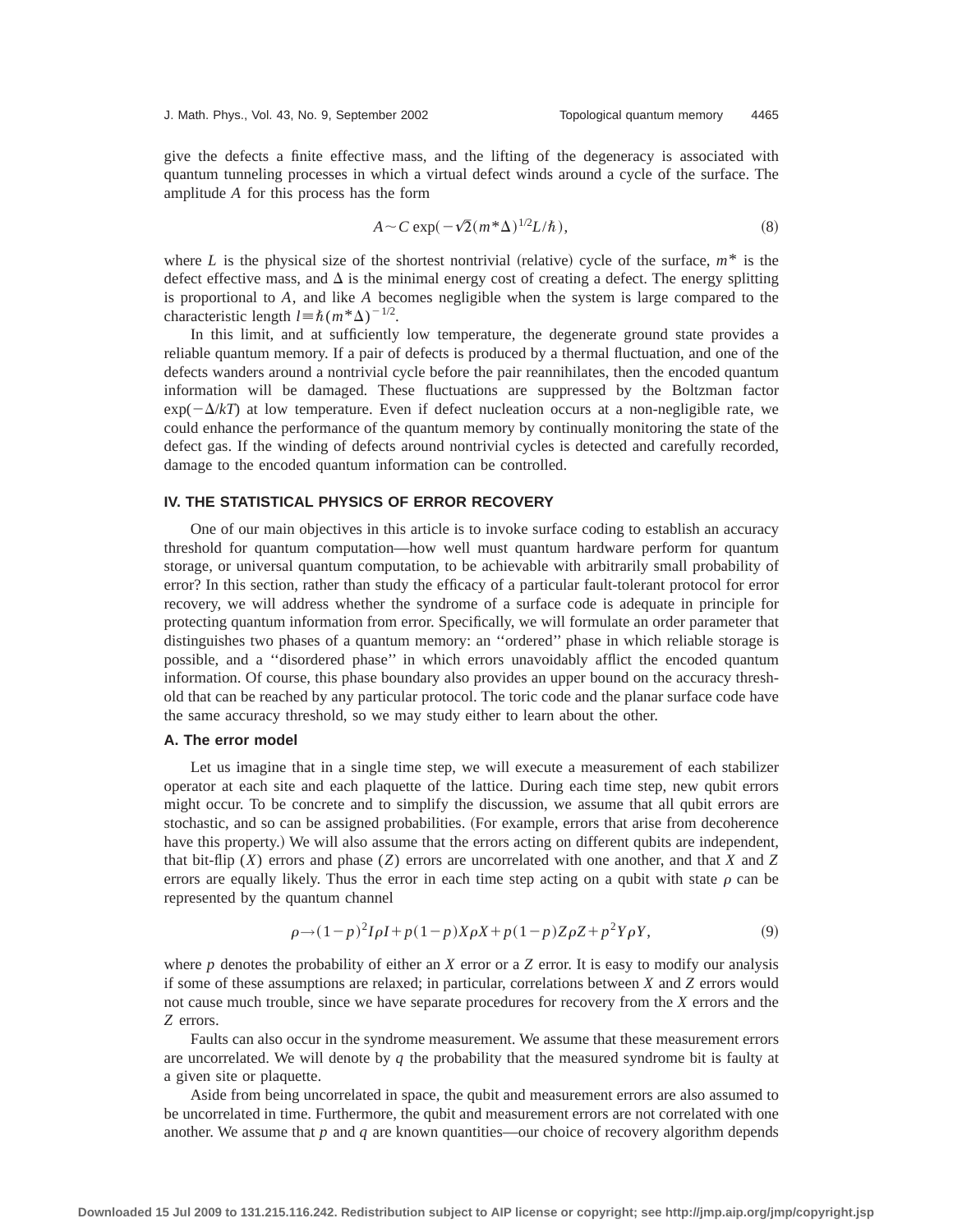give the defects a finite effective mass, and the lifting of the degeneracy is associated with quantum tunneling processes in which a virtual defect winds around a cycle of the surface. The amplitude *A* for this process has the form

$$
A \sim C \exp(-\sqrt{2}(m^*\Delta)^{1/2}L/\hbar), \tag{8}
$$

where *L* is the physical size of the shortest nontrivial (relative) cycle of the surface,  $m^*$  is the defect effective mass, and  $\Delta$  is the minimal energy cost of creating a defect. The energy splitting is proportional to *A*, and like *A* becomes negligible when the system is large compared to the characteristic length  $l = \hbar (m^*\Delta)^{-1/2}$ .

In this limit, and at sufficiently low temperature, the degenerate ground state provides a reliable quantum memory. If a pair of defects is produced by a thermal fluctuation, and one of the defects wanders around a nontrivial cycle before the pair reannihilates, then the encoded quantum information will be damaged. These fluctuations are suppressed by the Boltzman factor  $exp(-\Delta/kT)$  at low temperature. Even if defect nucleation occurs at a non-negligible rate, we could enhance the performance of the quantum memory by continually monitoring the state of the defect gas. If the winding of defects around nontrivial cycles is detected and carefully recorded, damage to the encoded quantum information can be controlled.

#### **IV. THE STATISTICAL PHYSICS OF ERROR RECOVERY**

One of our main objectives in this article is to invoke surface coding to establish an accuracy threshold for quantum computation—how well must quantum hardware perform for quantum storage, or universal quantum computation, to be achievable with arbitrarily small probability of error? In this section, rather than study the efficacy of a particular fault-tolerant protocol for error recovery, we will address whether the syndrome of a surface code is adequate in principle for protecting quantum information from error. Specifically, we will formulate an order parameter that distinguishes two phases of a quantum memory: an ''ordered'' phase in which reliable storage is possible, and a ''disordered phase'' in which errors unavoidably afflict the encoded quantum information. Of course, this phase boundary also provides an upper bound on the accuracy threshold that can be reached by any particular protocol. The toric code and the planar surface code have the same accuracy threshold, so we may study either to learn about the other.

## **A. The error model**

Let us imagine that in a single time step, we will execute a measurement of each stabilizer operator at each site and each plaquette of the lattice. During each time step, new qubit errors might occur. To be concrete and to simplify the discussion, we assume that all qubit errors are stochastic, and so can be assigned probabilities. (For example, errors that arise from decoherence have this property.) We will also assume that the errors acting on different qubits are independent, that bit-flip (*X*) errors and phase (*Z*) errors are uncorrelated with one another, and that *X* and *Z* errors are equally likely. Thus the error in each time step acting on a qubit with state  $\rho$  can be represented by the quantum channel

$$
\rho \to (1-p)^2 I \rho I + p(1-p) X \rho X + p(1-p) Z \rho Z + p^2 Y \rho Y,\tag{9}
$$

where *p* denotes the probability of either an *X* error or a *Z* error. It is easy to modify our analysis if some of these assumptions are relaxed; in particular, correlations between *X* and *Z* errors would not cause much trouble, since we have separate procedures for recovery from the *X* errors and the *Z* errors.

Faults can also occur in the syndrome measurement. We assume that these measurement errors are uncorrelated. We will denote by *q* the probability that the measured syndrome bit is faulty at a given site or plaquette.

Aside from being uncorrelated in space, the qubit and measurement errors are also assumed to be uncorrelated in time. Furthermore, the qubit and measurement errors are not correlated with one another. We assume that  $p$  and  $q$  are known quantities—our choice of recovery algorithm depends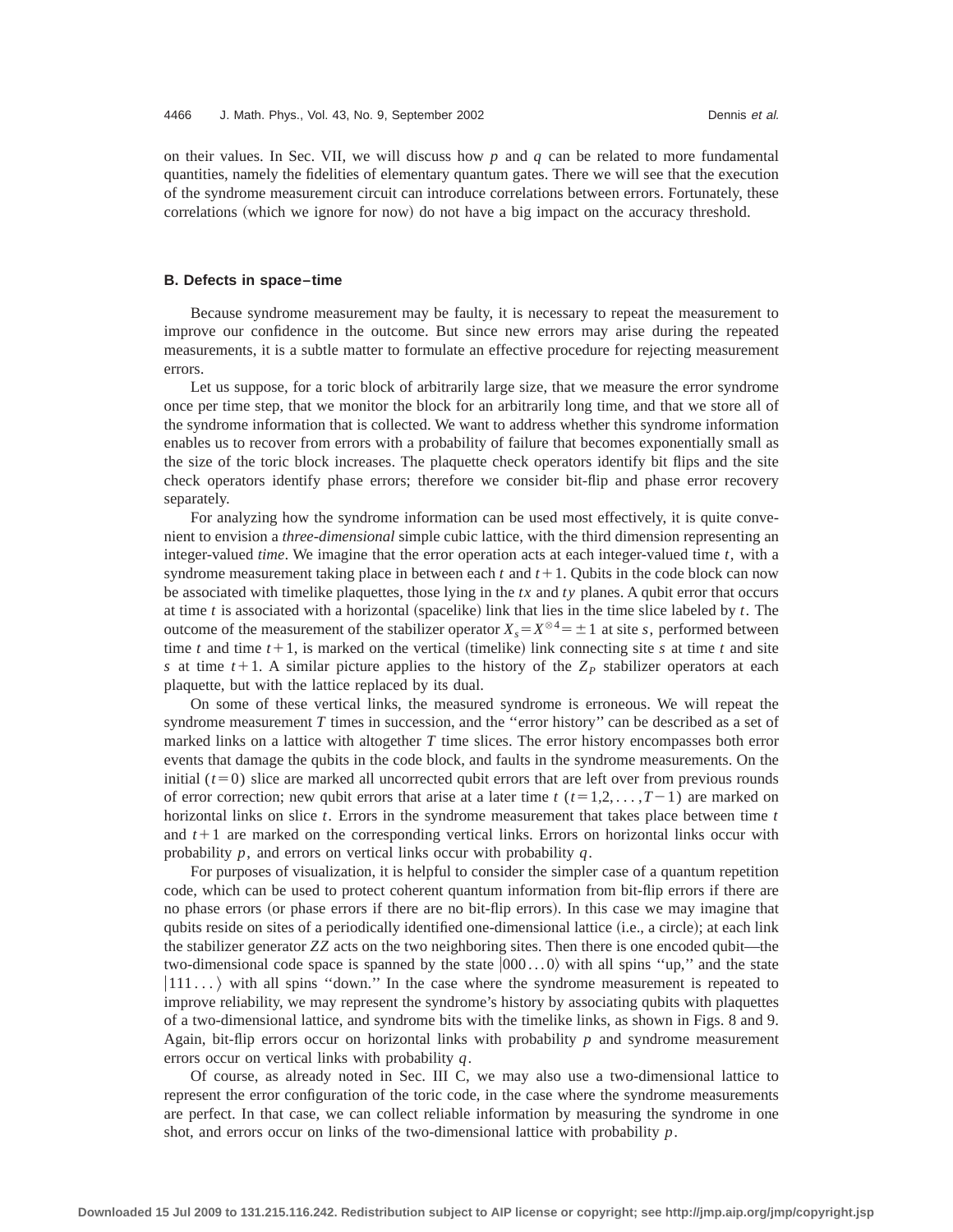on their values. In Sec. VII, we will discuss how *p* and *q* can be related to more fundamental quantities, namely the fidelities of elementary quantum gates. There we will see that the execution of the syndrome measurement circuit can introduce correlations between errors. Fortunately, these correlations (which we ignore for now) do not have a big impact on the accuracy threshold.

## **B. Defects in space–time**

Because syndrome measurement may be faulty, it is necessary to repeat the measurement to improve our confidence in the outcome. But since new errors may arise during the repeated measurements, it is a subtle matter to formulate an effective procedure for rejecting measurement errors.

Let us suppose, for a toric block of arbitrarily large size, that we measure the error syndrome once per time step, that we monitor the block for an arbitrarily long time, and that we store all of the syndrome information that is collected. We want to address whether this syndrome information enables us to recover from errors with a probability of failure that becomes exponentially small as the size of the toric block increases. The plaquette check operators identify bit flips and the site check operators identify phase errors; therefore we consider bit-flip and phase error recovery separately.

For analyzing how the syndrome information can be used most effectively, it is quite convenient to envision a *three-dimensional* simple cubic lattice, with the third dimension representing an integer-valued *time*. We imagine that the error operation acts at each integer-valued time *t*, with a syndrome measurement taking place in between each  $t$  and  $t+1$ . Qubits in the code block can now be associated with timelike plaquettes, those lying in the *tx* and *ty* planes. A qubit error that occurs at time  $t$  is associated with a horizontal (spacelike) link that lies in the time slice labeled by  $t$ . The outcome of the measurement of the stabilizer operator  $X_s = X^{\otimes 4} = \pm 1$  at site *s*, performed between time *t* and time  $t+1$ , is marked on the vertical (timelike) link connecting site *s* at time *t* and site *s* at time  $t+1$ . A similar picture applies to the history of the  $Z_p$  stabilizer operators at each plaquette, but with the lattice replaced by its dual.

On some of these vertical links, the measured syndrome is erroneous. We will repeat the syndrome measurement *T* times in succession, and the "error history" can be described as a set of marked links on a lattice with altogether *T* time slices. The error history encompasses both error events that damage the qubits in the code block, and faults in the syndrome measurements. On the initial  $(t=0)$  slice are marked all uncorrected qubit errors that are left over from previous rounds of error correction; new qubit errors that arise at a later time  $t$  ( $t=1,2,\ldots,T-1$ ) are marked on horizontal links on slice *t*. Errors in the syndrome measurement that takes place between time *t* and  $t+1$  are marked on the corresponding vertical links. Errors on horizontal links occur with probability *p*, and errors on vertical links occur with probability *q*.

For purposes of visualization, it is helpful to consider the simpler case of a quantum repetition code, which can be used to protect coherent quantum information from bit-flip errors if there are no phase errors (or phase errors if there are no bit-flip errors). In this case we may imagine that qubits reside on sites of a periodically identified one-dimensional lattice (i.e., a circle); at each link the stabilizer generator *ZZ* acts on the two neighboring sites. Then there is one encoded qubit—the two-dimensional code space is spanned by the state  $|000...0\rangle$  with all spins "up," and the state  $|111 \dots \rangle$  with all spins "down." In the case where the syndrome measurement is repeated to improve reliability, we may represent the syndrome's history by associating qubits with plaquettes of a two-dimensional lattice, and syndrome bits with the timelike links, as shown in Figs. 8 and 9. Again, bit-flip errors occur on horizontal links with probability *p* and syndrome measurement errors occur on vertical links with probability *q*.

Of course, as already noted in Sec. III C, we may also use a two-dimensional lattice to represent the error configuration of the toric code, in the case where the syndrome measurements are perfect. In that case, we can collect reliable information by measuring the syndrome in one shot, and errors occur on links of the two-dimensional lattice with probability *p*.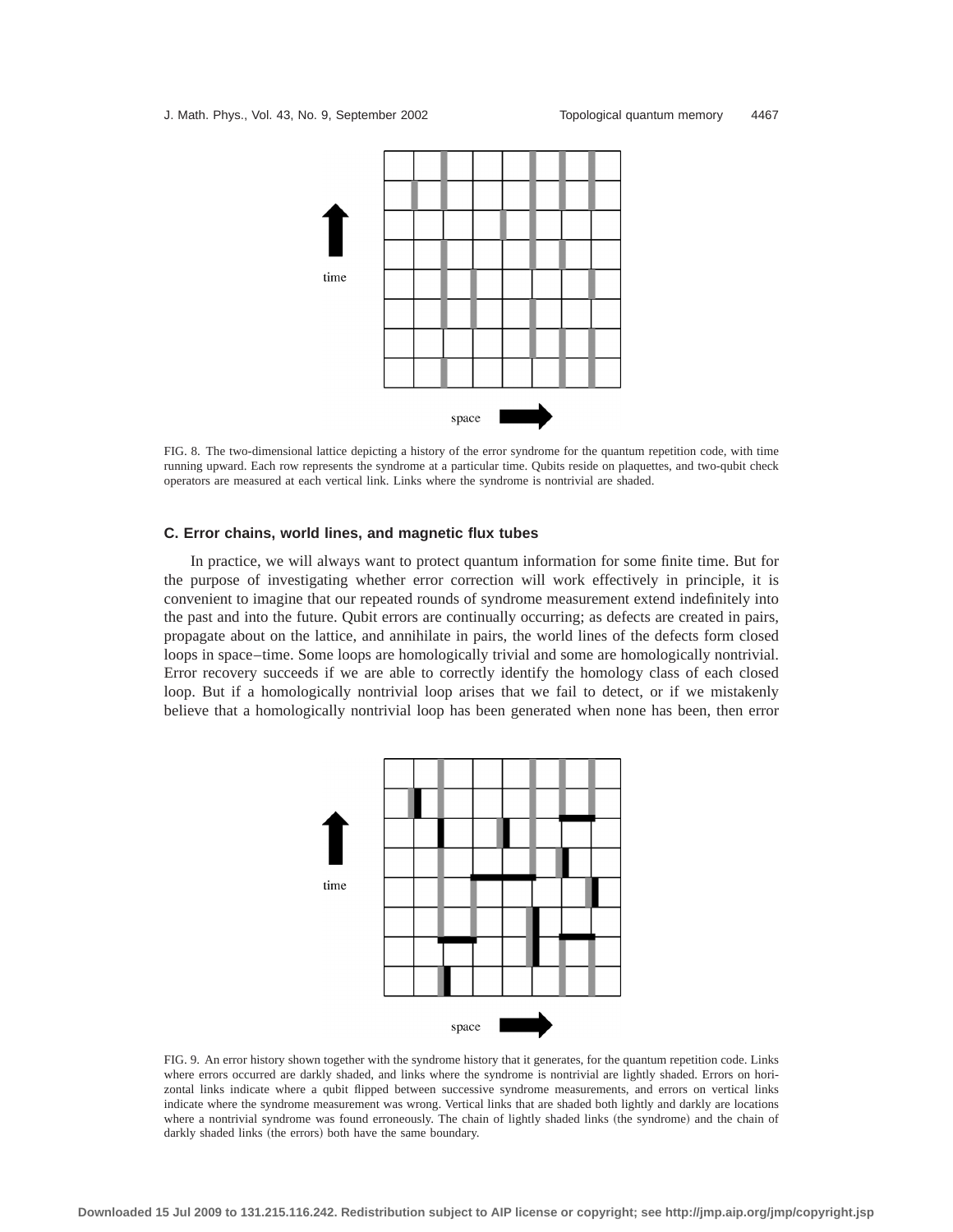

FIG. 8. The two-dimensional lattice depicting a history of the error syndrome for the quantum repetition code, with time running upward. Each row represents the syndrome at a particular time. Qubits reside on plaquettes, and two-qubit check operators are measured at each vertical link. Links where the syndrome is nontrivial are shaded.

#### **C. Error chains, world lines, and magnetic flux tubes**

In practice, we will always want to protect quantum information for some finite time. But for the purpose of investigating whether error correction will work effectively in principle, it is convenient to imagine that our repeated rounds of syndrome measurement extend indefinitely into the past and into the future. Qubit errors are continually occurring; as defects are created in pairs, propagate about on the lattice, and annihilate in pairs, the world lines of the defects form closed loops in space–time. Some loops are homologically trivial and some are homologically nontrivial. Error recovery succeeds if we are able to correctly identify the homology class of each closed loop. But if a homologically nontrivial loop arises that we fail to detect, or if we mistakenly believe that a homologically nontrivial loop has been generated when none has been, then error



FIG. 9. An error history shown together with the syndrome history that it generates, for the quantum repetition code. Links where errors occurred are darkly shaded, and links where the syndrome is nontrivial are lightly shaded. Errors on horizontal links indicate where a qubit flipped between successive syndrome measurements, and errors on vertical links indicate where the syndrome measurement was wrong. Vertical links that are shaded both lightly and darkly are locations where a nontrivial syndrome was found erroneously. The chain of lightly shaded links (the syndrome) and the chain of darkly shaded links (the errors) both have the same boundary.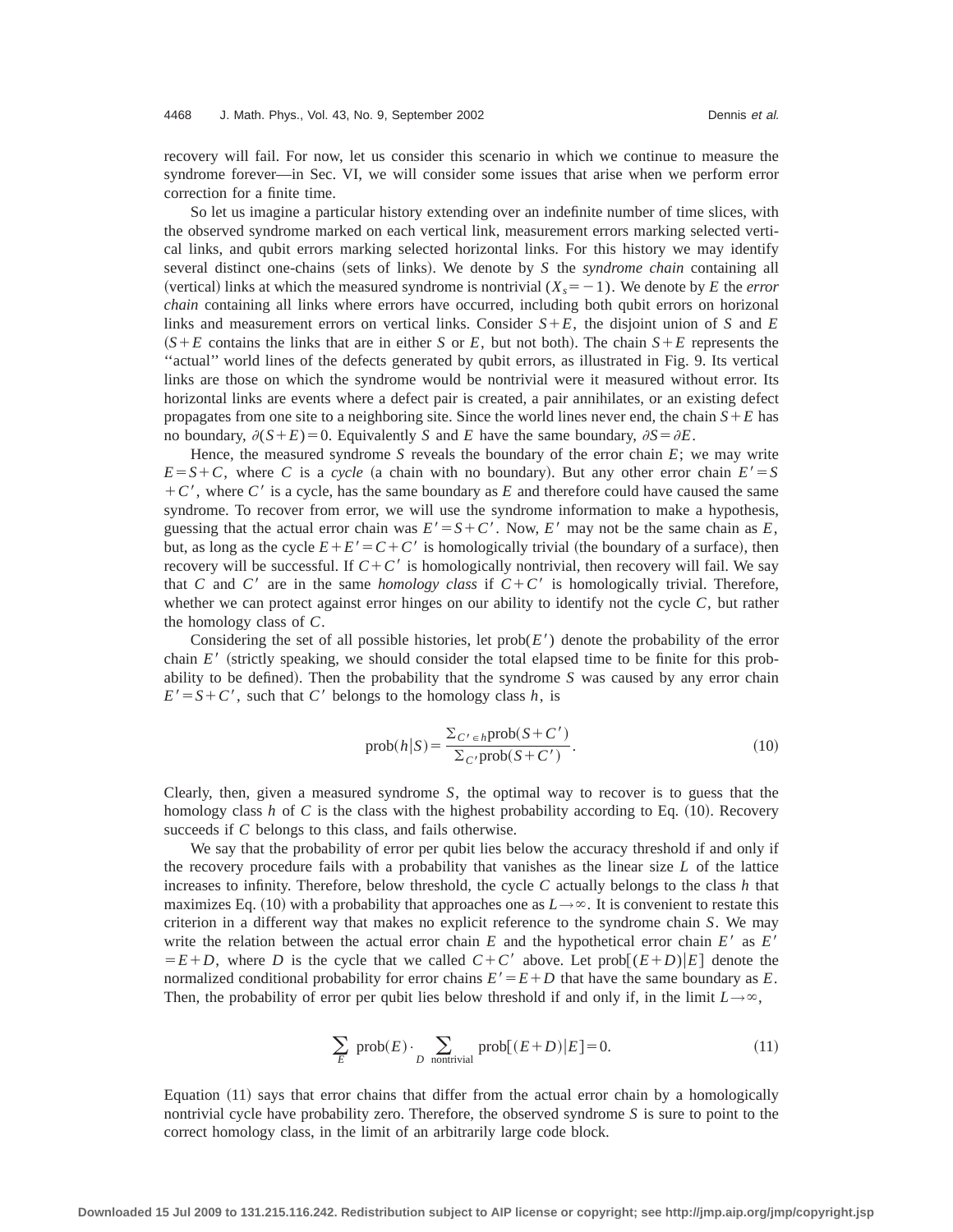recovery will fail. For now, let us consider this scenario in which we continue to measure the syndrome forever—in Sec. VI, we will consider some issues that arise when we perform error correction for a finite time.

So let us imagine a particular history extending over an indefinite number of time slices, with the observed syndrome marked on each vertical link, measurement errors marking selected vertical links, and qubit errors marking selected horizontal links. For this history we may identify several distinct one-chains (sets of links). We denote by  $S$  the *syndrome chain* containing all (vertical) links at which the measured syndrome is nontrivial  $(X<sub>s</sub>=-1)$ . We denote by *E* the *error chain* containing all links where errors have occurred, including both qubit errors on horizonal links and measurement errors on vertical links. Consider  $S+E$ , the disjoint union of *S* and *E*  $(S + E)$  contains the links that are in either *S* or *E*, but not both). The chain  $S + E$  represents the ''actual'' world lines of the defects generated by qubit errors, as illustrated in Fig. 9. Its vertical links are those on which the syndrome would be nontrivial were it measured without error. Its horizontal links are events where a defect pair is created, a pair annihilates, or an existing defect propagates from one site to a neighboring site. Since the world lines never end, the chain  $S + E$  has no boundary,  $\partial(S+E)=0$ . Equivalently *S* and *E* have the same boundary,  $\partial S = \partial E$ .

Hence, the measured syndrome *S* reveals the boundary of the error chain *E*; we may write  $E = S + C$ , where *C* is a *cycle* (a chain with no boundary). But any other error chain  $E' = S$  $+ C'$ , where C' is a cycle, has the same boundary as E and therefore could have caused the same syndrome. To recover from error, we will use the syndrome information to make a hypothesis, guessing that the actual error chain was  $E' = S + C'$ . Now, *E'* may not be the same chain as *E*, but, as long as the cycle  $E + E' = C + C'$  is homologically trivial (the boundary of a surface), then recovery will be successful. If  $C + C'$  is homologically nontrivial, then recovery will fail. We say that *C* and *C'* are in the same *homology class* if  $C + C'$  is homologically trivial. Therefore, whether we can protect against error hinges on our ability to identify not the cycle *C*, but rather the homology class of *C*.

Considering the set of all possible histories, let  $prob(E')$  denote the probability of the error chain  $E'$  (strictly speaking, we should consider the total elapsed time to be finite for this probability to be defined). Then the probability that the syndrome  $S$  was caused by any error chain  $E' = S + C'$ , such that *C*<sup>8</sup> belongs to the homology class *h*, is

$$
\text{prob}(h|S) = \frac{\sum_{C' \in h} \text{prob}(S + C')}{\sum_{C'} \text{prob}(S + C')}.
$$
\n(10)

Clearly, then, given a measured syndrome *S*, the optimal way to recover is to guess that the homology class  $h$  of  $C$  is the class with the highest probability according to Eq.  $(10)$ . Recovery succeeds if *C* belongs to this class, and fails otherwise.

We say that the probability of error per qubit lies below the accuracy threshold if and only if the recovery procedure fails with a probability that vanishes as the linear size *L* of the lattice increases to infinity. Therefore, below threshold, the cycle *C* actually belongs to the class *h* that maximizes Eq. (10) with a probability that approaches one as  $L \rightarrow \infty$ . It is convenient to restate this criterion in a different way that makes no explicit reference to the syndrome chain *S*. We may write the relation between the actual error chain  $E$  and the hypothetical error chain  $E'$  as  $E'$  $E=E+D$ , where *D* is the cycle that we called  $C+C'$  above. Let prob $[(E+D)|E]$  denote the normalized conditional probability for error chains  $E' = E + D$  that have the same boundary as *E*. Then, the probability of error per qubit lies below threshold if and only if, in the limit  $L\rightarrow\infty$ ,

$$
\sum_{E} \text{prob}(E) \cdot \sum_{D \text{ nontrivial}} \text{prob}[(E+D)|E] = 0. \tag{11}
$$

Equation  $(11)$  says that error chains that differ from the actual error chain by a homologically nontrivial cycle have probability zero. Therefore, the observed syndrome *S* is sure to point to the correct homology class, in the limit of an arbitrarily large code block.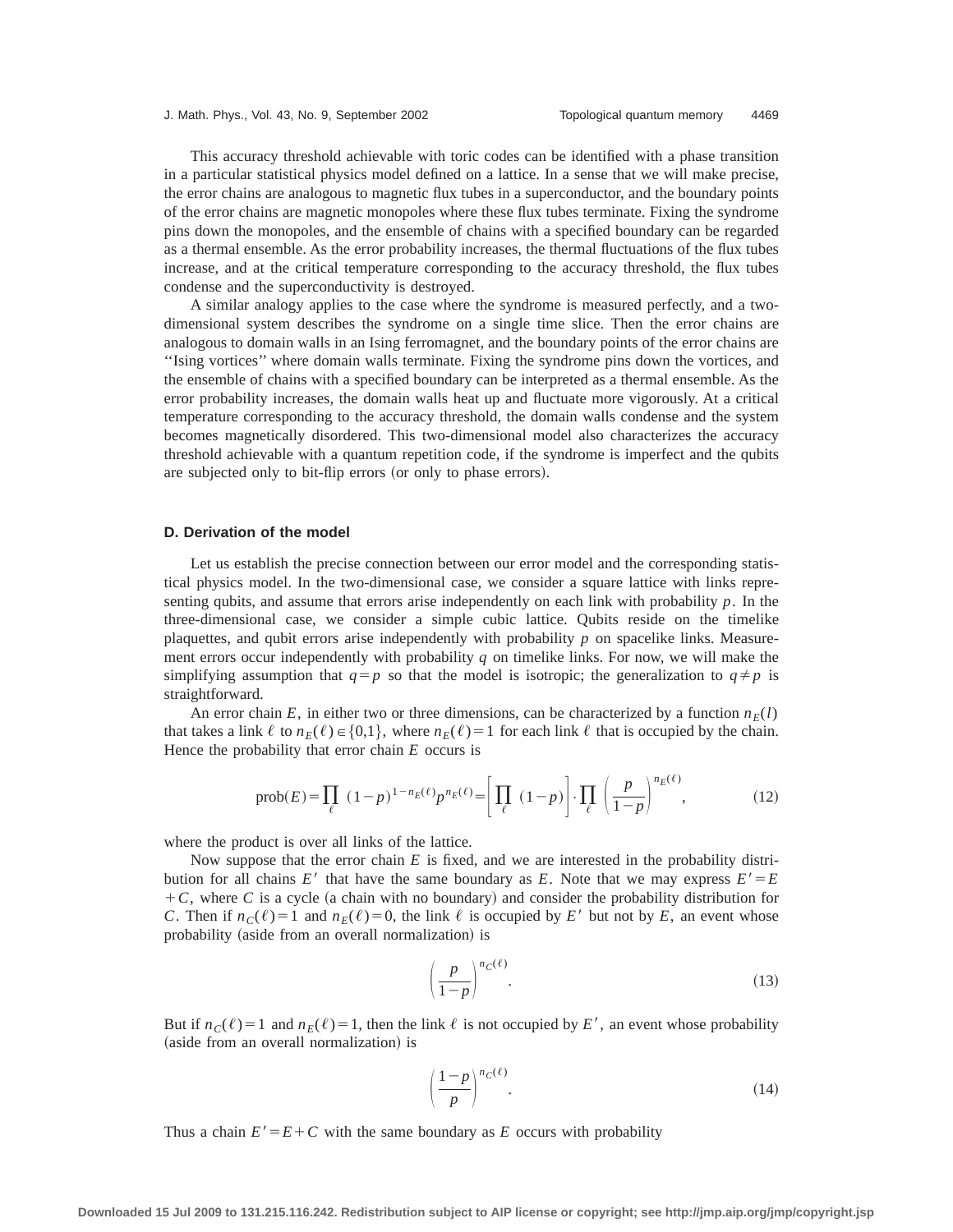This accuracy threshold achievable with toric codes can be identified with a phase transition in a particular statistical physics model defined on a lattice. In a sense that we will make precise, the error chains are analogous to magnetic flux tubes in a superconductor, and the boundary points of the error chains are magnetic monopoles where these flux tubes terminate. Fixing the syndrome pins down the monopoles, and the ensemble of chains with a specified boundary can be regarded as a thermal ensemble. As the error probability increases, the thermal fluctuations of the flux tubes increase, and at the critical temperature corresponding to the accuracy threshold, the flux tubes condense and the superconductivity is destroyed.

A similar analogy applies to the case where the syndrome is measured perfectly, and a twodimensional system describes the syndrome on a single time slice. Then the error chains are analogous to domain walls in an Ising ferromagnet, and the boundary points of the error chains are ''Ising vortices'' where domain walls terminate. Fixing the syndrome pins down the vortices, and the ensemble of chains with a specified boundary can be interpreted as a thermal ensemble. As the error probability increases, the domain walls heat up and fluctuate more vigorously. At a critical temperature corresponding to the accuracy threshold, the domain walls condense and the system becomes magnetically disordered. This two-dimensional model also characterizes the accuracy threshold achievable with a quantum repetition code, if the syndrome is imperfect and the qubits are subjected only to bit-flip errors (or only to phase errors).

## **D. Derivation of the model**

Let us establish the precise connection between our error model and the corresponding statistical physics model. In the two-dimensional case, we consider a square lattice with links representing qubits, and assume that errors arise independently on each link with probability *p*. In the three-dimensional case, we consider a simple cubic lattice. Qubits reside on the timelike plaquettes, and qubit errors arise independently with probability *p* on spacelike links. Measurement errors occur independently with probability *q* on timelike links. For now, we will make the simplifying assumption that  $q=p$  so that the model is isotropic; the generalization to  $q \neq p$  is straightforward.

An error chain *E*, in either two or three dimensions, can be characterized by a function  $n_F(l)$ that takes a link  $\ell$  to  $n_E(\ell) \in \{0,1\}$ , where  $n_E(\ell) = 1$  for each link  $\ell$  that is occupied by the chain. Hence the probability that error chain *E* occurs is

$$
\text{prob}(E) = \prod_{\ell} (1-p)^{1-n_E(\ell)} p^{n_E(\ell)} = \left[ \prod_{\ell} (1-p) \right] \cdot \prod_{\ell} \left( \frac{p}{1-p} \right)^{n_E(\ell)},\tag{12}
$$

where the product is over all links of the lattice.

Now suppose that the error chain *E* is fixed, and we are interested in the probability distribution for all chains *E'* that have the same boundary as *E*. Note that we may express  $E' = E$  $+C$ , where *C* is a cycle (a chain with no boundary) and consider the probability distribution for *C*. Then if  $n_C(\ell) = 1$  and  $n_E(\ell) = 0$ , the link  $\ell$  is occupied by *E'* but not by *E*, an event whose probability (aside from an overall normalization) is

$$
\left(\frac{p}{1-p}\right)^{n_C(\ell)}.\tag{13}
$$

But if  $n_c(\ell) = 1$  and  $n_E(\ell) = 1$ , then the link  $\ell$  is not occupied by *E'*, an event whose probability (aside from an overall normalization) is

$$
\left(\frac{1-p}{p}\right)^{n_{C}(\ell)}.\tag{14}
$$

Thus a chain  $E' = E + C$  with the same boundary as *E* occurs with probability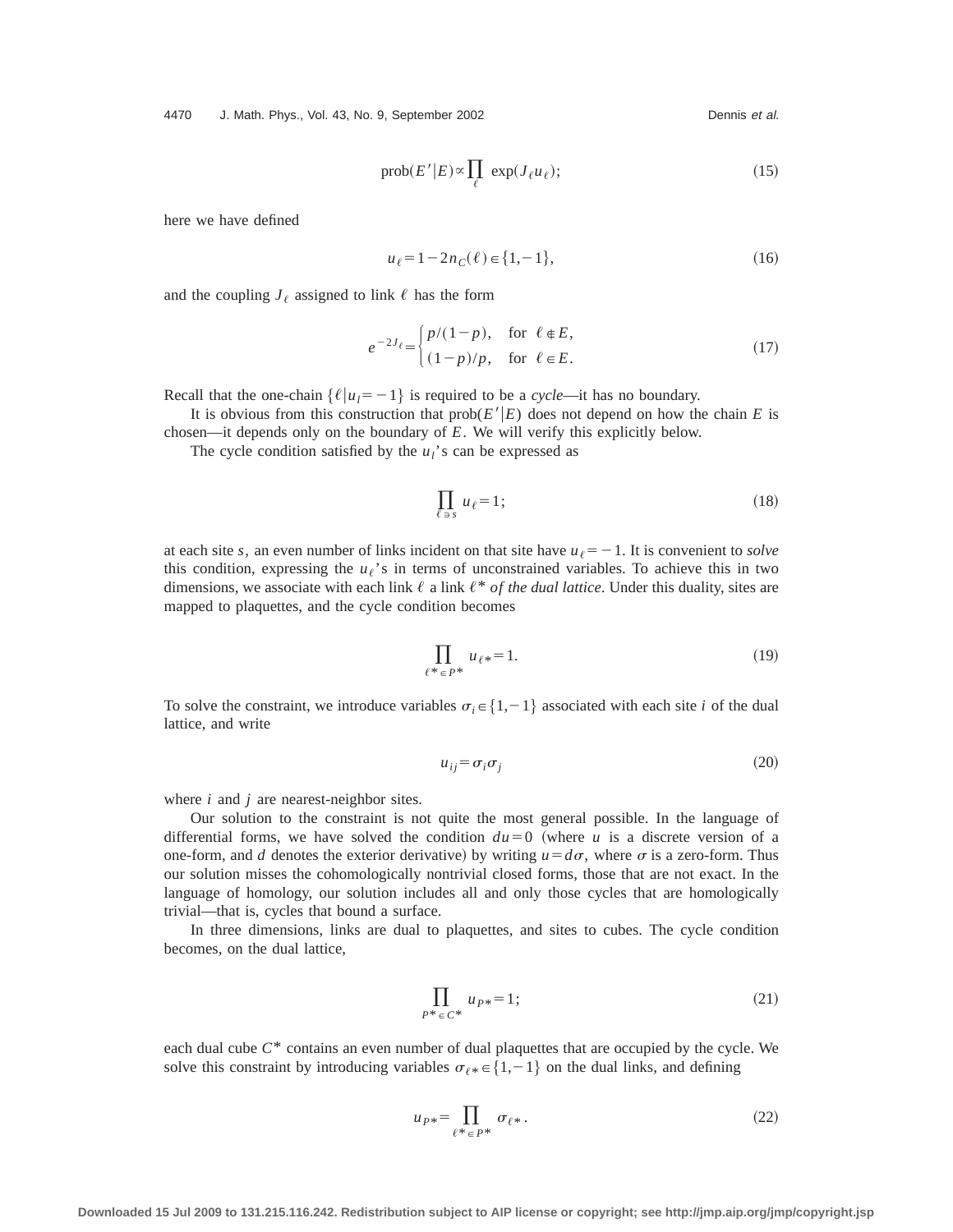4470 J. Math. Phys., Vol. 43, No. 9, September 2002 Channel Communist Channel Dennis et al.

$$
\text{prob}(E'|E) \propto \prod_{\ell} \exp(J_{\ell}u_{\ell});\tag{15}
$$

here we have defined

$$
u_{\ell} = 1 - 2n_C(\ell) \in \{1, -1\},\tag{16}
$$

and the coupling  $J_{\ell}$  assigned to link  $\ell$  has the form

$$
e^{-2J_{\ell}} = \begin{cases} p/(1-p), & \text{for } \ell \in E, \\ (1-p)/p, & \text{for } \ell \in E. \end{cases}
$$
 (17)

Recall that the one-chain  $\{\ell | u_l = -1\}$  is required to be a *cycle*—it has no boundary.

It is obvious from this construction that  $prob(E'|E)$  does not depend on how the chain E is chosen—it depends only on the boundary of *E*. We will verify this explicitly below.

The cycle condition satisfied by the  $u_l$ 's can be expressed as

$$
\prod_{\ell \,\ni\,s} \,u_{\ell} = 1\,;\tag{18}
$$

at each site *s*, an even number of links incident on that site have  $u_{\ell} = -1$ . It is convenient to *solve* this condition, expressing the  $u_{\ell}$ 's in terms of unconstrained variables. To achieve this in two dimensions, we associate with each link  $\ell$  a link  $\ell^*$  *of the dual lattice*. Under this duality, sites are mapped to plaquettes, and the cycle condition becomes

$$
\prod_{\ell^* \in P^*} u_{\ell^*} = 1. \tag{19}
$$

To solve the constraint, we introduce variables  $\sigma_i \in \{1,-1\}$  associated with each site *i* of the dual lattice, and write

$$
u_{ij} = \sigma_i \sigma_j \tag{20}
$$

where *i* and *j* are nearest-neighbor sites.

Our solution to the constraint is not quite the most general possible. In the language of differential forms, we have solved the condition  $du=0$  (where *u* is a discrete version of a one-form, and *d* denotes the exterior derivative) by writing  $u = d\sigma$ , where  $\sigma$  is a zero-form. Thus our solution misses the cohomologically nontrivial closed forms, those that are not exact. In the language of homology, our solution includes all and only those cycles that are homologically trivial—that is, cycles that bound a surface.

In three dimensions, links are dual to plaquettes, and sites to cubes. The cycle condition becomes, on the dual lattice,

$$
\prod_{P^* \in C^*} u_{P^*} = 1; \tag{21}
$$

each dual cube *C*\* contains an even number of dual plaquettes that are occupied by the cycle. We solve this constraint by introducing variables  $\sigma_{\ell *} \in \{1,-1\}$  on the dual links, and defining

$$
u_{P*} = \prod_{\ell^* \in P^*} \sigma_{\ell^*}.
$$
 (22)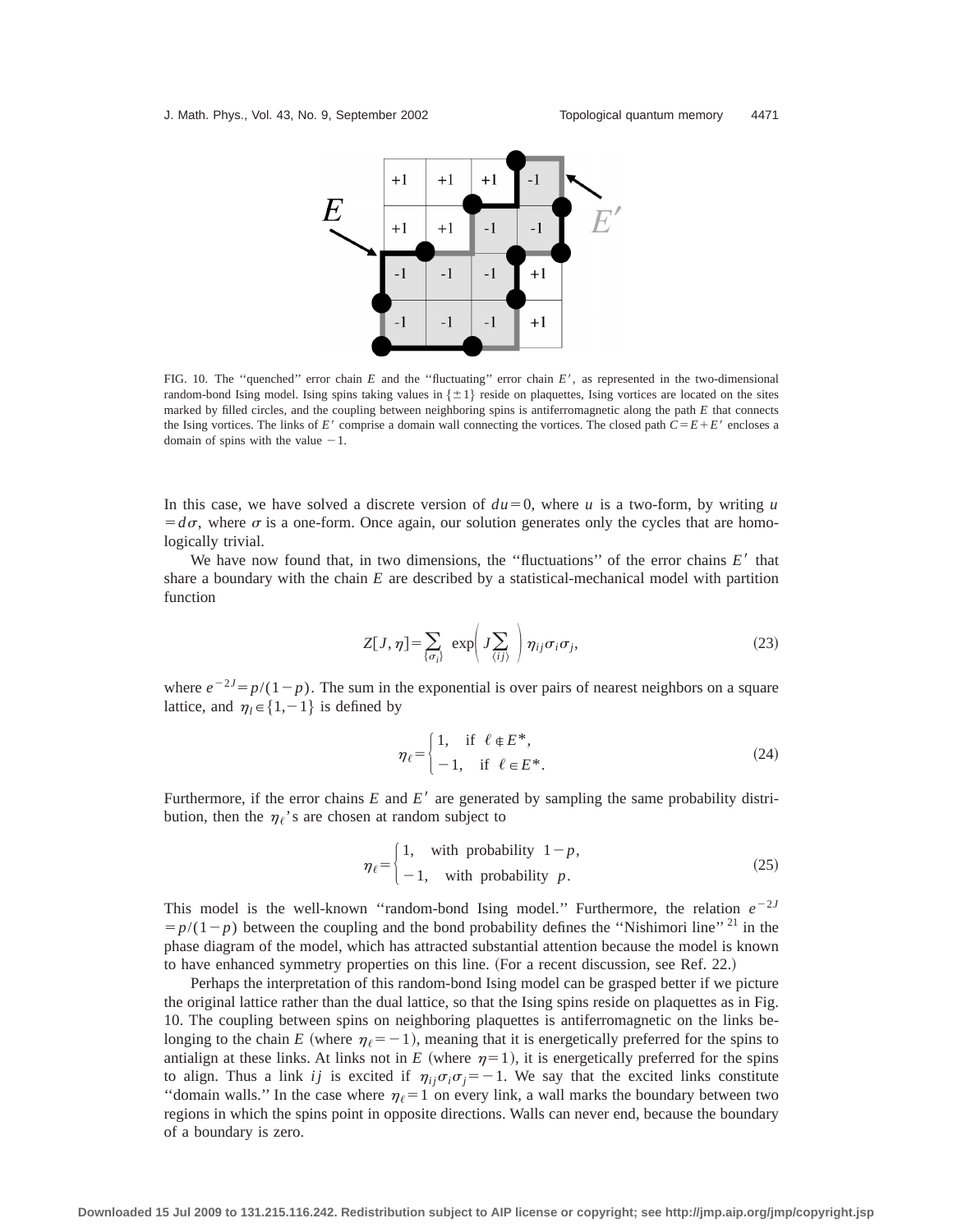

FIG. 10. The "quenched" error chain  $E$  and the "fluctuating" error chain  $E'$ , as represented in the two-dimensional random-bond Ising model. Ising spins taking values in  $\{\pm 1\}$  reside on plaquettes, Ising vortices are located on the sites marked by filled circles, and the coupling between neighboring spins is antiferromagnetic along the path *E* that connects the Ising vortices. The links of  $E'$  comprise a domain wall connecting the vortices. The closed path  $C = E + E'$  encloses a domain of spins with the value  $-1$ .

In this case, we have solved a discrete version of  $du=0$ , where *u* is a two-form, by writing *u*  $= d\sigma$ , where  $\sigma$  is a one-form. Once again, our solution generates only the cycles that are homologically trivial.

We have now found that, in two dimensions, the "fluctuations" of the error chains  $E'$  that share a boundary with the chain *E* are described by a statistical-mechanical model with partition function

$$
Z[J,\eta] = \sum_{\{\sigma_i\}} \exp\left(J\sum_{\langle ij\rangle}\right) \eta_{ij}\sigma_i\sigma_j, \tag{23}
$$

where  $e^{-2J} = p/(1-p)$ . The sum in the exponential is over pairs of nearest neighbors on a square lattice, and  $\eta_l \in \{1,-1\}$  is defined by

$$
\eta_{\ell} = \begin{cases} 1, & \text{if } \ell \in E^*, \\ -1, & \text{if } \ell \in E^*. \end{cases} \tag{24}
$$

Furthermore, if the error chains  $E$  and  $E'$  are generated by sampling the same probability distribution, then the  $\eta_f$ 's are chosen at random subject to

$$
\eta_{\ell} = \begin{cases} 1, & \text{with probability } 1 - p, \\ -1, & \text{with probability } p. \end{cases} \tag{25}
$$

This model is the well-known "random-bond Ising model." Furthermore, the relation  $e^{-2J}$  $=p/(1-p)$  between the coupling and the bond probability defines the "Nishimori line"<sup>21</sup> in the phase diagram of the model, which has attracted substantial attention because the model is known to have enhanced symmetry properties on this line. (For a recent discussion, see Ref. 22.)

Perhaps the interpretation of this random-bond Ising model can be grasped better if we picture the original lattice rather than the dual lattice, so that the Ising spins reside on plaquettes as in Fig. 10. The coupling between spins on neighboring plaquettes is antiferromagnetic on the links belonging to the chain *E* (where  $\eta_{\ell} = -1$ ), meaning that it is energetically preferred for the spins to antialign at these links. At links not in *E* (where  $\eta=1$ ), it is energetically preferred for the spins to align. Thus a link *ij* is excited if  $\eta_{ij}\sigma_i\sigma_j = -1$ . We say that the excited links constitute "domain walls." In the case where  $\eta_{\ell} = 1$  on every link, a wall marks the boundary between two regions in which the spins point in opposite directions. Walls can never end, because the boundary of a boundary is zero.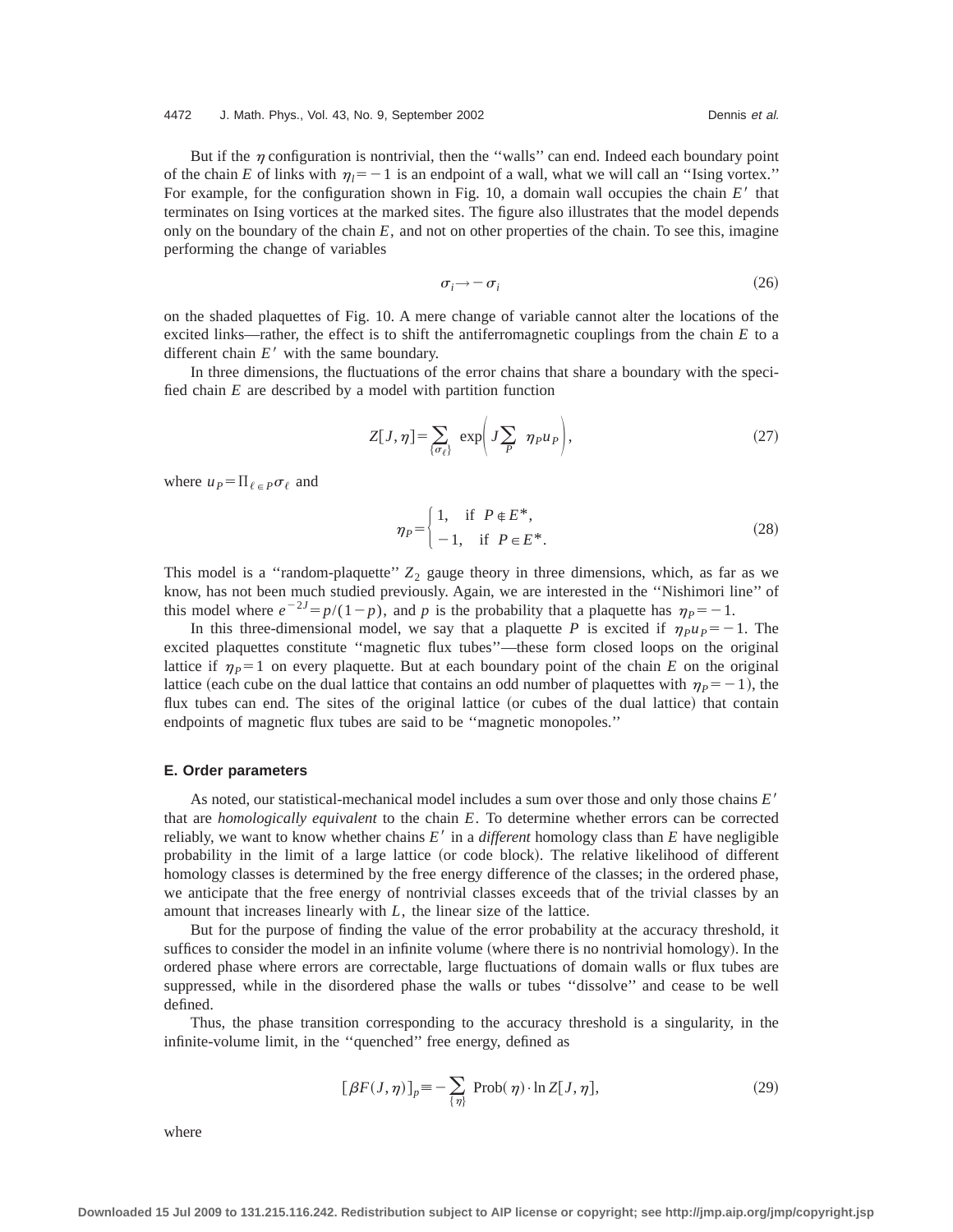#### 4472 J. Math. Phys., Vol. 43, No. 9, September 2002 Dennis et al.

But if the  $\eta$  configuration is nontrivial, then the "walls" can end. Indeed each boundary point of the chain *E* of links with  $\eta_1 = -1$  is an endpoint of a wall, what we will call an "Ising vortex." For example, for the configuration shown in Fig. 10, a domain wall occupies the chain *E'* that terminates on Ising vortices at the marked sites. The figure also illustrates that the model depends only on the boundary of the chain  $E$ , and not on other properties of the chain. To see this, imagine performing the change of variables

$$
\sigma_i \rightarrow -\sigma_i \tag{26}
$$

on the shaded plaquettes of Fig. 10. A mere change of variable cannot alter the locations of the excited links—rather, the effect is to shift the antiferromagnetic couplings from the chain *E* to a different chain  $E'$  with the same boundary.

In three dimensions, the fluctuations of the error chains that share a boundary with the specified chain *E* are described by a model with partition function

$$
Z[J,\eta] = \sum_{\{\sigma_{\ell}\}} \exp\left(J\sum_{P} \eta_{P} u_{P}\right),\tag{27}
$$

where  $u_P = \prod_{\ell \in P} \sigma_\ell$  and

$$
\eta_P = \begin{cases} 1, & \text{if } P \in E^*, \\ -1, & \text{if } P \in E^*. \end{cases} \tag{28}
$$

This model is a "random-plaquette"  $Z_2$  gauge theory in three dimensions, which, as far as we know, has not been much studied previously. Again, we are interested in the ''Nishimori line'' of this model where  $e^{-2J} = p/(1-p)$ , and *p* is the probability that a plaquette has  $\eta_p = -1$ .

In this three-dimensional model, we say that a plaquette *P* is excited if  $\eta_{\mu} \rho_{\mu} = -1$ . The excited plaquettes constitute ''magnetic flux tubes''—these form closed loops on the original lattice if  $\eta_p = 1$  on every plaquette. But at each boundary point of the chain *E* on the original lattice (each cube on the dual lattice that contains an odd number of plaquettes with  $\eta_p = -1$ ), the flux tubes can end. The sites of the original lattice (or cubes of the dual lattice) that contain endpoints of magnetic flux tubes are said to be ''magnetic monopoles.''

## **E. Order parameters**

As noted, our statistical-mechanical model includes a sum over those and only those chains *E'* that are *homologically equivalent* to the chain *E*. To determine whether errors can be corrected reliably, we want to know whether chains  $E'$  in a *different* homology class than  $E$  have negligible probability in the limit of a large lattice (or code block). The relative likelihood of different homology classes is determined by the free energy difference of the classes; in the ordered phase, we anticipate that the free energy of nontrivial classes exceeds that of the trivial classes by an amount that increases linearly with *L*, the linear size of the lattice.

But for the purpose of finding the value of the error probability at the accuracy threshold, it suffices to consider the model in an infinite volume (where there is no nontrivial homology). In the ordered phase where errors are correctable, large fluctuations of domain walls or flux tubes are suppressed, while in the disordered phase the walls or tubes ''dissolve'' and cease to be well defined.

Thus, the phase transition corresponding to the accuracy threshold is a singularity, in the infinite-volume limit, in the ''quenched'' free energy, defined as

$$
[\beta F(J,\eta)]_p = -\sum_{\{\eta\}} \text{Prob}(\eta) \cdot \ln Z[J,\eta],\tag{29}
$$

where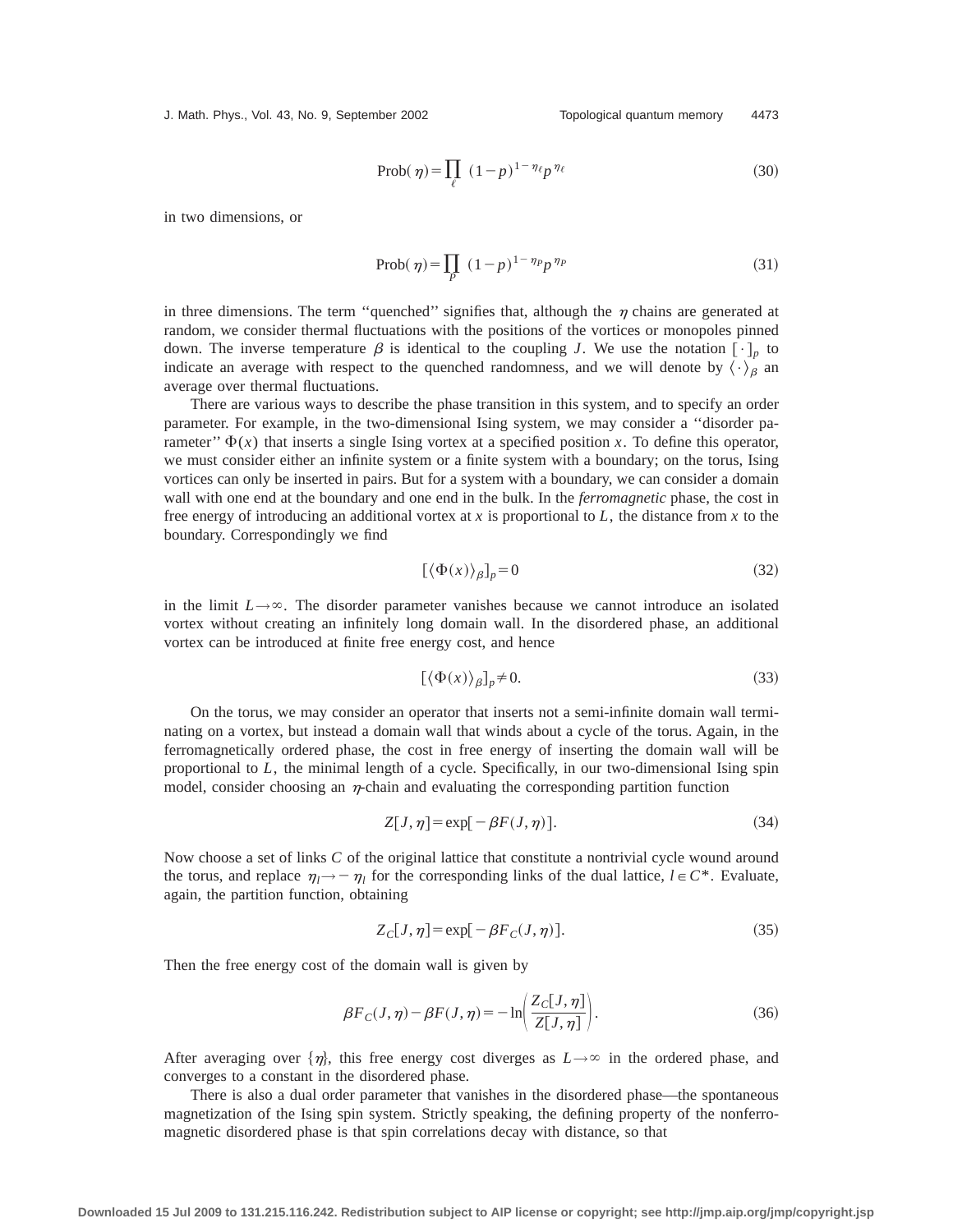J. Math. Phys., Vol. 43, No. 9, September 2002 Topological quantum memory 4473

$$
\text{Prob}(\eta) = \prod_{\ell} (1 - p)^{1 - \eta_{\ell}} p^{\eta_{\ell}} \tag{30}
$$

in two dimensions, or

$$
\text{Prob}(\eta) = \prod_{P} (1 - p)^{1 - \eta_P} p^{\eta_P} \tag{31}
$$

in three dimensions. The term "quenched" signifies that, although the  $\eta$  chains are generated at random, we consider thermal fluctuations with the positions of the vortices or monopoles pinned down. The inverse temperature  $\beta$  is identical to the coupling *J*. We use the notation  $[\cdot]_p$  to indicate an average with respect to the quenched randomness, and we will denote by  $\langle \cdot \rangle_{\beta}$  an average over thermal fluctuations.

There are various ways to describe the phase transition in this system, and to specify an order parameter. For example, in the two-dimensional Ising system, we may consider a ''disorder parameter"  $\Phi(x)$  that inserts a single Ising vortex at a specified position *x*. To define this operator, we must consider either an infinite system or a finite system with a boundary; on the torus, Ising vortices can only be inserted in pairs. But for a system with a boundary, we can consider a domain wall with one end at the boundary and one end in the bulk. In the *ferromagnetic* phase, the cost in free energy of introducing an additional vortex at *x* is proportional to *L*, the distance from *x* to the boundary. Correspondingly we find

$$
[\langle \Phi(x) \rangle_{\beta}]_{p} = 0 \tag{32}
$$

in the limit  $L \rightarrow \infty$ . The disorder parameter vanishes because we cannot introduce an isolated vortex without creating an infinitely long domain wall. In the disordered phase, an additional vortex can be introduced at finite free energy cost, and hence

$$
[\langle \Phi(x) \rangle_{\beta}]_{p} \neq 0. \tag{33}
$$

On the torus, we may consider an operator that inserts not a semi-infinite domain wall terminating on a vortex, but instead a domain wall that winds about a cycle of the torus. Again, in the ferromagnetically ordered phase, the cost in free energy of inserting the domain wall will be proportional to *L*, the minimal length of a cycle. Specifically, in our two-dimensional Ising spin model, consider choosing an  $\eta$ -chain and evaluating the corresponding partition function

$$
Z[J,\eta] = \exp[-\beta F(J,\eta)].
$$
\n(34)

Now choose a set of links *C* of the original lattice that constitute a nontrivial cycle wound around the torus, and replace  $\eta_l \rightarrow -\eta_l$  for the corresponding links of the dual lattice,  $l \in \mathbb{C}^*$ . Evaluate, again, the partition function, obtaining

$$
Z_C[J,\eta] = \exp[-\beta F_C(J,\eta)].\tag{35}
$$

Then the free energy cost of the domain wall is given by

$$
\beta F_C(J,\eta) - \beta F(J,\eta) = -\ln\left(\frac{Z_C[J,\eta]}{Z[J,\eta]}\right). \tag{36}
$$

After averaging over  $\{\eta\}$ , this free energy cost diverges as  $L\rightarrow\infty$  in the ordered phase, and converges to a constant in the disordered phase.

There is also a dual order parameter that vanishes in the disordered phase—the spontaneous magnetization of the Ising spin system. Strictly speaking, the defining property of the nonferromagnetic disordered phase is that spin correlations decay with distance, so that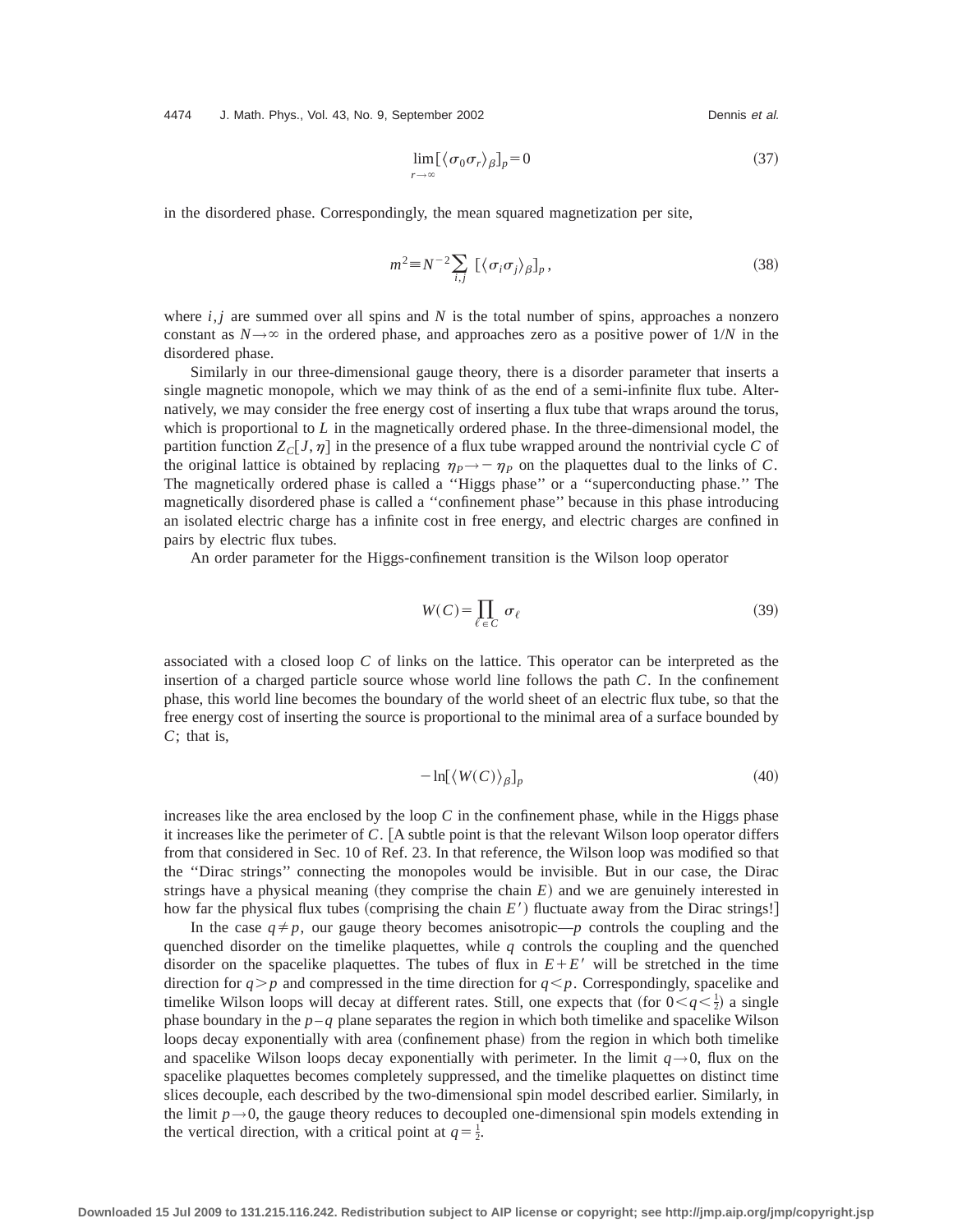4474 J. Math. Phys., Vol. 43, No. 9, September 2002 Dennis et al.

$$
\lim_{r \to \infty} [\langle \sigma_0 \sigma_r \rangle_{\beta}]_p = 0 \tag{37}
$$

in the disordered phase. Correspondingly, the mean squared magnetization per site,

$$
m^2 \equiv N^{-2} \sum_{i,j} \left[ \langle \sigma_i \sigma_j \rangle_{\beta} \right]_p, \tag{38}
$$

where  $i, j$  are summed over all spins and  $N$  is the total number of spins, approaches a nonzero constant as  $N \rightarrow \infty$  in the ordered phase, and approaches zero as a positive power of 1/*N* in the disordered phase.

Similarly in our three-dimensional gauge theory, there is a disorder parameter that inserts a single magnetic monopole, which we may think of as the end of a semi-infinite flux tube. Alternatively, we may consider the free energy cost of inserting a flux tube that wraps around the torus, which is proportional to *L* in the magnetically ordered phase. In the three-dimensional model, the partition function  $Z_C$  *J*,  $\eta$  in the presence of a flux tube wrapped around the nontrivial cycle *C* of the original lattice is obtained by replacing  $\eta_p \rightarrow -\eta_p$  on the plaquettes dual to the links of *C*. The magnetically ordered phase is called a ''Higgs phase'' or a ''superconducting phase.'' The magnetically disordered phase is called a ''confinement phase'' because in this phase introducing an isolated electric charge has a infinite cost in free energy, and electric charges are confined in pairs by electric flux tubes.

An order parameter for the Higgs-confinement transition is the Wilson loop operator

$$
W(C) = \prod_{\ell \in C} \sigma_{\ell} \tag{39}
$$

associated with a closed loop *C* of links on the lattice. This operator can be interpreted as the insertion of a charged particle source whose world line follows the path *C*. In the confinement phase, this world line becomes the boundary of the world sheet of an electric flux tube, so that the free energy cost of inserting the source is proportional to the minimal area of a surface bounded by *C*; that is,

$$
-\ln[\langle W(C)\rangle_{\beta}]_{p} \tag{40}
$$

increases like the area enclosed by the loop *C* in the confinement phase, while in the Higgs phase it increases like the perimeter of  $C$ . [A subtle point is that the relevant Wilson loop operator differs from that considered in Sec. 10 of Ref. 23. In that reference, the Wilson loop was modified so that the ''Dirac strings'' connecting the monopoles would be invisible. But in our case, the Dirac strings have a physical meaning (they comprise the chain  $E$ ) and we are genuinely interested in how far the physical flux tubes (comprising the chain *E'*) fluctuate away from the Dirac strings!

In the case  $q \neq p$ , our gauge theory becomes anisotropic—*p* controls the coupling and the quenched disorder on the timelike plaquettes, while  $q$  controls the coupling and the quenched disorder on the spacelike plaquettes. The tubes of flux in  $E+E'$  will be stretched in the time direction for  $q > p$  and compressed in the time direction for  $q < p$ . Correspondingly, spacelike and timelike Wilson loops will decay at different rates. Still, one expects that (for  $0 < q < \frac{1}{2}$ ) a single phase boundary in the  $p - q$  plane separates the region in which both timelike and spacelike Wilson loops decay exponentially with area (confinement phase) from the region in which both timelike and spacelike Wilson loops decay exponentially with perimeter. In the limit  $q \rightarrow 0$ , flux on the spacelike plaquettes becomes completely suppressed, and the timelike plaquettes on distinct time slices decouple, each described by the two-dimensional spin model described earlier. Similarly, in the limit  $p \rightarrow 0$ , the gauge theory reduces to decoupled one-dimensional spin models extending in the vertical direction, with a critical point at  $q = \frac{1}{2}$ .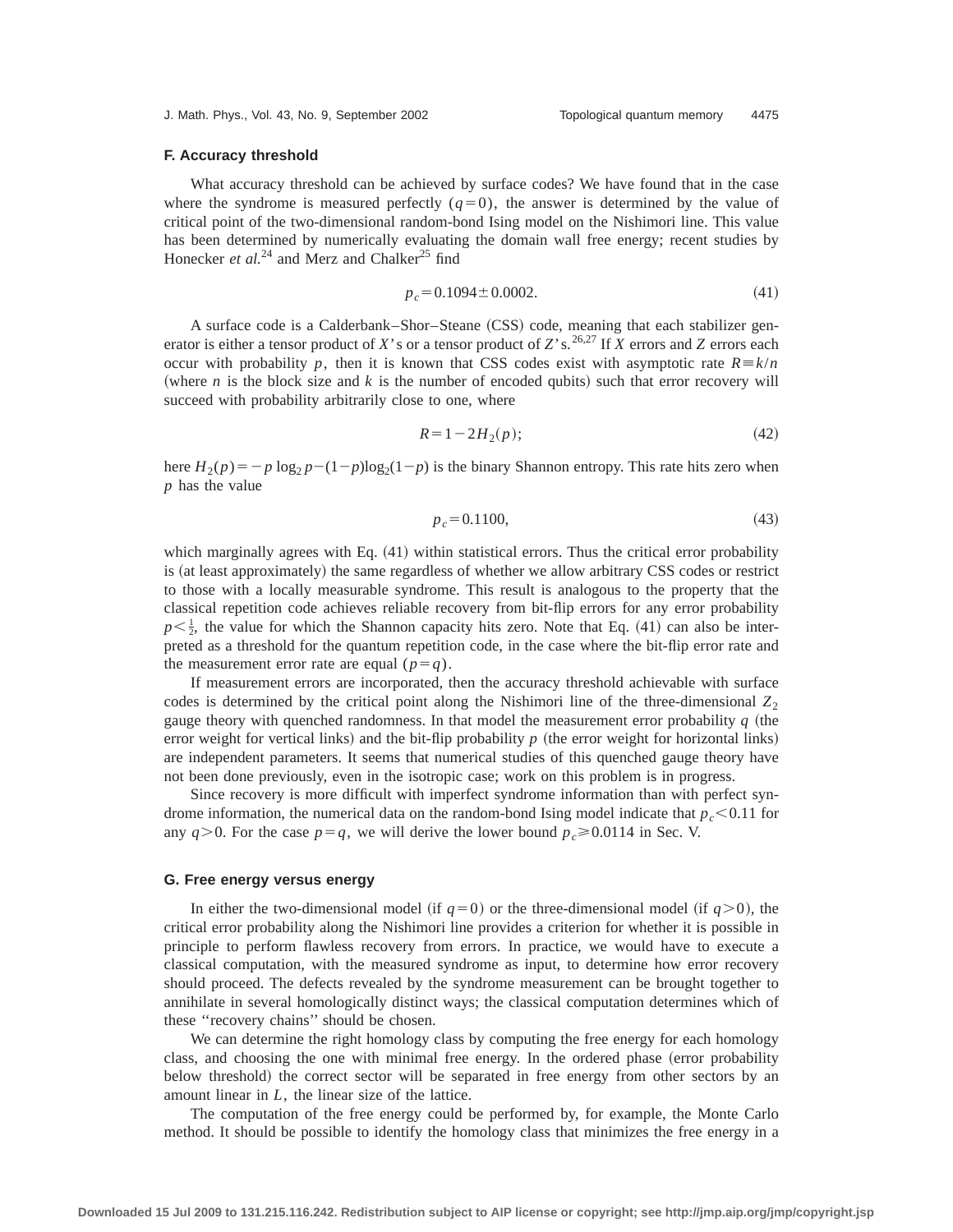## **F. Accuracy threshold**

What accuracy threshold can be achieved by surface codes? We have found that in the case where the syndrome is measured perfectly  $(q=0)$ , the answer is determined by the value of critical point of the two-dimensional random-bond Ising model on the Nishimori line. This value has been determined by numerically evaluating the domain wall free energy; recent studies by Honecker *et al.*<sup>24</sup> and Merz and Chalker<sup>25</sup> find

$$
p_c = 0.1094 \pm 0.0002. \tag{41}
$$

A surface code is a Calderbank–Shor–Steane (CSS) code, meaning that each stabilizer generator is either a tensor product of *X*'s or a tensor product of *Z*'s.<sup>26,27</sup> If *X* errors and *Z* errors each occur with probability *p*, then it is known that CSS codes exist with asymptotic rate  $R = k/n$ (where *n* is the block size and *k* is the number of encoded qubits) such that error recovery will succeed with probability arbitrarily close to one, where

$$
R = 1 - 2H_2(p); \t\t(42)
$$

here  $H_2(p) = -p \log_2 p - (1-p) \log_2(1-p)$  is the binary Shannon entropy. This rate hits zero when *p* has the value

$$
p_c = 0.1100,\t(43)
$$

which marginally agrees with Eq.  $(41)$  within statistical errors. Thus the critical error probability is (at least approximately) the same regardless of whether we allow arbitrary CSS codes or restrict to those with a locally measurable syndrome. This result is analogous to the property that the classical repetition code achieves reliable recovery from bit-flip errors for any error probability  $p<\frac{1}{2}$ , the value for which the Shannon capacity hits zero. Note that Eq. (41) can also be interpreted as a threshold for the quantum repetition code, in the case where the bit-flip error rate and the measurement error rate are equal  $(p=q)$ .

If measurement errors are incorporated, then the accuracy threshold achievable with surface codes is determined by the critical point along the Nishimori line of the three-dimensional  $Z_2$ gauge theory with quenched randomness. In that model the measurement error probability  $q$  (the error weight for vertical links) and the bit-flip probability  $p$  (the error weight for horizontal links) are independent parameters. It seems that numerical studies of this quenched gauge theory have not been done previously, even in the isotropic case; work on this problem is in progress.

Since recovery is more difficult with imperfect syndrome information than with perfect syndrome information, the numerical data on the random-bond Ising model indicate that  $p_c < 0.11$  for any  $q>0$ . For the case  $p=q$ , we will derive the lower bound  $p_c \ge 0.0114$  in Sec. V.

## **G. Free energy versus energy**

In either the two-dimensional model (if  $q=0$ ) or the three-dimensional model (if  $q>0$ ), the critical error probability along the Nishimori line provides a criterion for whether it is possible in principle to perform flawless recovery from errors. In practice, we would have to execute a classical computation, with the measured syndrome as input, to determine how error recovery should proceed. The defects revealed by the syndrome measurement can be brought together to annihilate in several homologically distinct ways; the classical computation determines which of these ''recovery chains'' should be chosen.

We can determine the right homology class by computing the free energy for each homology class, and choosing the one with minimal free energy. In the ordered phase (error probability below threshold) the correct sector will be separated in free energy from other sectors by an amount linear in *L*, the linear size of the lattice.

The computation of the free energy could be performed by, for example, the Monte Carlo method. It should be possible to identify the homology class that minimizes the free energy in a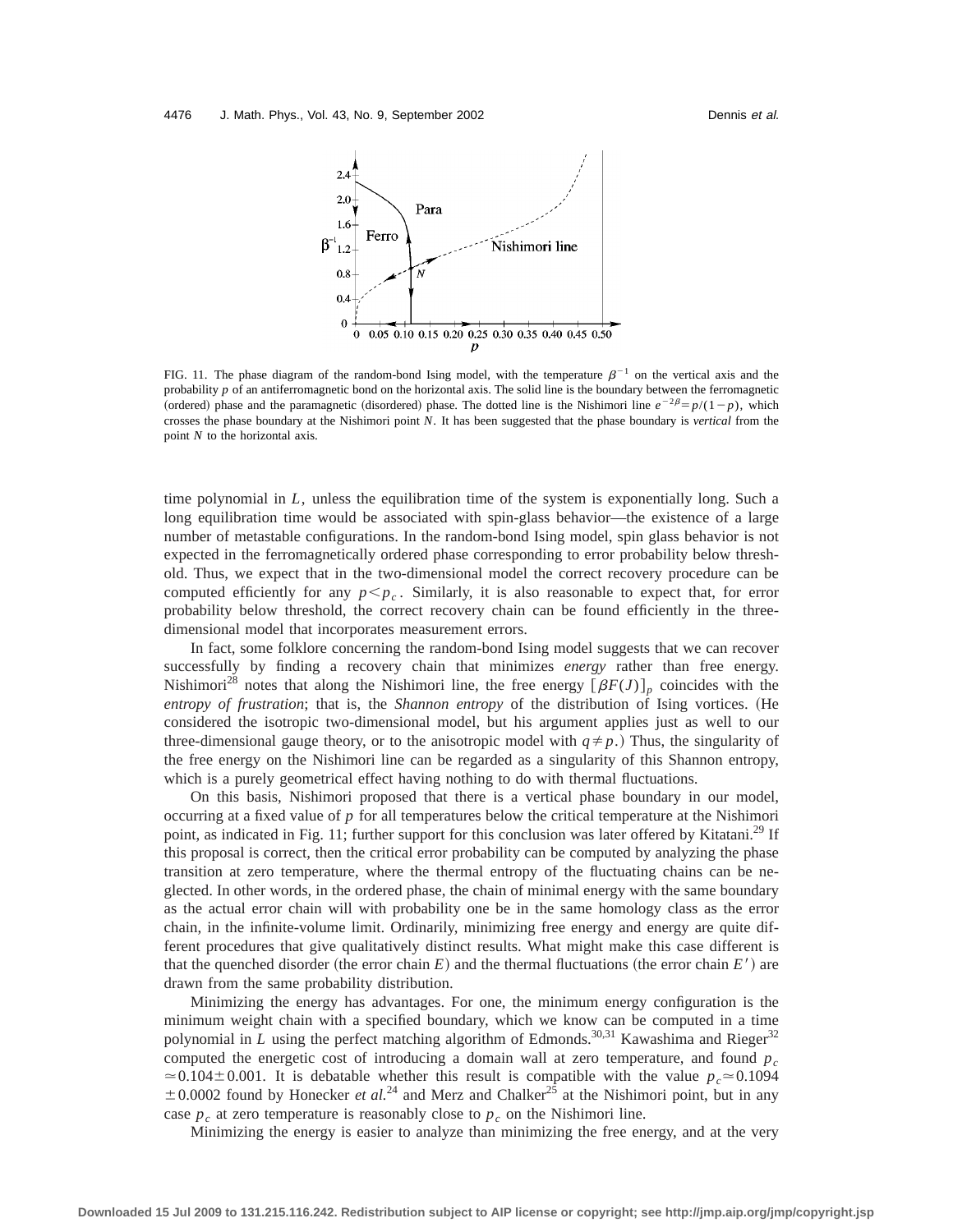

FIG. 11. The phase diagram of the random-bond Ising model, with the temperature  $\beta^{-1}$  on the vertical axis and the probability *p* of an antiferromagnetic bond on the horizontal axis. The solid line is the boundary between the ferromagnetic (ordered) phase and the paramagnetic (disordered) phase. The dotted line is the Nishimori line  $e^{-2\beta} = p/(1-p)$ , which crosses the phase boundary at the Nishimori point *N*. It has been suggested that the phase boundary is *vertical* from the point *N* to the horizontal axis.

time polynomial in *L*, unless the equilibration time of the system is exponentially long. Such a long equilibration time would be associated with spin-glass behavior—the existence of a large number of metastable configurations. In the random-bond Ising model, spin glass behavior is not expected in the ferromagnetically ordered phase corresponding to error probability below threshold. Thus, we expect that in the two-dimensional model the correct recovery procedure can be computed efficiently for any  $p < p_c$ . Similarly, it is also reasonable to expect that, for error probability below threshold, the correct recovery chain can be found efficiently in the threedimensional model that incorporates measurement errors.

In fact, some folklore concerning the random-bond Ising model suggests that we can recover successfully by finding a recovery chain that minimizes *energy* rather than free energy. Nishimori<sup>28</sup> notes that along the Nishimori line, the free energy  $[\beta F(J)]_p$  coincides with the entropy of frustration; that is, the *Shannon entropy* of the distribution of Ising vortices. (He considered the isotropic two-dimensional model, but his argument applies just as well to our three-dimensional gauge theory, or to the anisotropic model with  $q \neq p$ .) Thus, the singularity of the free energy on the Nishimori line can be regarded as a singularity of this Shannon entropy, which is a purely geometrical effect having nothing to do with thermal fluctuations.

On this basis, Nishimori proposed that there is a vertical phase boundary in our model, occurring at a fixed value of *p* for all temperatures below the critical temperature at the Nishimori point, as indicated in Fig. 11; further support for this conclusion was later offered by Kitatani.<sup>29</sup> If this proposal is correct, then the critical error probability can be computed by analyzing the phase transition at zero temperature, where the thermal entropy of the fluctuating chains can be neglected. In other words, in the ordered phase, the chain of minimal energy with the same boundary as the actual error chain will with probability one be in the same homology class as the error chain, in the infinite-volume limit. Ordinarily, minimizing free energy and energy are quite different procedures that give qualitatively distinct results. What might make this case different is that the quenched disorder (the error chain  $E$ ) and the thermal fluctuations (the error chain  $E'$ ) are drawn from the same probability distribution.

Minimizing the energy has advantages. For one, the minimum energy configuration is the minimum weight chain with a specified boundary, which we know can be computed in a time polynomial in *L* using the perfect matching algorithm of Edmonds.<sup>30,31</sup> Kawashima and Rieger<sup>32</sup> computed the energetic cost of introducing a domain wall at zero temperature, and found  $p_c$  $\approx 0.104 \pm 0.001$ . It is debatable whether this result is compatible with the value  $p_c \approx 0.1094$  $\pm$  0.0002 found by Honecker *et al.*<sup>24</sup> and Merz and Chalker<sup>25</sup> at the Nishimori point, but in any case  $p_c$  at zero temperature is reasonably close to  $p_c$  on the Nishimori line.

Minimizing the energy is easier to analyze than minimizing the free energy, and at the very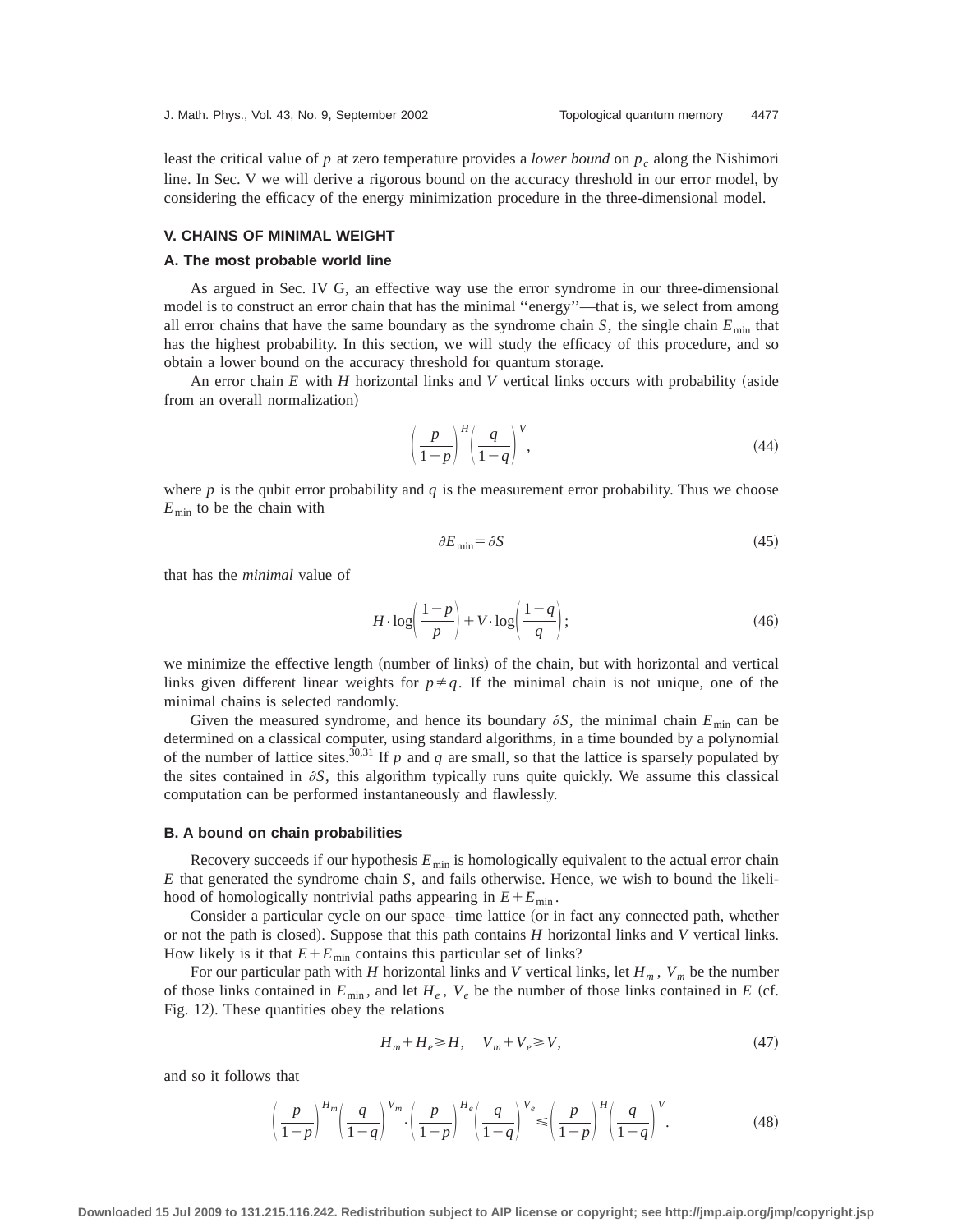least the critical value of *p* at zero temperature provides a *lower bound* on *pc* along the Nishimori line. In Sec. V we will derive a rigorous bound on the accuracy threshold in our error model, by considering the efficacy of the energy minimization procedure in the three-dimensional model.

# **V. CHAINS OF MINIMAL WEIGHT**

#### **A. The most probable world line**

As argued in Sec. IV G, an effective way use the error syndrome in our three-dimensional model is to construct an error chain that has the minimal "energy"—that is, we select from among all error chains that have the same boundary as the syndrome chain  $S$ , the single chain  $E_{\text{min}}$  that has the highest probability. In this section, we will study the efficacy of this procedure, and so obtain a lower bound on the accuracy threshold for quantum storage.

An error chain  $E$  with  $H$  horizontal links and  $V$  vertical links occurs with probability (aside from an overall normalization)

$$
\left(\frac{p}{1-p}\right)^H \left(\frac{q}{1-q}\right)^V,\tag{44}
$$

where  $p$  is the qubit error probability and  $q$  is the measurement error probability. Thus we choose  $E_{\text{min}}$  to be the chain with

$$
\partial E_{\min} = \partial S \tag{45}
$$

that has the *minimal* value of

$$
H \cdot \log\left(\frac{1-p}{p}\right) + V \cdot \log\left(\frac{1-q}{q}\right);\tag{46}
$$

we minimize the effective length (number of links) of the chain, but with horizontal and vertical links given different linear weights for  $p \neq q$ . If the minimal chain is not unique, one of the minimal chains is selected randomly.

Given the measured syndrome, and hence its boundary  $\partial S$ , the minimal chain  $E_{\text{min}}$  can be determined on a classical computer, using standard algorithms, in a time bounded by a polynomial of the number of lattice sites.<sup>30,31</sup> If  $p$  and  $q$  are small, so that the lattice is sparsely populated by the sites contained in  $\partial S$ , this algorithm typically runs quite quickly. We assume this classical computation can be performed instantaneously and flawlessly.

#### **B. A bound on chain probabilities**

Recovery succeeds if our hypothesis  $E_{\text{min}}$  is homologically equivalent to the actual error chain *E* that generated the syndrome chain *S*, and fails otherwise. Hence, we wish to bound the likelihood of homologically nontrivial paths appearing in  $E + E_{min}$ .

Consider a particular cycle on our space–time lattice (or in fact any connected path, whether or not the path is closed). Suppose that this path contains  $H$  horizontal links and  $V$  vertical links. How likely is it that  $E + E_{min}$  contains this particular set of links?

For our particular path with *H* horizontal links and *V* vertical links, let  $H_m$ ,  $V_m$  be the number of those links contained in  $E_{\text{min}}$ , and let  $H_e$ ,  $V_e$  be the number of those links contained in *E* (cf. Fig. 12). These quantities obey the relations

$$
H_m + H_e \ge H, \quad V_m + V_e \ge V,\tag{47}
$$

and so it follows that

$$
\left(\frac{p}{1-p}\right)^{H_m} \left(\frac{q}{1-q}\right)^{V_m} \cdot \left(\frac{p}{1-p}\right)^{H_e} \left(\frac{q}{1-q}\right)^{V_e} \leq \left(\frac{p}{1-p}\right)^{H} \left(\frac{q}{1-q}\right)^{V}.
$$
\n(48)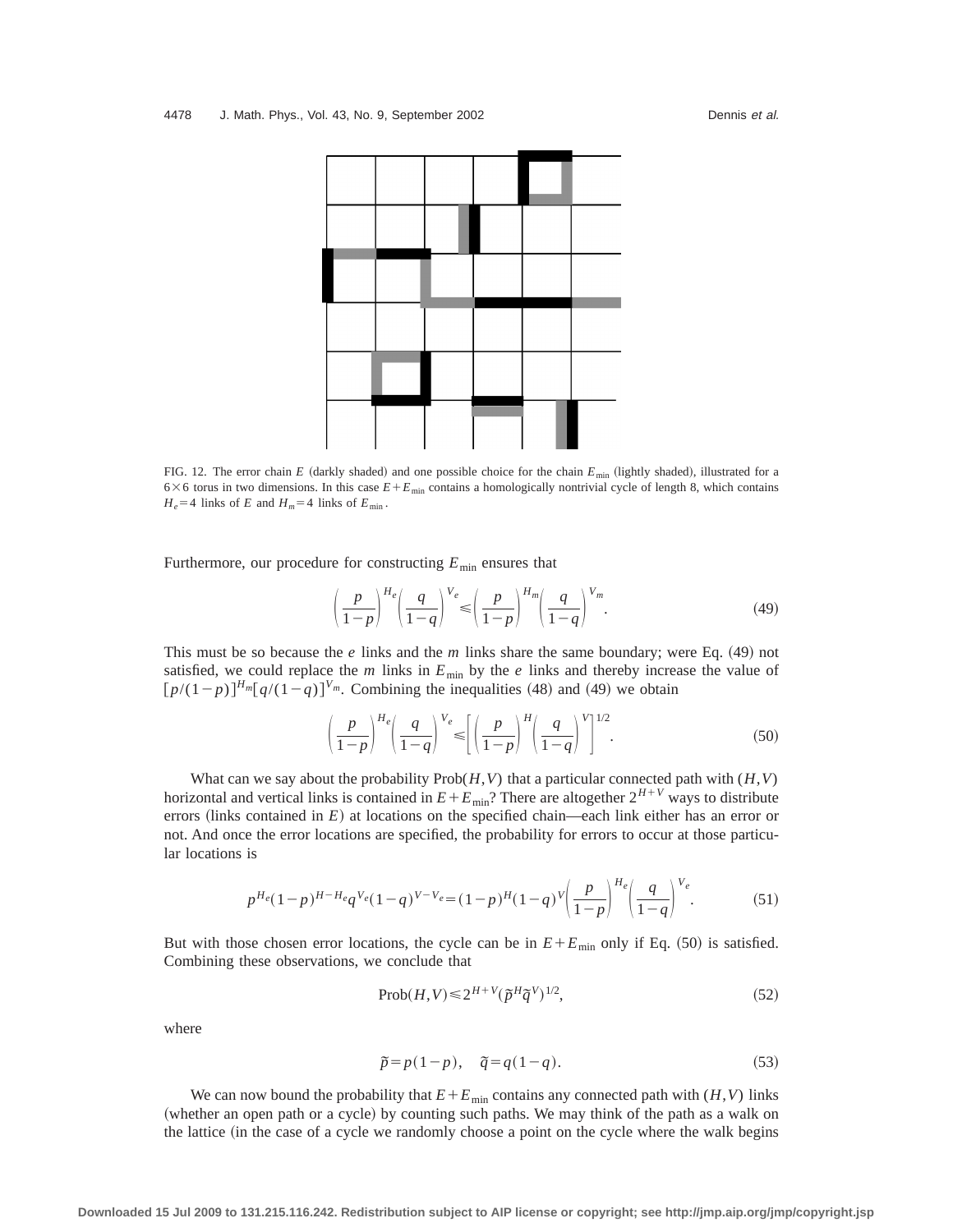

FIG. 12. The error chain *E* (darkly shaded) and one possible choice for the chain  $E_{\text{min}}$  (lightly shaded), illustrated for a  $6\times6$  torus in two dimensions. In this case  $E+E_{\text{min}}$  contains a homologically nontrivial cycle of length 8, which contains  $H_e$ =4 links of *E* and  $H_m$ =4 links of  $E_{min}$ .

Furthermore, our procedure for constructing  $E_{\text{min}}$  ensures that

$$
\left(\frac{p}{1-p}\right)^{H_e} \left(\frac{q}{1-q}\right)^{V_e} \leqslant \left(\frac{p}{1-p}\right)^{H_m} \left(\frac{q}{1-q}\right)^{V_m}.
$$
\n(49)

This must be so because the  $e$  links and the  $m$  links share the same boundary; were Eq.  $(49)$  not satisfied, we could replace the  $m$  links in  $E_{\text{min}}$  by the  $e$  links and thereby increase the value of  $[p/(1-p)]^{H_m} [q/(1-q)]^{V_m}$ . Combining the inequalities (48) and (49) we obtain

$$
\left(\frac{p}{1-p}\right)^{H_e} \left(\frac{q}{1-q}\right)^{V_e} \leqslant \left[\left(\frac{p}{1-p}\right)^H \left(\frac{q}{1-q}\right)^{V}\right]^{1/2}.
$$
\n
$$
(50)
$$

What can we say about the probability  $Prob(H, V)$  that a particular connected path with  $(H, V)$ horizontal and vertical links is contained in  $E + E_{min}$ ? There are altogether  $2^{H+V}$  ways to distribute errors (links contained in  $E$ ) at locations on the specified chain—each link either has an error or not. And once the error locations are specified, the probability for errors to occur at those particular locations is

$$
p^{H_e}(1-p)^{H-H_e}q^{V_e}(1-q)^{V-V_e} = (1-p)^H(1-q)^V \left(\frac{p}{1-p}\right)^{H_e} \left(\frac{q}{1-q}\right)^{V_e}.\tag{51}
$$

But with those chosen error locations, the cycle can be in  $E + E_{min}$  only if Eq. (50) is satisfied. Combining these observations, we conclude that

$$
\text{Prob}(H, V) \le 2^{H+V} (\tilde{p}^H \tilde{q}^V)^{1/2},\tag{52}
$$

where

$$
\tilde{p} = p(1-p), \quad \tilde{q} = q(1-q). \tag{53}
$$

We can now bound the probability that  $E + E_{\text{min}}$  contains any connected path with  $(H, V)$  links (whether an open path or a cycle) by counting such paths. We may think of the path as a walk on the lattice (in the case of a cycle we randomly choose a point on the cycle where the walk begins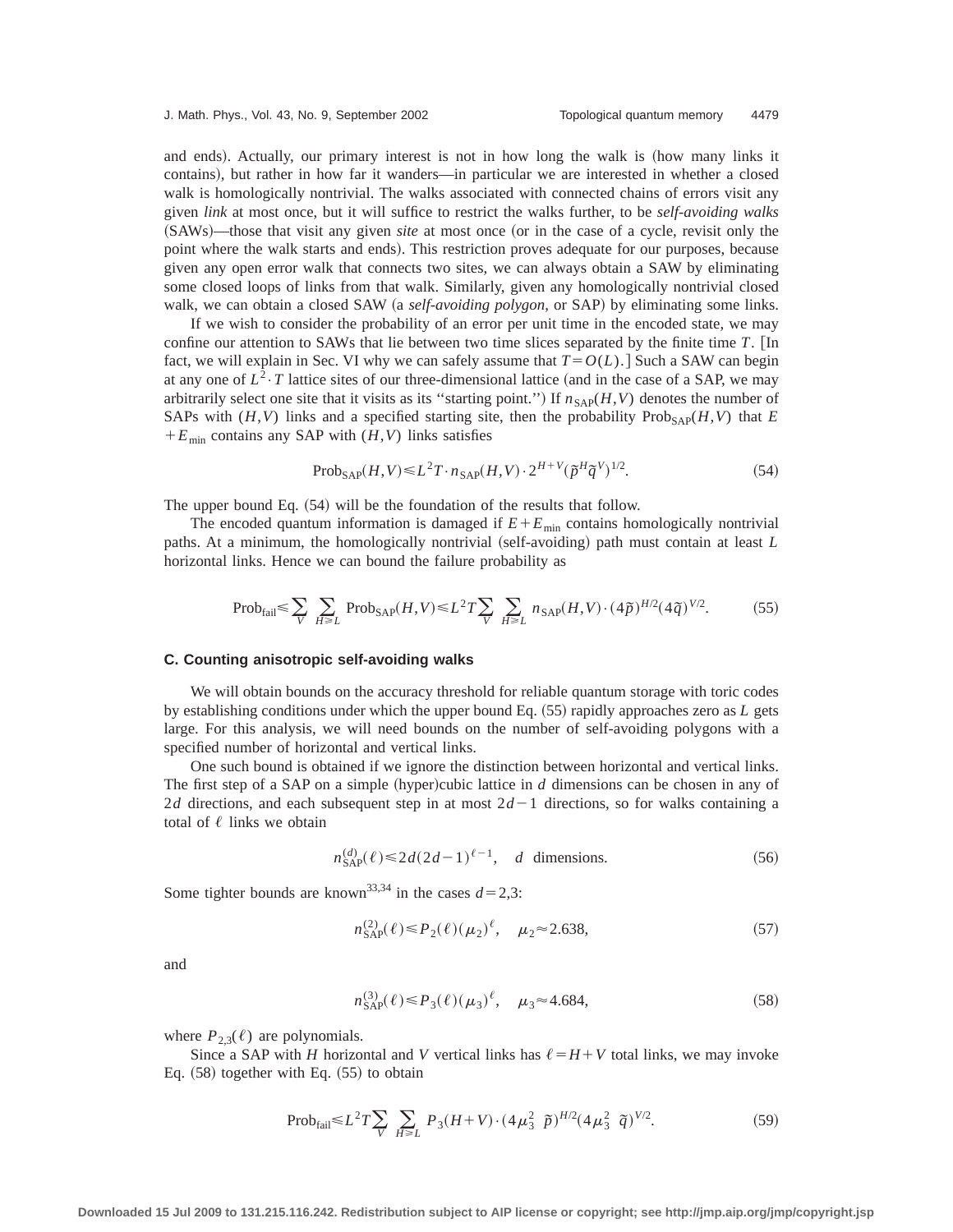and ends). Actually, our primary interest is not in how long the walk is (how many links it contains), but rather in how far it wanders—in particular we are interested in whether a closed walk is homologically nontrivial. The walks associated with connected chains of errors visit any given *link* at most once, but it will suffice to restrict the walks further, to be *self-avoiding walks* (SAWs)—those that visit any given *site* at most once (or in the case of a cycle, revisit only the point where the walk starts and ends). This restriction proves adequate for our purposes, because given any open error walk that connects two sites, we can always obtain a SAW by eliminating some closed loops of links from that walk. Similarly, given any homologically nontrivial closed walk, we can obtain a closed SAW (a *self-avoiding polygon*, or SAP) by eliminating some links.

If we wish to consider the probability of an error per unit time in the encoded state, we may confine our attention to SAWs that lie between two time slices separated by the finite time  $T$ . [In fact, we will explain in Sec. VI why we can safely assume that  $T = O(L)$ . Such a SAW can begin at any one of  $L^2 \tcdot T$  lattice sites of our three-dimensional lattice (and in the case of a SAP, we may arbitrarily select one site that it visits as its "starting point.") If  $n_{SAP}(H, V)$  denotes the number of SAPs with  $(H, V)$  links and a specified starting site, then the probability Prob<sub>SAP</sub> $(H, V)$  that *E*  $+E_{\text{min}}$  contains any SAP with  $(H, V)$  links satisfies

$$
\text{Prob}_{\text{SAP}}(H, V) \le L^2 T \cdot n_{\text{SAP}}(H, V) \cdot 2^{H+V} (\tilde{p}^H \tilde{q}^V)^{1/2}.
$$
 (54)

The upper bound Eq.  $(54)$  will be the foundation of the results that follow.

The encoded quantum information is damaged if  $E + E_{min}$  contains homologically nontrivial paths. At a minimum, the homologically nontrivial (self-avoiding) path must contain at least *L* horizontal links. Hence we can bound the failure probability as

$$
\text{Prob}_{\text{fail}} \leq \sum_{V} \sum_{H \geq L} \text{Prob}_{\text{SAP}}(H, V) \leq L^2 T \sum_{V} \sum_{H \geq L} n_{\text{SAP}}(H, V) \cdot (4\tilde{\rho})^{H/2} (4\tilde{q})^{V/2}.
$$
 (55)

#### **C. Counting anisotropic self-avoiding walks**

We will obtain bounds on the accuracy threshold for reliable quantum storage with toric codes by establishing conditions under which the upper bound Eq. (55) rapidly approaches zero as *L* gets large. For this analysis, we will need bounds on the number of self-avoiding polygons with a specified number of horizontal and vertical links.

One such bound is obtained if we ignore the distinction between horizontal and vertical links. The first step of a SAP on a simple (hyper)cubic lattice in  $d$  dimensions can be chosen in any of 2*d* directions, and each subsequent step in at most  $2d-1$  directions, so for walks containing a total of  $\ell$  links we obtain

$$
n_{\text{SAP}}^{(d)}(\ell) \le 2d(2d-1)^{\ell-1}, \quad d \text{ dimensions.} \tag{56}
$$

Some tighter bounds are known<sup>33,34</sup> in the cases  $d=2,3$ :

$$
n_{\text{SAP}}^{(2)}(\ell) \le P_2(\ell) (\mu_2)^{\ell}, \quad \mu_2 \approx 2.638,\tag{57}
$$

and

$$
n_{\text{SAP}}^{(3)}(\ell) \le P_3(\ell)(\mu_3)^{\ell}, \quad \mu_3 \approx 4.684,\tag{58}
$$

where  $P_{2,3}(\ell)$  are polynomials.

Since a SAP with *H* horizontal and *V* vertical links has  $\ell = H + V$  total links, we may invoke Eq.  $(58)$  together with Eq.  $(55)$  to obtain

$$
\text{Prob}_{\text{fail}} \leq L^2 T \sum_{V} \sum_{H \geq L} P_3(H+V) \cdot (4\mu_3^2 \ \tilde{p})^{H/2} (4\mu_3^2 \ \tilde{q})^{V/2}.
$$
 (59)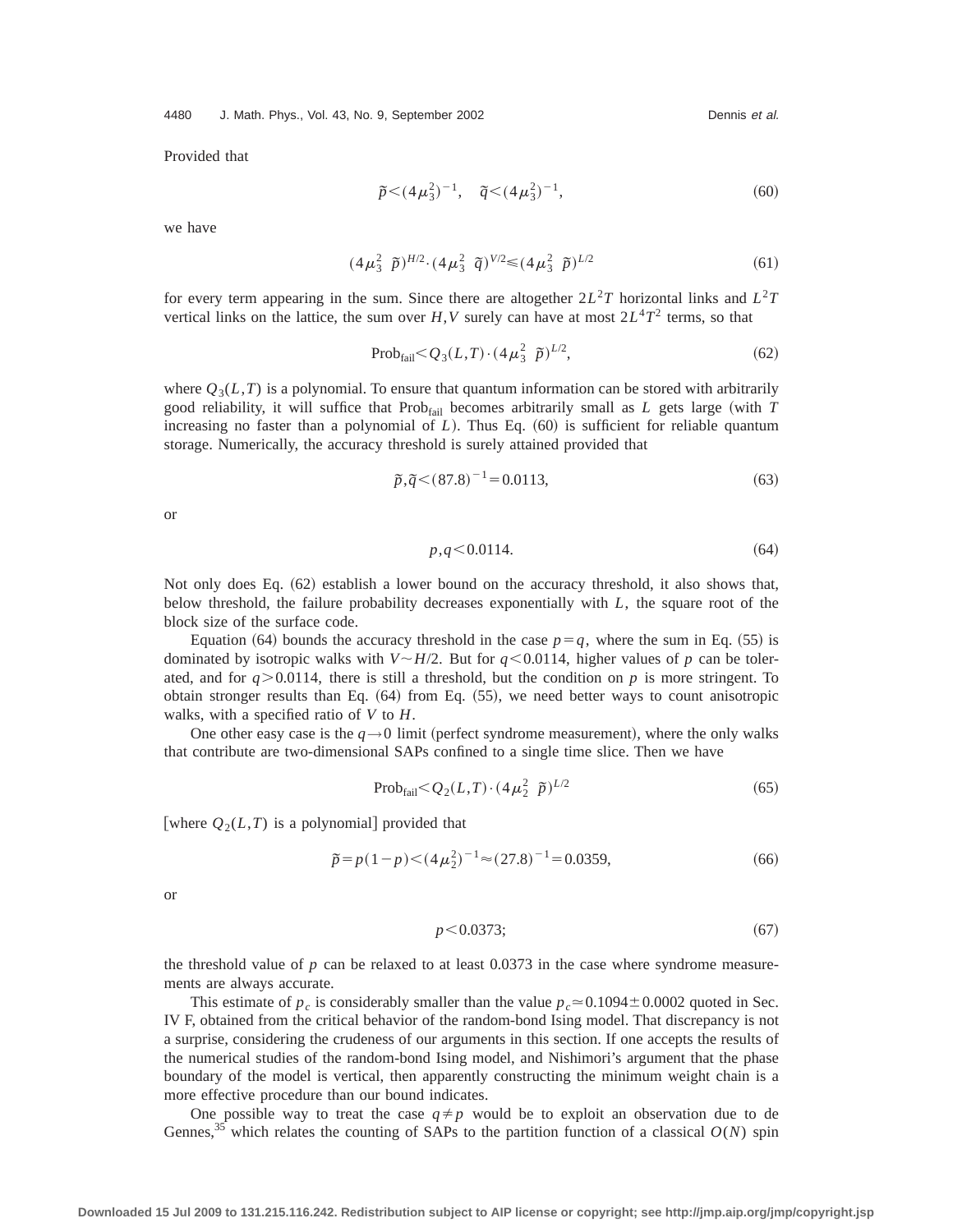Provided that

$$
\tilde{p} < (4\mu_3^2)^{-1}, \quad \tilde{q} < (4\mu_3^2)^{-1}, \tag{60}
$$

we have

$$
(4\mu_3^2 \ \tilde{p})^{H/2} \cdot (4\mu_3^2 \ \tilde{q})^{V/2} \leq (4\mu_3^2 \ \tilde{p})^{L/2} \tag{61}
$$

for every term appearing in the sum. Since there are altogether  $2L^2T$  horizontal links and  $L^2T$ vertical links on the lattice, the sum over  $H, V$  surely can have at most  $2L^4T^2$  terms, so that

$$
Prob_{\text{fail}} < Q_3(L, T) \cdot (4\,\mu_3^2 \ \ \tilde{p})^{L/2},\tag{62}
$$

where  $Q_3(L,T)$  is a polynomial. To ensure that quantum information can be stored with arbitrarily good reliability, it will suffice that  $Prob<sub>fail</sub>$  becomes arbitrarily small as *L* gets large (with *T* increasing no faster than a polynomial of  $L$ ). Thus Eq.  $(60)$  is sufficient for reliable quantum storage. Numerically, the accuracy threshold is surely attained provided that

$$
\tilde{p}, \tilde{q} < (87.8)^{-1} = 0.0113,\tag{63}
$$

or

$$
p, q \le 0.0114. \tag{64}
$$

Not only does Eq.  $(62)$  establish a lower bound on the accuracy threshold, it also shows that, below threshold, the failure probability decreases exponentially with *L*, the square root of the block size of the surface code.

Equation (64) bounds the accuracy threshold in the case  $p=q$ , where the sum in Eq. (55) is dominated by isotropic walks with  $V \sim H/2$ . But for  $q \le 0.0114$ , higher values of p can be tolerated, and for  $q > 0.0114$ , there is still a threshold, but the condition on p is more stringent. To obtain stronger results than Eq.  $(64)$  from Eq.  $(55)$ , we need better ways to count anisotropic walks, with a specified ratio of *V* to *H*.

One other easy case is the  $q \rightarrow 0$  limit (perfect syndrome measurement), where the only walks that contribute are two-dimensional SAPs confined to a single time slice. Then we have

$$
Prob_{\text{fail}} < Q_2(L,T) \cdot (4\mu_2^2 \ \tilde{p})^{L/2} \tag{65}
$$

[where  $Q_2(L,T)$  is a polynomial] provided that

$$
\tilde{p} = p(1-p) < (4\mu_2^2)^{-1} \approx (27.8)^{-1} = 0.0359,\tag{66}
$$

or

$$
p < 0.0373; \tag{67}
$$

the threshold value of  $p$  can be relaxed to at least  $0.0373$  in the case where syndrome measurements are always accurate.

This estimate of  $p_c$  is considerably smaller than the value  $p_c \approx 0.1094 \pm 0.0002$  quoted in Sec. IV F, obtained from the critical behavior of the random-bond Ising model. That discrepancy is not a surprise, considering the crudeness of our arguments in this section. If one accepts the results of the numerical studies of the random-bond Ising model, and Nishimori's argument that the phase boundary of the model is vertical, then apparently constructing the minimum weight chain is a more effective procedure than our bound indicates.

One possible way to treat the case  $q \neq p$  would be to exploit an observation due to de Gennes,<sup>35</sup> which relates the counting of SAPs to the partition function of a classical  $O(N)$  spin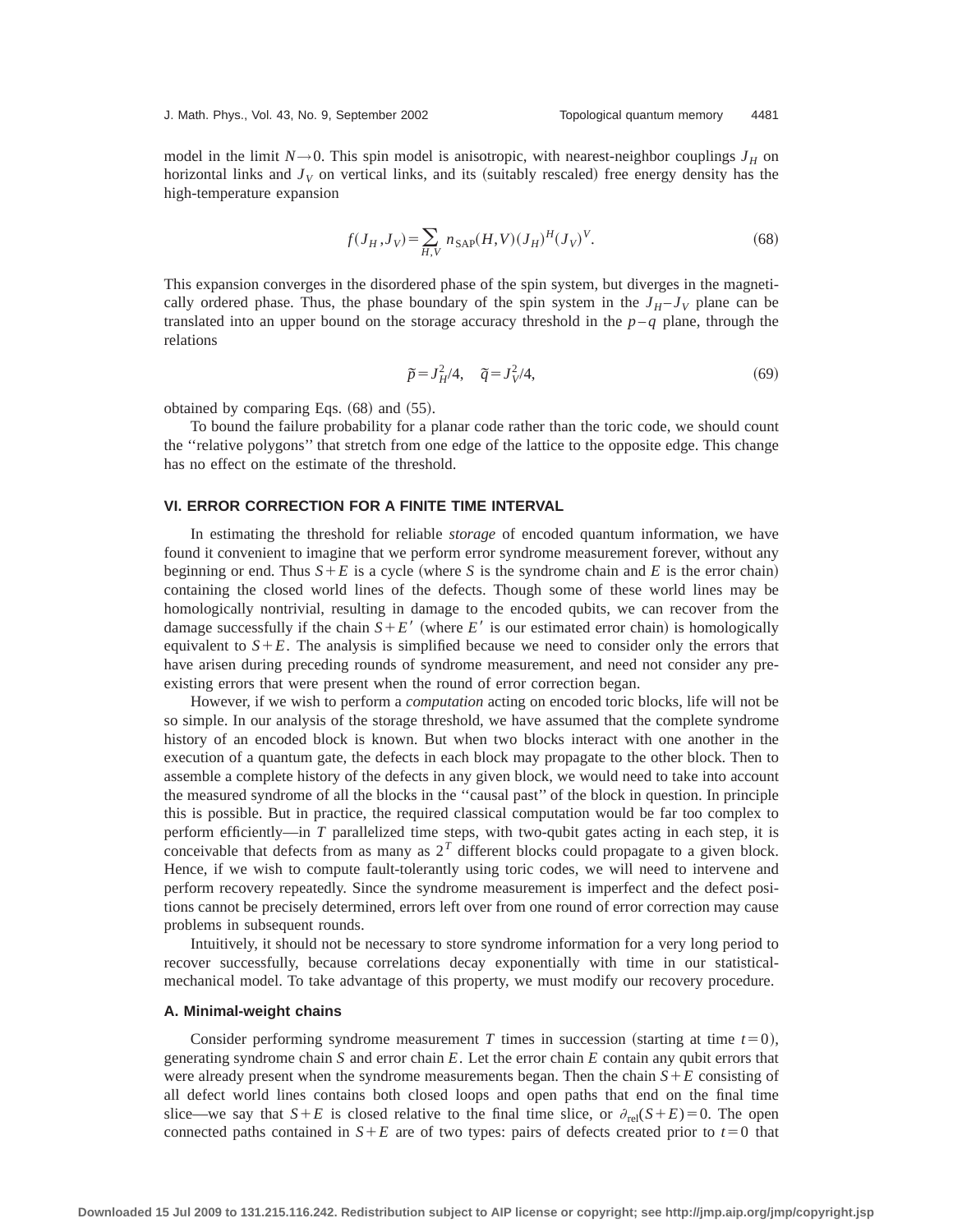model in the limit  $N \rightarrow 0$ . This spin model is anisotropic, with nearest-neighbor couplings  $J_H$  on horizontal links and  $J_V$  on vertical links, and its (suitably rescaled) free energy density has the high-temperature expansion

$$
f(J_H, J_V) = \sum_{H, V} n_{\text{SAP}}(H, V) (J_H)^H (J_V)^V.
$$
 (68)

This expansion converges in the disordered phase of the spin system, but diverges in the magnetically ordered phase. Thus, the phase boundary of the spin system in the  $J_H - J_V$  plane can be translated into an upper bound on the storage accuracy threshold in the  $p - q$  plane, through the relations

$$
\tilde{p} = J_H^2 / 4, \quad \tilde{q} = J_V^2 / 4,\tag{69}
$$

obtained by comparing Eqs.  $(68)$  and  $(55)$ .

To bound the failure probability for a planar code rather than the toric code, we should count the ''relative polygons'' that stretch from one edge of the lattice to the opposite edge. This change has no effect on the estimate of the threshold.

## **VI. ERROR CORRECTION FOR A FINITE TIME INTERVAL**

In estimating the threshold for reliable *storage* of encoded quantum information, we have found it convenient to imagine that we perform error syndrome measurement forever, without any beginning or end. Thus  $S + E$  is a cycle (where *S* is the syndrome chain and *E* is the error chain) containing the closed world lines of the defects. Though some of these world lines may be homologically nontrivial, resulting in damage to the encoded qubits, we can recover from the damage successfully if the chain  $S + E'$  (where *E'* is our estimated error chain) is homologically equivalent to  $S + E$ . The analysis is simplified because we need to consider only the errors that have arisen during preceding rounds of syndrome measurement, and need not consider any preexisting errors that were present when the round of error correction began.

However, if we wish to perform a *computation* acting on encoded toric blocks, life will not be so simple. In our analysis of the storage threshold, we have assumed that the complete syndrome history of an encoded block is known. But when two blocks interact with one another in the execution of a quantum gate, the defects in each block may propagate to the other block. Then to assemble a complete history of the defects in any given block, we would need to take into account the measured syndrome of all the blocks in the ''causal past'' of the block in question. In principle this is possible. But in practice, the required classical computation would be far too complex to perform efficiently—in *T* parallelized time steps, with two-qubit gates acting in each step, it is conceivable that defects from as many as 2*<sup>T</sup>* different blocks could propagate to a given block. Hence, if we wish to compute fault-tolerantly using toric codes, we will need to intervene and perform recovery repeatedly. Since the syndrome measurement is imperfect and the defect positions cannot be precisely determined, errors left over from one round of error correction may cause problems in subsequent rounds.

Intuitively, it should not be necessary to store syndrome information for a very long period to recover successfully, because correlations decay exponentially with time in our statisticalmechanical model. To take advantage of this property, we must modify our recovery procedure.

## **A. Minimal-weight chains**

Consider performing syndrome measurement *T* times in succession (starting at time  $t=0$ ), generating syndrome chain *S* and error chain *E*. Let the error chain *E* contain any qubit errors that were already present when the syndrome measurements began. Then the chain  $S+E$  consisting of all defect world lines contains both closed loops and open paths that end on the final time slice—we say that  $S+E$  is closed relative to the final time slice, or  $\partial_{rel}(S+E)=0$ . The open connected paths contained in  $S + E$  are of two types: pairs of defects created prior to  $t = 0$  that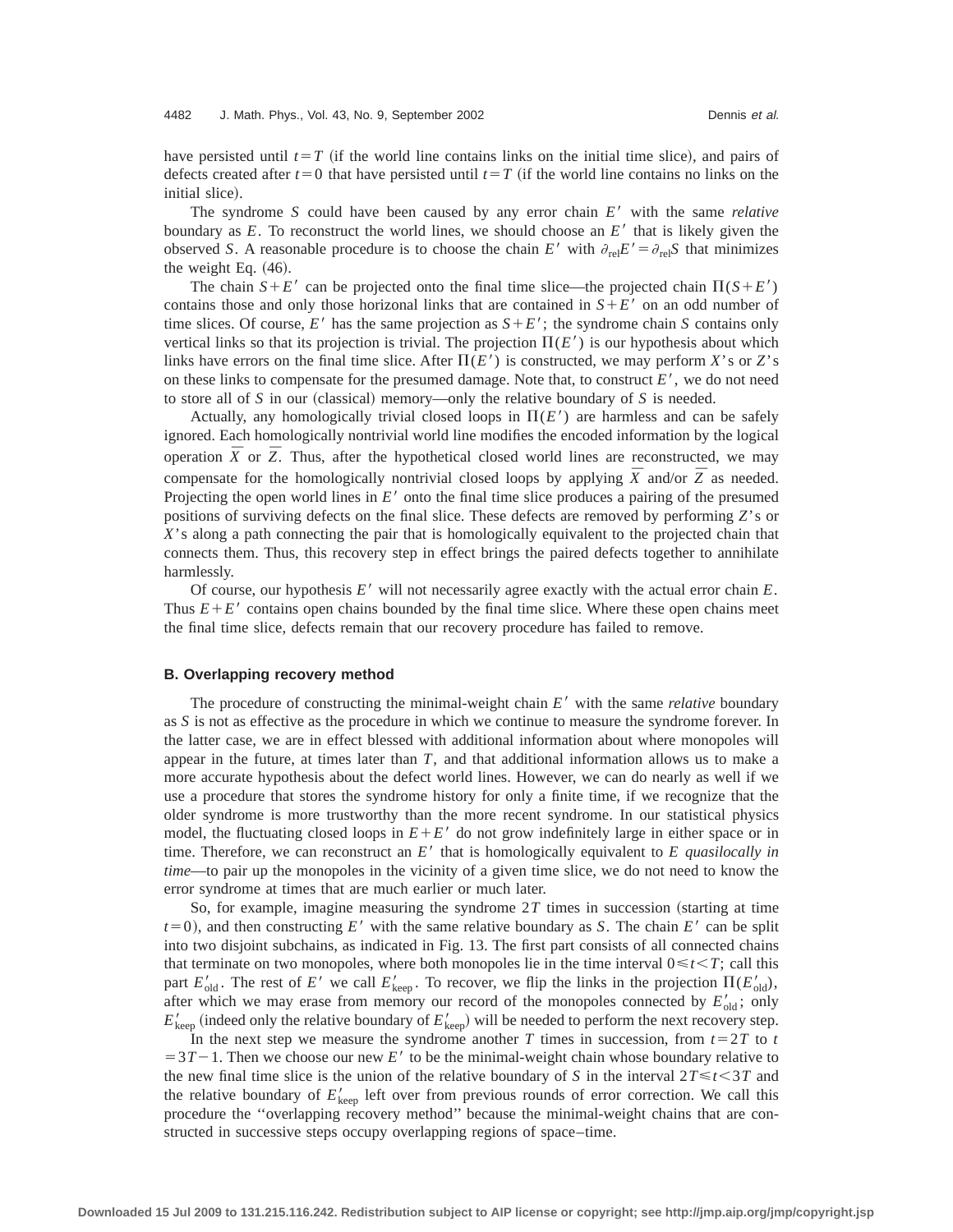have persisted until  $t=T$  (if the world line contains links on the initial time slice), and pairs of defects created after  $t=0$  that have persisted until  $t=T$  (if the world line contains no links on the initial slice).

The syndrome *S* could have been caused by any error chain *E'* with the same *relative* boundary as  $E$ . To reconstruct the world lines, we should choose an  $E'$  that is likely given the observed *S*. A reasonable procedure is to choose the chain *E'* with  $\partial_{rel}E' = \partial_{rel}S$  that minimizes the weight Eq.  $(46)$ .

The chain  $S + E'$  can be projected onto the final time slice—the projected chain  $\Pi(S + E')$ contains those and only those horizonal links that are contained in  $S + E'$  on an odd number of time slices. Of course, *E'* has the same projection as  $S + E'$ ; the syndrome chain *S* contains only vertical links so that its projection is trivial. The projection  $\Pi(E')$  is our hypothesis about which links have errors on the final time slice. After  $\Pi(E')$  is constructed, we may perform *X*'s or *Z*'s on these links to compensate for the presumed damage. Note that, to construct  $E'$ , we do not need to store all of *S* in our (classical) memory—only the relative boundary of *S* is needed.

Actually, any homologically trivial closed loops in  $\Pi(E')$  are harmless and can be safely ignored. Each homologically nontrivial world line modifies the encoded information by the logical operation  $\bar{X}$  or  $\bar{Z}$ . Thus, after the hypothetical closed world lines are reconstructed, we may compensate for the homologically nontrivial closed loops by applying  $\bar{X}$  and/or  $\bar{Z}$  as needed. Projecting the open world lines in *E'* onto the final time slice produces a pairing of the presumed positions of surviving defects on the final slice. These defects are removed by performing *Z*'s or *X*'s along a path connecting the pair that is homologically equivalent to the projected chain that connects them. Thus, this recovery step in effect brings the paired defects together to annihilate harmlessly.

Of course, our hypothesis  $E'$  will not necessarily agree exactly with the actual error chain  $E$ . Thus  $E+E'$  contains open chains bounded by the final time slice. Where these open chains meet the final time slice, defects remain that our recovery procedure has failed to remove.

## **B. Overlapping recovery method**

The procedure of constructing the minimal-weight chain  $E'$  with the same *relative* boundary as *S* is not as effective as the procedure in which we continue to measure the syndrome forever. In the latter case, we are in effect blessed with additional information about where monopoles will appear in the future, at times later than *T*, and that additional information allows us to make a more accurate hypothesis about the defect world lines. However, we can do nearly as well if we use a procedure that stores the syndrome history for only a finite time, if we recognize that the older syndrome is more trustworthy than the more recent syndrome. In our statistical physics model, the fluctuating closed loops in  $E + E'$  do not grow indefinitely large in either space or in time. Therefore, we can reconstruct an  $E'$  that is homologically equivalent to  $E$  quasilocally in *time*—to pair up the monopoles in the vicinity of a given time slice, we do not need to know the error syndrome at times that are much earlier or much later.

So, for example, imagine measuring the syndrome  $2T$  times in succession (starting at time  $t=0$ ), and then constructing *E*<sup>8</sup> with the same relative boundary as *S*. The chain *E*<sup>8</sup> can be split into two disjoint subchains, as indicated in Fig. 13. The first part consists of all connected chains that terminate on two monopoles, where both monopoles lie in the time interval  $0 \le t \le T$ ; call this part  $E'_{old}$ . The rest of  $E'$  we call  $E'_{keep}$ . To recover, we flip the links in the projection  $\Pi(E'_{old})$ , after which we may erase from memory our record of the monopoles connected by  $E'_{old}$ ; only  $E'_{\text{keep}}$  (indeed only the relative boundary of  $E'_{\text{keep}}$ ) will be needed to perform the next recovery step.

In the next step we measure the syndrome another *T* times in succession, from  $t=2T$  to *t*  $=3T-1$ . Then we choose our new E' to be the minimal-weight chain whose boundary relative to the new final time slice is the union of the relative boundary of *S* in the interval  $2T \le t \le 3T$  and the relative boundary of  $E'_{\text{keep}}$  left over from previous rounds of error correction. We call this procedure the ''overlapping recovery method'' because the minimal-weight chains that are constructed in successive steps occupy overlapping regions of space–time.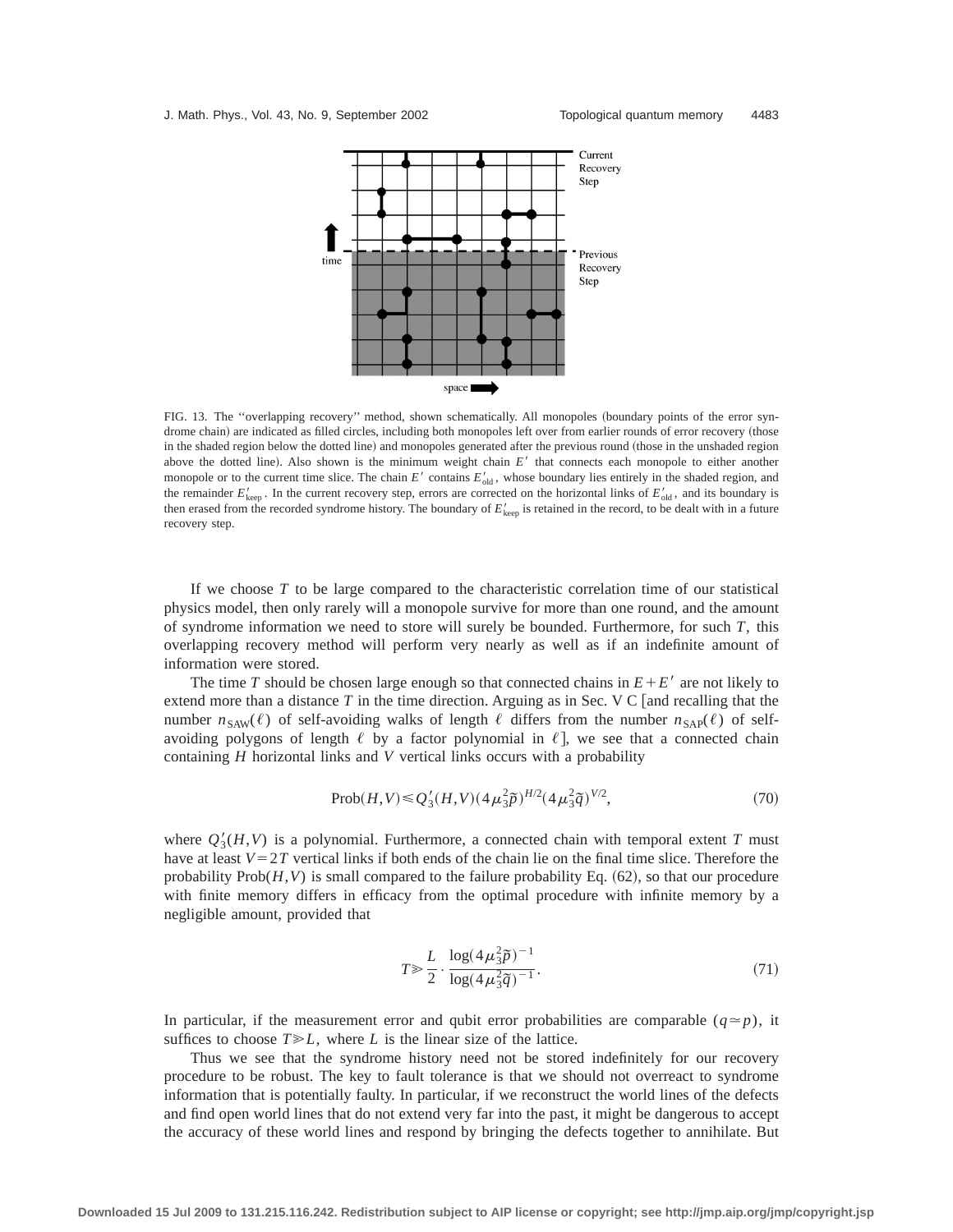

FIG. 13. The "overlapping recovery" method, shown schematically. All monopoles (boundary points of the error syndrome chain) are indicated as filled circles, including both monopoles left over from earlier rounds of error recovery (those in the shaded region below the dotted line) and monopoles generated after the previous round (those in the unshaded region above the dotted line). Also shown is the minimum weight chain  $E'$  that connects each monopole to either another monopole or to the current time slice. The chain *E'* contains  $E'_{old}$ , whose boundary lies entirely in the shaded region, and the remainder  $E'_{\text{keep}}$ . In the current recovery step, errors are corrected on the horizontal links of  $E'_{\text{old}}$ , and its boundary is then erased from the recorded syndrome history. The boundary of  $E'_{\text{keep}}$  is retained in the record, to be dealt with in a future recovery step.

If we choose *T* to be large compared to the characteristic correlation time of our statistical physics model, then only rarely will a monopole survive for more than one round, and the amount of syndrome information we need to store will surely be bounded. Furthermore, for such *T*, this overlapping recovery method will perform very nearly as well as if an indefinite amount of information were stored.

The time *T* should be chosen large enough so that connected chains in  $E + E'$  are not likely to extend more than a distance  $T$  in the time direction. Arguing as in Sec. V C [and recalling that the number  $n_{\text{SAW}}(\ell)$  of self-avoiding walks of length  $\ell$  differs from the number  $n_{\text{SAP}}(\ell)$  of selfavoiding polygons of length  $\ell$  by a factor polynomial in  $\ell$ , we see that a connected chain containing *H* horizontal links and *V* vertical links occurs with a probability

$$
\text{Prob}(H, V) \le Q_3'(H, V) \left(4\,\mu_3^2 \tilde{p}\right)^{H/2} \left(4\,\mu_3^2 \tilde{q}\right)^{V/2},\tag{70}
$$

where  $Q'_{3}(H,V)$  is a polynomial. Furthermore, a connected chain with temporal extent *T* must have at least  $V=2T$  vertical links if both ends of the chain lie on the final time slice. Therefore the probability  $Prob(H, V)$  is small compared to the failure probability Eq.  $(62)$ , so that our procedure with finite memory differs in efficacy from the optimal procedure with infinite memory by a negligible amount, provided that

$$
T \gg \frac{L}{2} \cdot \frac{\log(4\mu_3^2 \tilde{p})^{-1}}{\log(4\mu_3^2 \tilde{q})^{-1}}.
$$
\n(71)

In particular, if the measurement error and qubit error probabilities are comparable  $(q \simeq p)$ , it suffices to choose  $T \ge L$ , where *L* is the linear size of the lattice.

Thus we see that the syndrome history need not be stored indefinitely for our recovery procedure to be robust. The key to fault tolerance is that we should not overreact to syndrome information that is potentially faulty. In particular, if we reconstruct the world lines of the defects and find open world lines that do not extend very far into the past, it might be dangerous to accept the accuracy of these world lines and respond by bringing the defects together to annihilate. But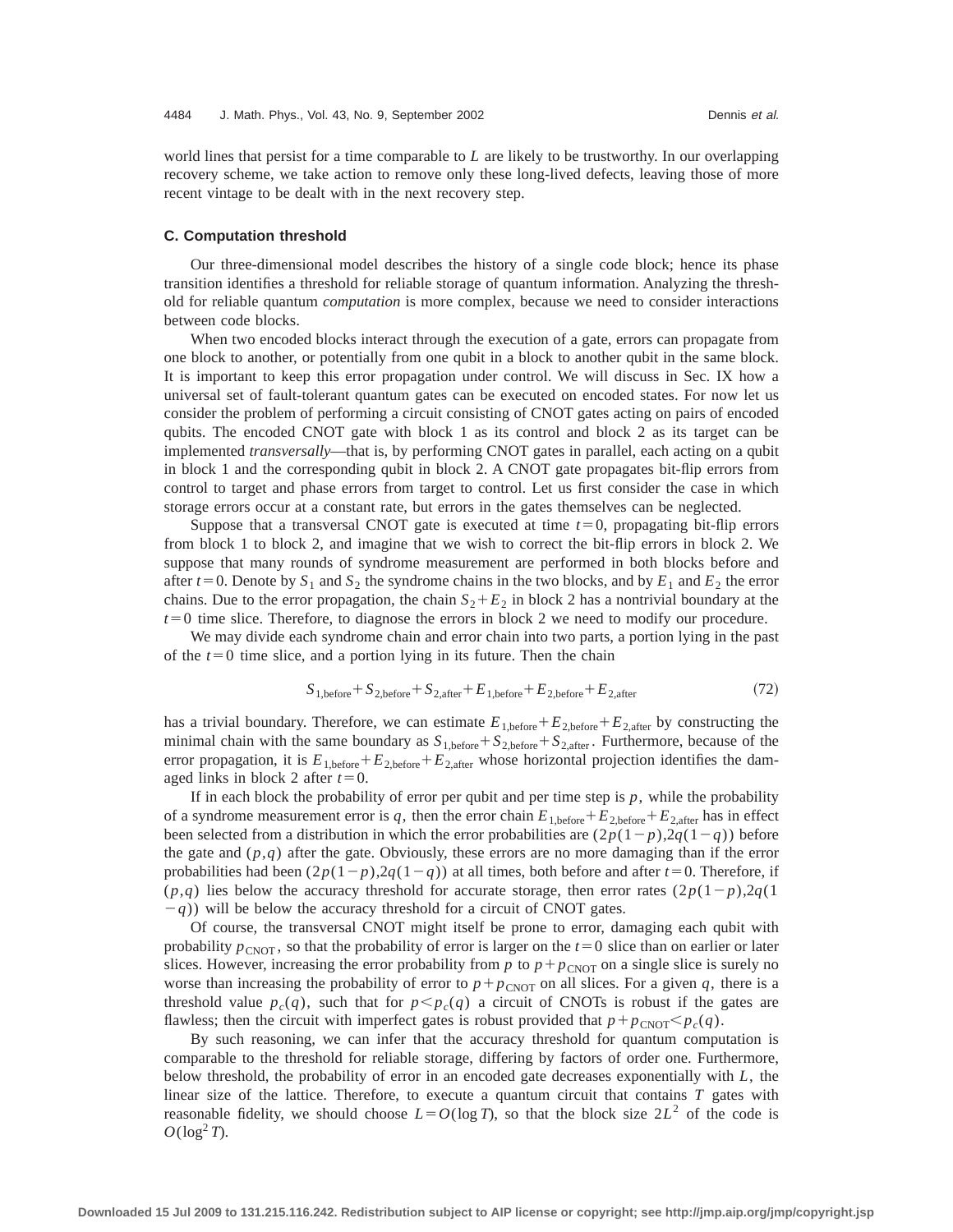world lines that persist for a time comparable to *L* are likely to be trustworthy. In our overlapping recovery scheme, we take action to remove only these long-lived defects, leaving those of more recent vintage to be dealt with in the next recovery step.

#### **C. Computation threshold**

Our three-dimensional model describes the history of a single code block; hence its phase transition identifies a threshold for reliable storage of quantum information. Analyzing the threshold for reliable quantum *computation* is more complex, because we need to consider interactions between code blocks.

When two encoded blocks interact through the execution of a gate, errors can propagate from one block to another, or potentially from one qubit in a block to another qubit in the same block. It is important to keep this error propagation under control. We will discuss in Sec. IX how a universal set of fault-tolerant quantum gates can be executed on encoded states. For now let us consider the problem of performing a circuit consisting of CNOT gates acting on pairs of encoded qubits. The encoded CNOT gate with block 1 as its control and block 2 as its target can be implemented *transversally*—that is, by performing CNOT gates in parallel, each acting on a qubit in block 1 and the corresponding qubit in block 2. A CNOT gate propagates bit-flip errors from control to target and phase errors from target to control. Let us first consider the case in which storage errors occur at a constant rate, but errors in the gates themselves can be neglected.

Suppose that a transversal CNOT gate is executed at time  $t=0$ , propagating bit-flip errors from block 1 to block 2, and imagine that we wish to correct the bit-flip errors in block 2. We suppose that many rounds of syndrome measurement are performed in both blocks before and after  $t=0$ . Denote by  $S_1$  and  $S_2$  the syndrome chains in the two blocks, and by  $E_1$  and  $E_2$  the error chains. Due to the error propagation, the chain  $S_2 + E_2$  in block 2 has a nontrivial boundary at the  $t=0$  time slice. Therefore, to diagnose the errors in block 2 we need to modify our procedure.

We may divide each syndrome chain and error chain into two parts, a portion lying in the past of the  $t=0$  time slice, and a portion lying in its future. Then the chain

$$
S_{1,\text{before}} + S_{2,\text{before}} + S_{2,\text{after}} + E_{1,\text{before}} + E_{2,\text{before}} + E_{2,\text{after}} \tag{72}
$$

has a trivial boundary. Therefore, we can estimate  $E_{1,\text{before}}+E_{2,\text{before}}+E_{2,\text{after}}$  by constructing the minimal chain with the same boundary as  $S_{1,\text{before}} + S_{2,\text{before}} + S_{2,\text{after}}$ . Furthermore, because of the error propagation, it is  $E_{1,\text{before}} + E_{2,\text{before}} + E_{2,\text{after}}$  whose horizontal projection identifies the damaged links in block 2 after  $t=0$ .

If in each block the probability of error per qubit and per time step is  $p$ , while the probability of a syndrome measurement error is q, then the error chain  $E_{1,\text{before}} + E_{2,\text{before}} + E_{2,\text{after}}$  has in effect been selected from a distribution in which the error probabilities are  $(2p(1-p),2q(1-q))$  before the gate and  $(p,q)$  after the gate. Obviously, these errors are no more damaging than if the error probabilities had been  $(2p(1-p),2q(1-q))$  at all times, both before and after  $t=0$ . Therefore, if  $(p,q)$  lies below the accuracy threshold for accurate storage, then error rates  $(2p(1-p),2q(1-p))$  $(q)$ ) will be below the accuracy threshold for a circuit of CNOT gates.

Of course, the transversal CNOT might itself be prone to error, damaging each qubit with probability  $p_{\text{CNOT}}$ , so that the probability of error is larger on the  $t=0$  slice than on earlier or later slices. However, increasing the error probability from  $p$  to  $p + p_{CNOT}$  on a single slice is surely no worse than increasing the probability of error to  $p + p_{CNOT}$  on all slices. For a given q, there is a threshold value  $p_c(q)$ , such that for  $p < p_c(q)$  a circuit of CNOTs is robust if the gates are flawless; then the circuit with imperfect gates is robust provided that  $p + p_{CNOT} < p_c(q)$ .

By such reasoning, we can infer that the accuracy threshold for quantum computation is comparable to the threshold for reliable storage, differing by factors of order one. Furthermore, below threshold, the probability of error in an encoded gate decreases exponentially with *L*, the linear size of the lattice. Therefore, to execute a quantum circuit that contains *T* gates with reasonable fidelity, we should choose  $L = O(\log T)$ , so that the block size  $2L^2$  of the code is  $O(\log^2 T)$ .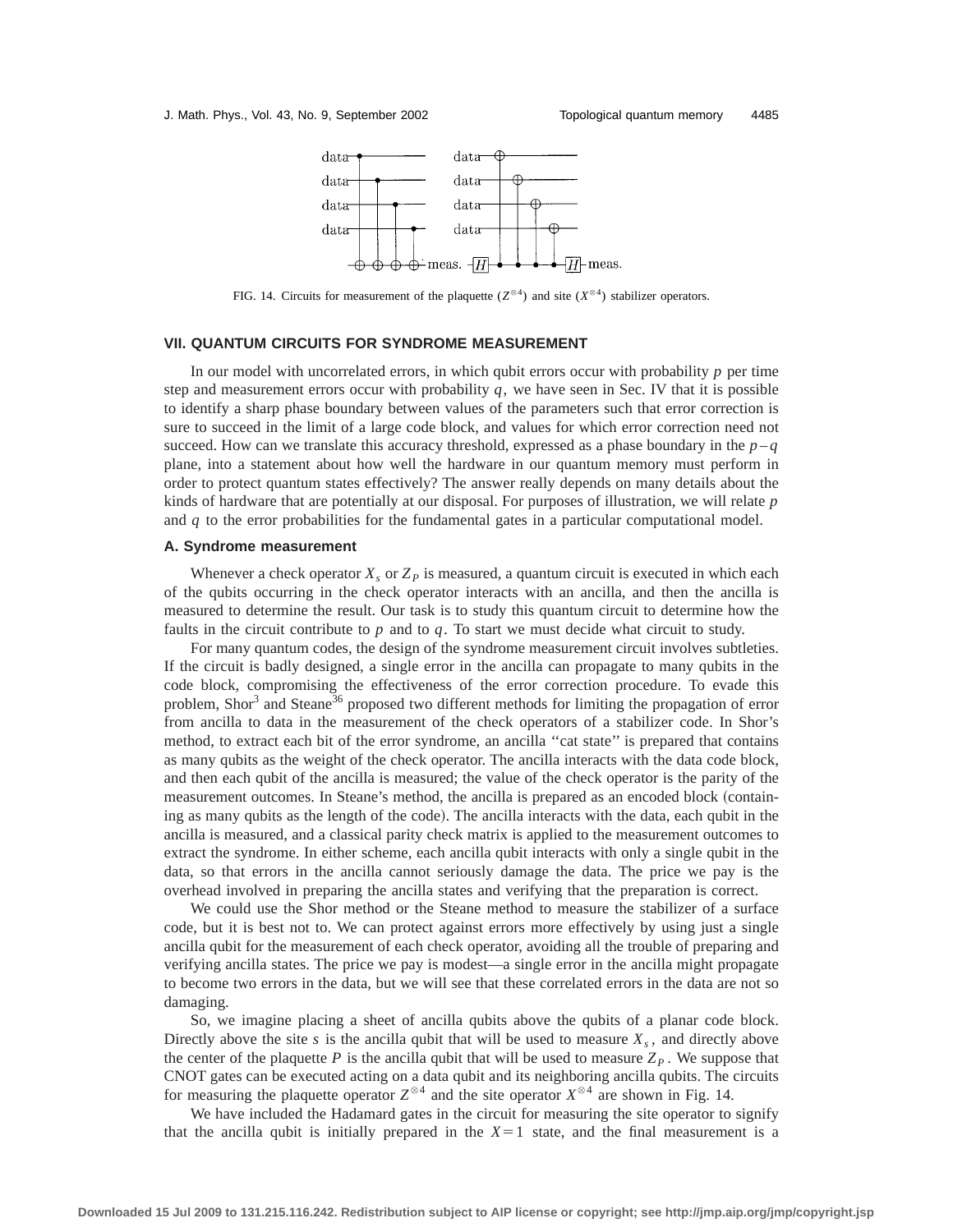

FIG. 14. Circuits for measurement of the plaquette ( $Z^{\otimes 4}$ ) and site ( $X^{\otimes 4}$ ) stabilizer operators.

## **VII. QUANTUM CIRCUITS FOR SYNDROME MEASUREMENT**

In our model with uncorrelated errors, in which qubit errors occur with probability *p* per time step and measurement errors occur with probability  $q$ , we have seen in Sec. IV that it is possible to identify a sharp phase boundary between values of the parameters such that error correction is sure to succeed in the limit of a large code block, and values for which error correction need not succeed. How can we translate this accuracy threshold, expressed as a phase boundary in the  $p - q$ plane, into a statement about how well the hardware in our quantum memory must perform in order to protect quantum states effectively? The answer really depends on many details about the kinds of hardware that are potentially at our disposal. For purposes of illustration, we will relate *p* and *q* to the error probabilities for the fundamental gates in a particular computational model.

## **A. Syndrome measurement**

Whenever a check operator  $X<sub>s</sub>$  or  $Z<sub>p</sub>$  is measured, a quantum circuit is executed in which each of the qubits occurring in the check operator interacts with an ancilla, and then the ancilla is measured to determine the result. Our task is to study this quantum circuit to determine how the faults in the circuit contribute to *p* and to *q*. To start we must decide what circuit to study.

For many quantum codes, the design of the syndrome measurement circuit involves subtleties. If the circuit is badly designed, a single error in the ancilla can propagate to many qubits in the code block, compromising the effectiveness of the error correction procedure. To evade this problem, Shor<sup>3</sup> and Steane<sup>36</sup> proposed two different methods for limiting the propagation of error from ancilla to data in the measurement of the check operators of a stabilizer code. In Shor's method, to extract each bit of the error syndrome, an ancilla ''cat state'' is prepared that contains as many qubits as the weight of the check operator. The ancilla interacts with the data code block, and then each qubit of the ancilla is measured; the value of the check operator is the parity of the measurement outcomes. In Steane's method, the ancilla is prepared as an encoded block (containing as many qubits as the length of the code). The ancilla interacts with the data, each qubit in the ancilla is measured, and a classical parity check matrix is applied to the measurement outcomes to extract the syndrome. In either scheme, each ancilla qubit interacts with only a single qubit in the data, so that errors in the ancilla cannot seriously damage the data. The price we pay is the overhead involved in preparing the ancilla states and verifying that the preparation is correct.

We could use the Shor method or the Steane method to measure the stabilizer of a surface code, but it is best not to. We can protect against errors more effectively by using just a single ancilla qubit for the measurement of each check operator, avoiding all the trouble of preparing and verifying ancilla states. The price we pay is modest—a single error in the ancilla might propagate to become two errors in the data, but we will see that these correlated errors in the data are not so damaging.

So, we imagine placing a sheet of ancilla qubits above the qubits of a planar code block. Directly above the site *s* is the ancilla qubit that will be used to measure  $X_s$ , and directly above the center of the plaquette P is the ancilla qubit that will be used to measure  $Z_p$ . We suppose that CNOT gates can be executed acting on a data qubit and its neighboring ancilla qubits. The circuits for measuring the plaquette operator  $Z^{\otimes 4}$  and the site operator  $X^{\otimes 4}$  are shown in Fig. 14.

We have included the Hadamard gates in the circuit for measuring the site operator to signify that the ancilla qubit is initially prepared in the  $X=1$  state, and the final measurement is a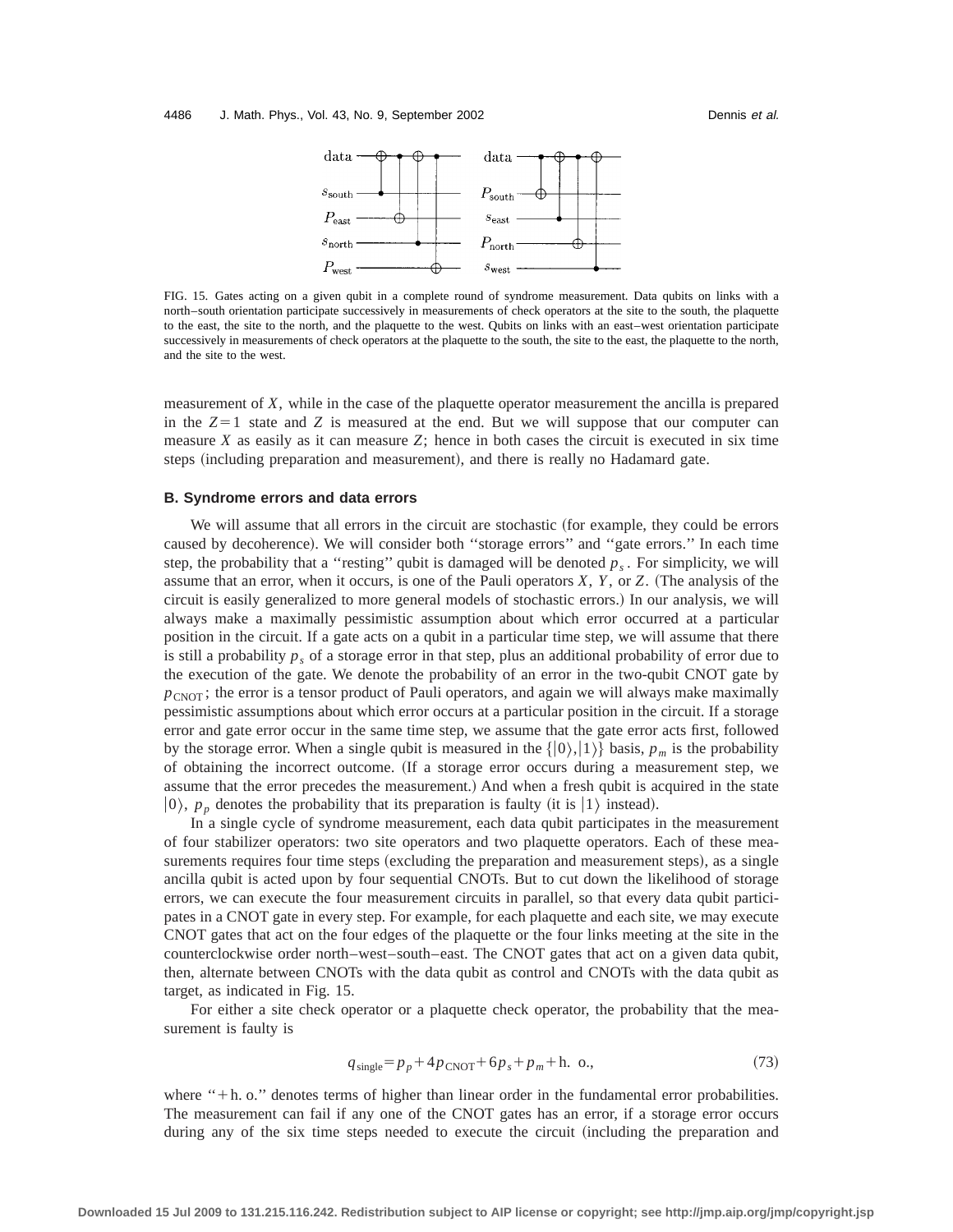

FIG. 15. Gates acting on a given qubit in a complete round of syndrome measurement. Data qubits on links with a north–south orientation participate successively in measurements of check operators at the site to the south, the plaquette to the east, the site to the north, and the plaquette to the west. Qubits on links with an east–west orientation participate successively in measurements of check operators at the plaquette to the south, the site to the east, the plaquette to the north, and the site to the west.

measurement of *X*, while in the case of the plaquette operator measurement the ancilla is prepared in the  $Z=1$  state and  $Z$  is measured at the end. But we will suppose that our computer can measure *X* as easily as it can measure *Z*; hence in both cases the circuit is executed in six time steps (including preparation and measurement), and there is really no Hadamard gate.

## **B. Syndrome errors and data errors**

We will assume that all errors in the circuit are stochastic (for example, they could be errors caused by decoherence). We will consider both "storage errors" and "gate errors." In each time step, the probability that a "resting" qubit is damaged will be denoted  $p_s$ . For simplicity, we will assume that an error, when it occurs, is one of the Pauli operators *X*, *Y*, or *Z*. (The analysis of the circuit is easily generalized to more general models of stochastic errors.! In our analysis, we will always make a maximally pessimistic assumption about which error occurred at a particular position in the circuit. If a gate acts on a qubit in a particular time step, we will assume that there is still a probability  $p_s$  of a storage error in that step, plus an additional probability of error due to the execution of the gate. We denote the probability of an error in the two-qubit CNOT gate by  $p_{CNOT}$ ; the error is a tensor product of Pauli operators, and again we will always make maximally pessimistic assumptions about which error occurs at a particular position in the circuit. If a storage error and gate error occur in the same time step, we assume that the gate error acts first, followed by the storage error. When a single qubit is measured in the  $\{|0\rangle,|1\rangle\}$  basis,  $p_m$  is the probability of obtaining the incorrect outcome. (If a storage error occurs during a measurement step, we assume that the error precedes the measurement.) And when a fresh qubit is acquired in the state  $|0\rangle$ ,  $p<sub>n</sub>$  denotes the probability that its preparation is faulty (it is  $|1\rangle$  instead).

In a single cycle of syndrome measurement, each data qubit participates in the measurement of four stabilizer operators: two site operators and two plaquette operators. Each of these measurements requires four time steps (excluding the preparation and measurement steps), as a single ancilla qubit is acted upon by four sequential CNOTs. But to cut down the likelihood of storage errors, we can execute the four measurement circuits in parallel, so that every data qubit participates in a CNOT gate in every step. For example, for each plaquette and each site, we may execute CNOT gates that act on the four edges of the plaquette or the four links meeting at the site in the counterclockwise order north–west–south–east. The CNOT gates that act on a given data qubit, then, alternate between CNOTs with the data qubit as control and CNOTs with the data qubit as target, as indicated in Fig. 15.

For either a site check operator or a plaquette check operator, the probability that the measurement is faulty is

$$
q_{\text{single}} = p_p + 4p_{\text{CNOT}} + 6p_s + p_m + \text{h. o.},\tag{73}
$$

where "+h. o." denotes terms of higher than linear order in the fundamental error probabilities. The measurement can fail if any one of the CNOT gates has an error, if a storage error occurs during any of the six time steps needed to execute the circuit (including the preparation and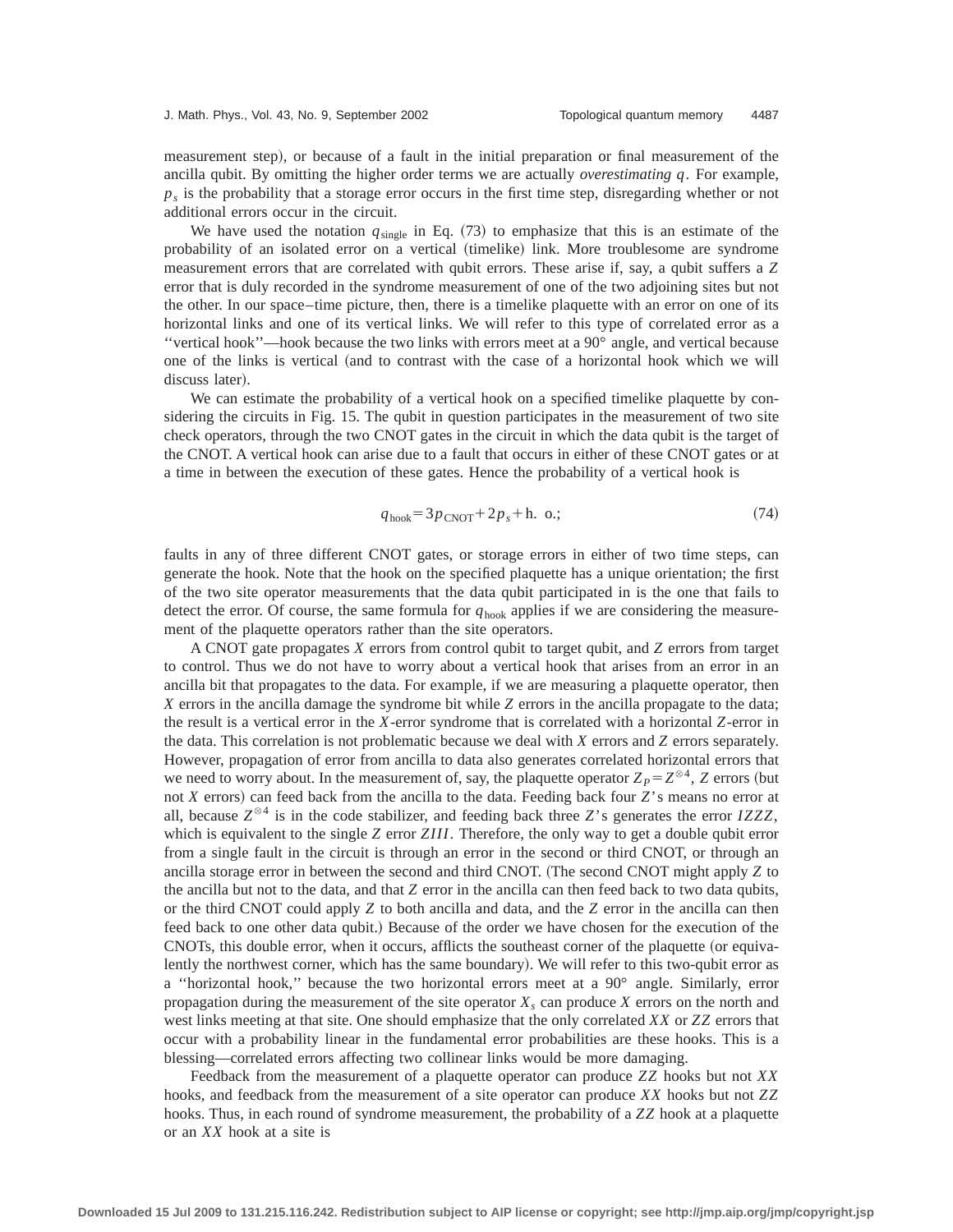measurement step), or because of a fault in the initial preparation or final measurement of the ancilla qubit. By omitting the higher order terms we are actually *overestimating q*. For example,  $p<sub>s</sub>$  is the probability that a storage error occurs in the first time step, disregarding whether or not additional errors occur in the circuit.

We have used the notation  $q_{\text{single}}$  in Eq.  $(73)$  to emphasize that this is an estimate of the probability of an isolated error on a vertical (timelike) link. More troublesome are syndrome measurement errors that are correlated with qubit errors. These arise if, say, a qubit suffers a *Z* error that is duly recorded in the syndrome measurement of one of the two adjoining sites but not the other. In our space–time picture, then, there is a timelike plaquette with an error on one of its horizontal links and one of its vertical links. We will refer to this type of correlated error as a ''vertical hook''—hook because the two links with errors meet at a 90° angle, and vertical because one of the links is vertical (and to contrast with the case of a horizontal hook which we will discuss later).

We can estimate the probability of a vertical hook on a specified timelike plaquette by considering the circuits in Fig. 15. The qubit in question participates in the measurement of two site check operators, through the two CNOT gates in the circuit in which the data qubit is the target of the CNOT. A vertical hook can arise due to a fault that occurs in either of these CNOT gates or at a time in between the execution of these gates. Hence the probability of a vertical hook is

$$
qhook = 3pCNOT + 2ps + h. o.;
$$
 (74)

faults in any of three different CNOT gates, or storage errors in either of two time steps, can generate the hook. Note that the hook on the specified plaquette has a unique orientation; the first of the two site operator measurements that the data qubit participated in is the one that fails to detect the error. Of course, the same formula for *q*hook applies if we are considering the measurement of the plaquette operators rather than the site operators.

A CNOT gate propagates *X* errors from control qubit to target qubit, and *Z* errors from target to control. Thus we do not have to worry about a vertical hook that arises from an error in an ancilla bit that propagates to the data. For example, if we are measuring a plaquette operator, then *X* errors in the ancilla damage the syndrome bit while *Z* errors in the ancilla propagate to the data; the result is a vertical error in the *X*-error syndrome that is correlated with a horizontal *Z*-error in the data. This correlation is not problematic because we deal with *X* errors and *Z* errors separately. However, propagation of error from ancilla to data also generates correlated horizontal errors that we need to worry about. In the measurement of, say, the plaquette operator  $Z_P = Z^{\otimes 4}$ , *Z* errors (but not *X* errors) can feed back from the ancilla to the data. Feeding back four *Z*'s means no error at all, because  $Z^{\otimes 4}$  is in the code stabilizer, and feeding back three *Z*'s generates the error *IZZZ*, which is equivalent to the single *Z* error *ZIII*. Therefore, the only way to get a double qubit error from a single fault in the circuit is through an error in the second or third CNOT, or through an ancilla storage error in between the second and third CNOT. (The second CNOT might apply *Z* to the ancilla but not to the data, and that *Z* error in the ancilla can then feed back to two data qubits, or the third CNOT could apply *Z* to both ancilla and data, and the *Z* error in the ancilla can then feed back to one other data qubit.) Because of the order we have chosen for the execution of the CNOTs, this double error, when it occurs, afflicts the southeast corner of the plaquette (or equivalently the northwest corner, which has the same boundary). We will refer to this two-qubit error as a ''horizontal hook,'' because the two horizontal errors meet at a 90° angle. Similarly, error propagation during the measurement of the site operator  $X_s$  can produce  $X$  errors on the north and west links meeting at that site. One should emphasize that the only correlated *XX* or *ZZ* errors that occur with a probability linear in the fundamental error probabilities are these hooks. This is a blessing—correlated errors affecting two collinear links would be more damaging.

Feedback from the measurement of a plaquette operator can produce *ZZ* hooks but not *XX* hooks, and feedback from the measurement of a site operator can produce *XX* hooks but not *ZZ* hooks. Thus, in each round of syndrome measurement, the probability of a *ZZ* hook at a plaquette or an *XX* hook at a site is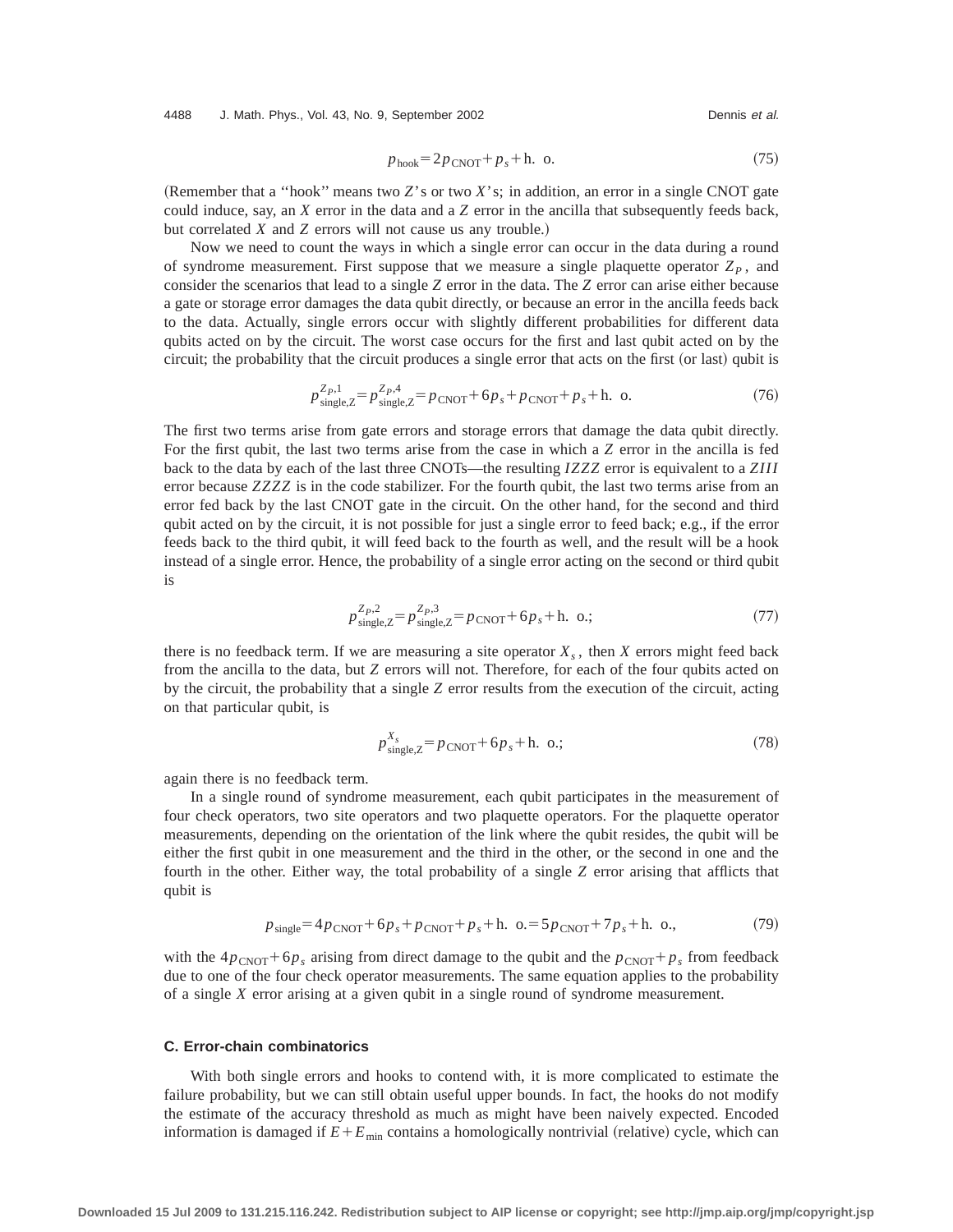4488 J. Math. Phys., Vol. 43, No. 9, September 2002 Channel Communist Channel Dennis et al.

$$
phook = 2pCNOT + ps + h. o.
$$
 (75)

(Remember that a "hook" means two  $Z$ 's or two  $X$ 's; in addition, an error in a single CNOT gate could induce, say, an *X* error in the data and a *Z* error in the ancilla that subsequently feeds back, but correlated *X* and *Z* errors will not cause us any trouble.)

Now we need to count the ways in which a single error can occur in the data during a round of syndrome measurement. First suppose that we measure a single plaquette operator  $Z_p$ , and consider the scenarios that lead to a single *Z* error in the data. The *Z* error can arise either because a gate or storage error damages the data qubit directly, or because an error in the ancilla feeds back to the data. Actually, single errors occur with slightly different probabilities for different data qubits acted on by the circuit. The worst case occurs for the first and last qubit acted on by the circuit; the probability that the circuit produces a single error that acts on the first (or last) qubit is

$$
p_{\text{single},Z}^{Z_P,1} = p_{\text{single},Z}^{Z_P,4} = p_{\text{CNOT}} + 6p_s + p_{\text{CNOT}} + p_s + \text{h. o.}
$$
 (76)

The first two terms arise from gate errors and storage errors that damage the data qubit directly. For the first qubit, the last two terms arise from the case in which a *Z* error in the ancilla is fed back to the data by each of the last three CNOTs—the resulting *IZZZ* error is equivalent to a *ZIII* error because *ZZZZ* is in the code stabilizer. For the fourth qubit, the last two terms arise from an error fed back by the last CNOT gate in the circuit. On the other hand, for the second and third qubit acted on by the circuit, it is not possible for just a single error to feed back; e.g., if the error feeds back to the third qubit, it will feed back to the fourth as well, and the result will be a hook instead of a single error. Hence, the probability of a single error acting on the second or third qubit is

$$
p_{\text{single},Z}^{Z_P,2} = p_{\text{single},Z}^{Z_P,3} = p_{\text{CNOT}} + 6p_s + \text{h. o.};\tag{77}
$$

there is no feedback term. If we are measuring a site operator  $X_s$ , then  $X$  errors might feed back from the ancilla to the data, but *Z* errors will not. Therefore, for each of the four qubits acted on by the circuit, the probability that a single *Z* error results from the execution of the circuit, acting on that particular qubit, is

$$
p_{\text{single},Z}^{X_s} = p_{\text{CNOT}} + 6p_s + \text{h. o.};\tag{78}
$$

again there is no feedback term.

In a single round of syndrome measurement, each qubit participates in the measurement of four check operators, two site operators and two plaquette operators. For the plaquette operator measurements, depending on the orientation of the link where the qubit resides, the qubit will be either the first qubit in one measurement and the third in the other, or the second in one and the fourth in the other. Either way, the total probability of a single *Z* error arising that afflicts that qubit is

$$
p_{\text{single}} = 4p_{\text{CNOT}} + 6p_s + p_{\text{CNOT}} + p_s + \text{h. o.} = 5p_{\text{CNOT}} + 7p_s + \text{h. o.},\tag{79}
$$

with the  $4p_{CNOT} + 6p_s$  arising from direct damage to the qubit and the  $p_{CNOT} + p_s$  from feedback due to one of the four check operator measurements. The same equation applies to the probability of a single *X* error arising at a given qubit in a single round of syndrome measurement.

## **C. Error-chain combinatorics**

With both single errors and hooks to contend with, it is more complicated to estimate the failure probability, but we can still obtain useful upper bounds. In fact, the hooks do not modify the estimate of the accuracy threshold as much as might have been naively expected. Encoded information is damaged if  $E + E_{min}$  contains a homologically nontrivial (relative) cycle, which can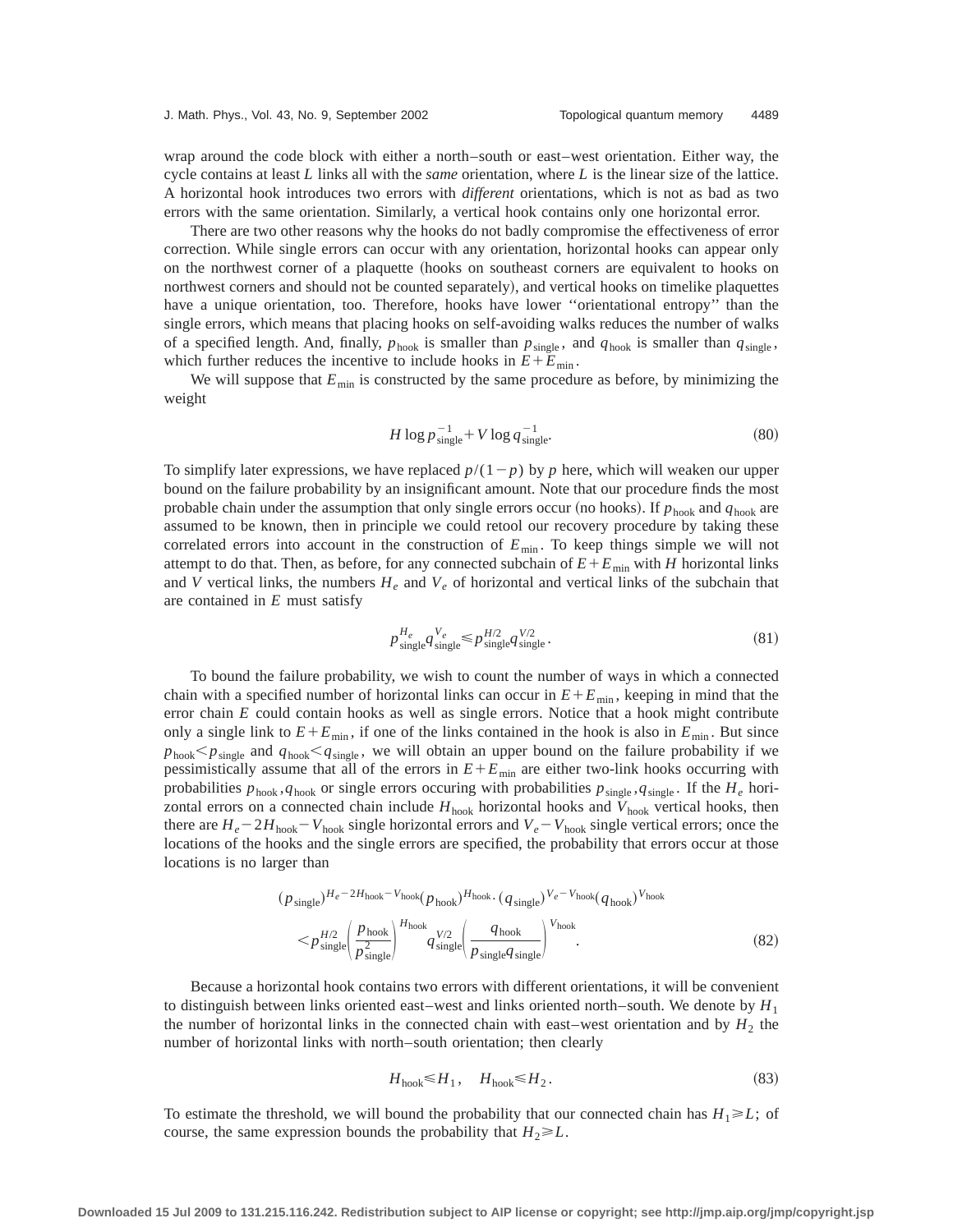wrap around the code block with either a north–south or east–west orientation. Either way, the cycle contains at least *L* links all with the *same* orientation, where *L* is the linear size of the lattice. A horizontal hook introduces two errors with *different* orientations, which is not as bad as two errors with the same orientation. Similarly, a vertical hook contains only one horizontal error.

There are two other reasons why the hooks do not badly compromise the effectiveness of error correction. While single errors can occur with any orientation, horizontal hooks can appear only on the northwest corner of a plaquette (hooks on southeast corners are equivalent to hooks on northwest corners and should not be counted separately), and vertical hooks on timelike plaquettes have a unique orientation, too. Therefore, hooks have lower ''orientational entropy'' than the single errors, which means that placing hooks on self-avoiding walks reduces the number of walks of a specified length. And, finally,  $p_{\text{hook}}$  is smaller than  $p_{\text{single}}$ , and  $q_{\text{hook}}$  is smaller than  $q_{\text{single}}$ , which further reduces the incentive to include hooks in  $E + E_{min}$ .

We will suppose that  $E_{\text{min}}$  is constructed by the same procedure as before, by minimizing the weight

$$
H \log p_{\text{single}}^{-1} + V \log q_{\text{single}}^{-1}.
$$
 (80)

To simplify later expressions, we have replaced  $p/(1-p)$  by p here, which will weaken our upper bound on the failure probability by an insignificant amount. Note that our procedure finds the most probable chain under the assumption that only single errors occur (no hooks). If  $p_{\text{hook}}$  and  $q_{\text{hook}}$  are assumed to be known, then in principle we could retool our recovery procedure by taking these correlated errors into account in the construction of  $E_{\text{min}}$ . To keep things simple we will not attempt to do that. Then, as before, for any connected subchain of  $E + E_{min}$  with *H* horizontal links and *V* vertical links, the numbers  $H_e$  and  $V_e$  of horizontal and vertical links of the subchain that are contained in *E* must satisfy

$$
p_{\text{single}}^{H_e} q_{\text{single}}^{V_e} \le p_{\text{single}}^{H/2} q_{\text{single}}^{V/2}.
$$
\n(81)

To bound the failure probability, we wish to count the number of ways in which a connected chain with a specified number of horizontal links can occur in  $E + E_{min}$ , keeping in mind that the error chain *E* could contain hooks as well as single errors. Notice that a hook might contribute only a single link to  $E + E_{min}$ , if one of the links contained in the hook is also in  $E_{min}$ . But since  $p_{\text{hook}}$ *p*<sub>single</sub> and  $q_{\text{hook}}$ *q*<sub>single</sub>, we will obtain an upper bound on the failure probability if we pessimistically assume that all of the errors in  $E + E_{min}$  are either two-link hooks occurring with probabilities  $p_{\text{hook}}, q_{\text{hook}}$  or single errors occuring with probabilities  $p_{\text{single}}, q_{\text{single}}$ . If the  $H_e$  horizontal errors on a connected chain include  $H_{\text{hook}}$  horizontal hooks and  $V_{\text{hook}}$  vertical hooks, then there are  $H_e - 2H_{\text{hook}} - V_{\text{hook}}$  single horizontal errors and  $V_e - V_{\text{hook}}$  single vertical errors; once the locations of the hooks and the single errors are specified, the probability that errors occur at those locations is no larger than

$$
(p_{\text{single}})^{H_e - 2H_{\text{hook}} - V_{\text{hook}}}(p_{\text{hook}})^{H_{\text{hook}}}(q_{\text{single}})^{V_e - V_{\text{hook}}}(q_{\text{hook}})^{V_{\text{hook}}}
$$

$$
\leq p_{\text{single}}^{H/2} \left(\frac{p_{\text{hook}}}{p_{\text{single}}^{2}}\right)^{H_{\text{hook}}}(q_{\text{single}}^{V/2} \left(\frac{q_{\text{hook}}}{p_{\text{single}}^{2}q_{\text{single}}}\right)^{V_{\text{hook}}}
$$
(82)

Because a horizontal hook contains two errors with different orientations, it will be convenient to distinguish between links oriented east–west and links oriented north–south. We denote by  $H_1$ the number of horizontal links in the connected chain with east–west orientation and by  $H_2$  the number of horizontal links with north–south orientation; then clearly

$$
H_{\text{hook}} \le H_1, \quad H_{\text{hook}} \le H_2. \tag{83}
$$

To estimate the threshold, we will bound the probability that our connected chain has  $H_1 \ge L$ ; of course, the same expression bounds the probability that  $H_2 \ge L$ .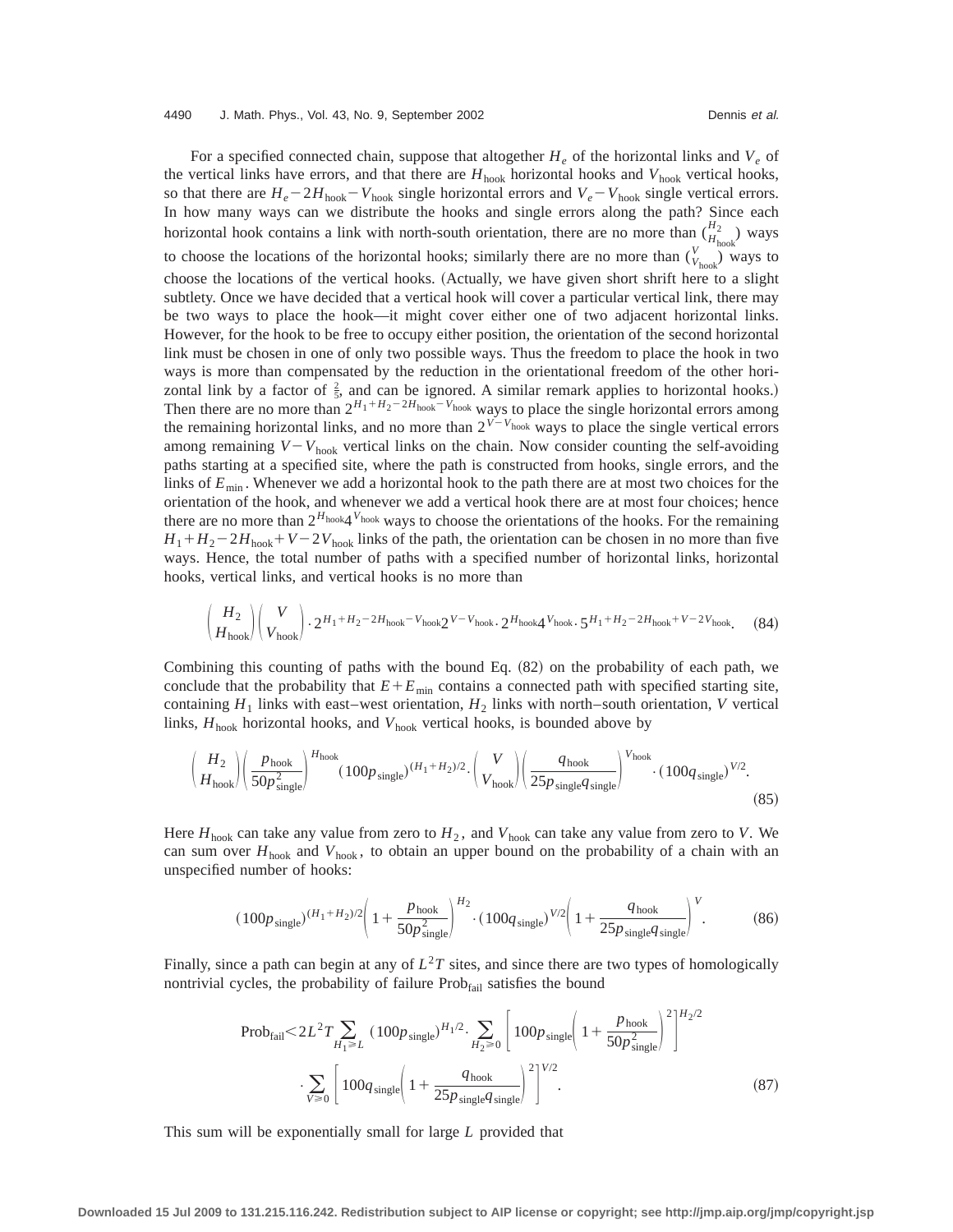For a specified connected chain, suppose that altogether  $H_e$  of the horizontal links and  $V_e$  of the vertical links have errors, and that there are  $H_{\text{hook}}$  horizontal hooks and  $V_{\text{hook}}$  vertical hooks, so that there are  $H_e - 2H_{\text{hook}} - V_{\text{hook}}$  single horizontal errors and  $V_e - V_{\text{hook}}$  single vertical errors. In how many ways can we distribute the hooks and single errors along the path? Since each horizontal hook contains a link with north-south orientation, there are no more than  $\binom{H_2}{H_{\text{hook}}}$  ways to choose the locations of the horizontal hooks; similarly there are no more than  $\binom{V}{V_{\text{hook}}}$  ways to choose the locations of the vertical hooks. (Actually, we have given short shrift here to a slight subtlety. Once we have decided that a vertical hook will cover a particular vertical link, there may be two ways to place the hook—it might cover either one of two adjacent horizontal links. However, for the hook to be free to occupy either position, the orientation of the second horizontal link must be chosen in one of only two possible ways. Thus the freedom to place the hook in two ways is more than compensated by the reduction in the orientational freedom of the other horizontal link by a factor of  $\frac{2}{5}$ , and can be ignored. A similar remark applies to horizontal hooks.) Then there are no more than  $2^{H_1 + H_2 - 2H_{\text{hook}}}$ <sup>*V*</sup>hook</sup> ways to place the single horizontal errors among the remaining horizontal links, and no more than  $2^{V-V_{\text{hook}}}$  ways to place the single vertical errors among remaining  $V - V_{\text{hook}}$  vertical links on the chain. Now consider counting the self-avoiding paths starting at a specified site, where the path is constructed from hooks, single errors, and the links of  $E_{\text{min}}$ . Whenever we add a horizontal hook to the path there are at most two choices for the orientation of the hook, and whenever we add a vertical hook there are at most four choices; hence there are no more than  $2^{H_{\text{hook}}}$ <sup>Vhook</sup> ways to choose the orientations of the hooks. For the remaining  $H_1 + H_2 - 2H_{\text{hook}} + V - 2V_{\text{hook}}$  links of the path, the orientation can be chosen in no more than five ways. Hence, the total number of paths with a specified number of horizontal links, horizontal hooks, vertical links, and vertical hooks is no more than

$$
\binom{H_2}{H_{\text{hook}}} \binom{V}{V_{\text{hook}}} \cdot 2^{H_1 + H_2 - 2H_{\text{hook}}} - \nu_{\text{hook}} 2^{V - V_{\text{hook}}} \cdot 2^{H_{\text{hook}}} \cdot 2^{H_{\text{hook}}} \cdot 5^{H_1 + H_2 - 2H_{\text{hook}}} + \nu - 2V_{\text{hook}}}.
$$
 (84)

Combining this counting of paths with the bound Eq.  $(82)$  on the probability of each path, we conclude that the probability that  $E + E_{\text{min}}$  contains a connected path with specified starting site, containing  $H_1$  links with east–west orientation,  $H_2$  links with north–south orientation, *V* vertical links,  $H_{\text{hook}}$  horizontal hooks, and  $V_{\text{hook}}$  vertical hooks, is bounded above by

$$
\left(\frac{H_2}{H_{\text{hook}}}\right)\left(\frac{p_{\text{hook}}}{50p_{\text{single}}^2}\right)^{H_{\text{hook}}}(100p_{\text{single}})^{(H_1+H_2)/2}\cdot\left(\frac{V}{V_{\text{hook}}}\right)\left(\frac{q_{\text{hook}}}{25p_{\text{single}}q_{\text{single}}}\right)^{V_{\text{hook}}}(100q_{\text{single}})^{V/2}.\tag{85}
$$

Here  $H_{\text{hook}}$  can take any value from zero to  $H_2$ , and  $V_{\text{hook}}$  can take any value from zero to *V*. We can sum over  $H_{\text{hook}}$  and  $V_{\text{hook}}$ , to obtain an upper bound on the probability of a chain with an unspecified number of hooks:

$$
(100p_{\text{single}})^{(H_1 + H_2)/2} \left(1 + \frac{p_{\text{hook}}}{50p_{\text{single}}^2}\right)^{H_2} \cdot (100q_{\text{single}})^{V/2} \left(1 + \frac{q_{\text{hook}}}{25p_{\text{single}}q_{\text{single}}}\right)^V.
$$
 (86)

Finally, since a path can begin at any of  $L^2T$  sites, and since there are two types of homologically nontrivial cycles, the probability of failure  $Prob<sub>fail</sub>$  satisfies the bound

$$
\text{Prob}_{\text{fail}} < 2L^2 T \sum_{H_1 \ge L} (100 p_{\text{single}})^{H_1/2} \cdot \sum_{H_2 \ge 0} \left[ 100 p_{\text{single}} \left( 1 + \frac{p_{\text{hook}}}{50 p_{\text{single}}^2} \right)^2 \right]^{H_2/2}
$$
\n
$$
\cdot \sum_{V \ge 0} \left[ 100 q_{\text{single}} \left( 1 + \frac{q_{\text{hook}}}{25 p_{\text{single}} q_{\text{single}}^2} \right)^2 \right]^{V/2} . \tag{87}
$$

This sum will be exponentially small for large *L* provided that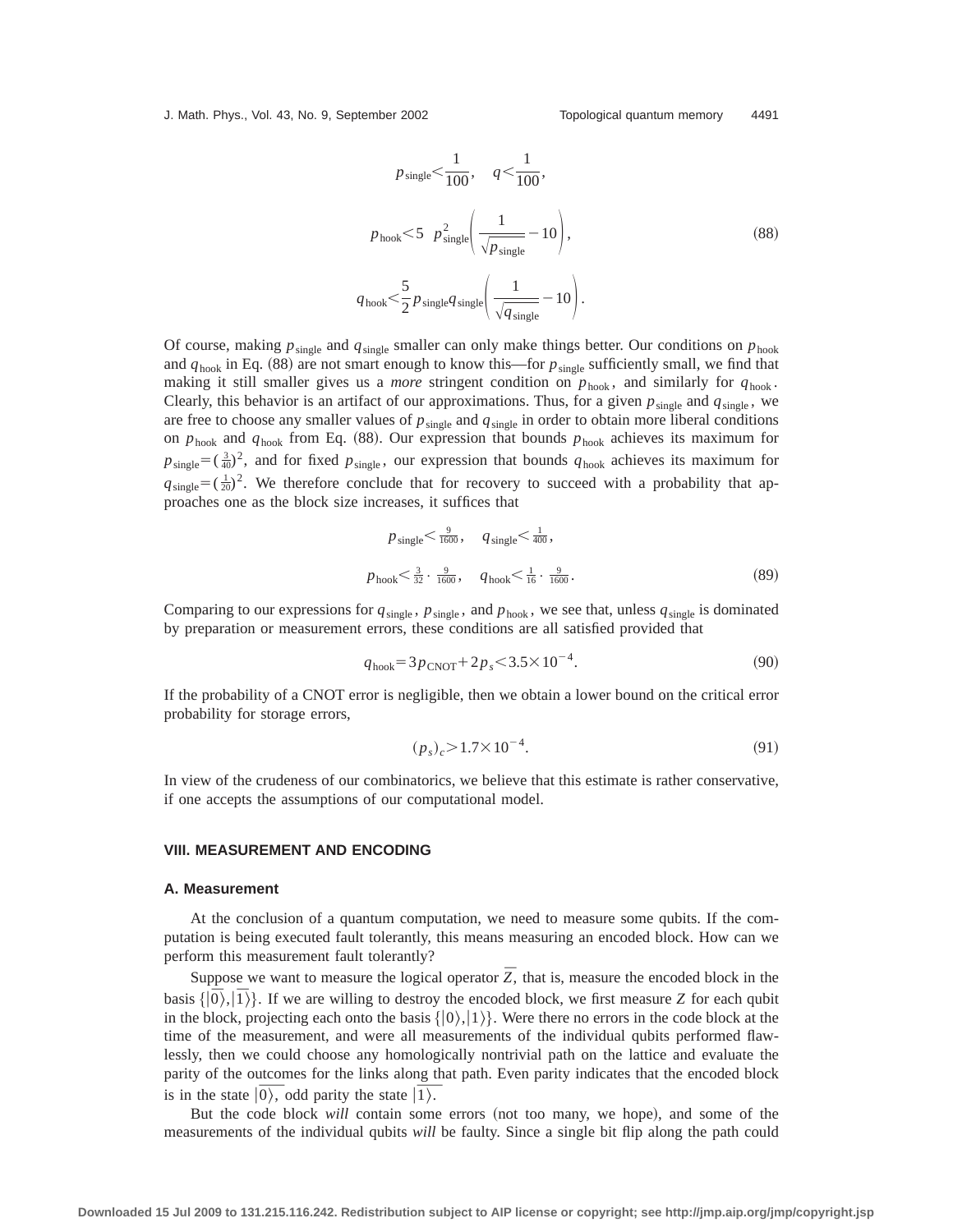J. Math. Phys., Vol. 43, No. 9, September 2002 Topological quantum memory 4491

$$
p_{\text{single}} < \frac{1}{100}, \quad q < \frac{1}{100},
$$
  
\n
$$
p_{\text{hook}} < 5 \quad p_{\text{single}}^2 \left( \frac{1}{\sqrt{p_{\text{single}}}} - 10 \right),
$$
  
\n
$$
q_{\text{hook}} < \frac{5}{2} p_{\text{single}} q_{\text{single}} \left( \frac{1}{\sqrt{q_{\text{single}}}} - 10 \right).
$$
\n(88)

Of course, making  $p_{single}$  and  $q_{single}$  smaller can only make things better. Our conditions on  $p_{hook}$ and  $q_{\text{hook}}$  in Eq. (88) are not smart enough to know this—for  $p_{\text{single}}$  sufficiently small, we find that making it still smaller gives us a *more* stringent condition on  $p_{\text{hook}}$ , and similarly for  $q_{\text{hook}}$ . Clearly, this behavior is an artifact of our approximations. Thus, for a given  $p_{single}$  and  $q_{single}$ , we are free to choose any smaller values of  $p_{\text{single}}$  and  $q_{\text{single}}$  in order to obtain more liberal conditions on  $p_{\text{hook}}$  and  $q_{\text{hook}}$  from Eq. (88). Our expression that bounds  $p_{\text{hook}}$  achieves its maximum for  $p_{single} = (\frac{3}{40})^2$ , and for fixed  $p_{single}$ , our expression that bounds  $q_{hook}$  achieves its maximum for  $q_{single} = (\frac{1}{20})^2$ . We therefore conclude that for recovery to succeed with a probability that approaches one as the block size increases, it suffices that

$$
p_{\text{single}} < \frac{9}{1600}, \quad q_{\text{single}} < \frac{1}{400},
$$
  
\n
$$
p_{\text{hook}} < \frac{3}{32} \cdot \frac{9}{1600}, \quad q_{\text{hook}} < \frac{1}{16} \cdot \frac{9}{1600}.
$$
 (89)

Comparing to our expressions for  $q_{single}$ ,  $p_{single}$ , and  $p_{hook}$ , we see that, unless  $q_{single}$  is dominated by preparation or measurement errors, these conditions are all satisfied provided that

$$
q_{\text{hook}} = 3p_{\text{CNOT}} + 2p_s \le 3.5 \times 10^{-4}.
$$

If the probability of a CNOT error is negligible, then we obtain a lower bound on the critical error probability for storage errors,

$$
(p_s)_c > 1.7 \times 10^{-4}.\tag{91}
$$

In view of the crudeness of our combinatorics, we believe that this estimate is rather conservative, if one accepts the assumptions of our computational model.

## **VIII. MEASUREMENT AND ENCODING**

#### **A. Measurement**

At the conclusion of a quantum computation, we need to measure some qubits. If the computation is being executed fault tolerantly, this means measuring an encoded block. How can we perform this measurement fault tolerantly?

Suppose we want to measure the logical operator  $\overline{Z}$ , that is, measure the encoded block in the basis  $\{|\overline{0}\rangle, |\overline{1}\rangle\}$ . If we are willing to destroy the encoded block, we first measure *Z* for each qubit in the block, projecting each onto the basis  $\{|0\rangle, |1\rangle\}$ . Were there no errors in the code block at the time of the measurement, and were all measurements of the individual qubits performed flawlessly, then we could choose any homologically nontrivial path on the lattice and evaluate the parity of the outcomes for the links along that path. Even parity indicates that the encoded block parity of the outcomes for the links along the state  $|\overline{0\rangle}$ , odd parity the state  $|\overline{1\rangle}$ .

But the code block *will* contain some errors (not too many, we hope), and some of the measurements of the individual qubits *will* be faulty. Since a single bit flip along the path could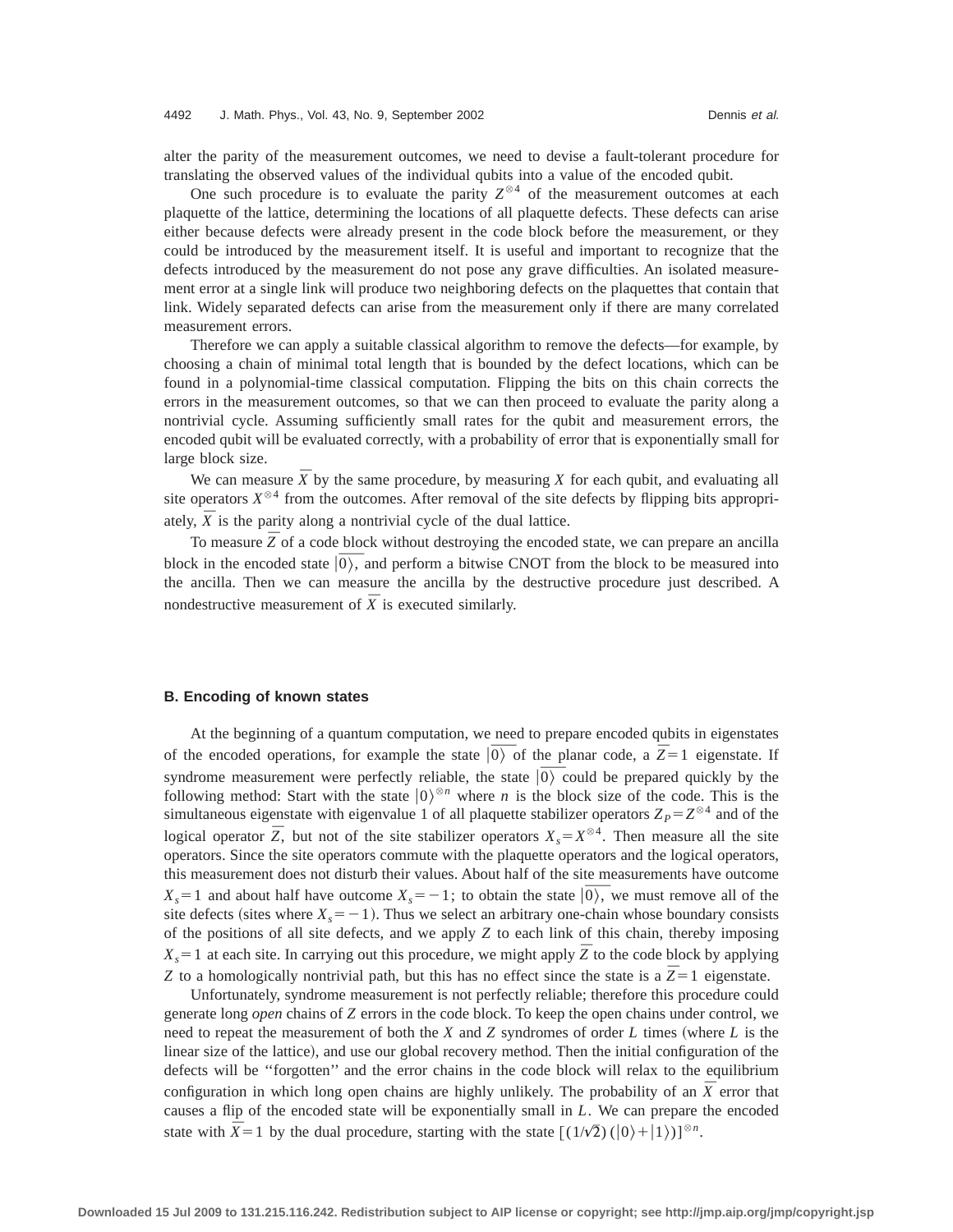alter the parity of the measurement outcomes, we need to devise a fault-tolerant procedure for translating the observed values of the individual qubits into a value of the encoded qubit.

One such procedure is to evaluate the parity  $Z^{\otimes 4}$  of the measurement outcomes at each plaquette of the lattice, determining the locations of all plaquette defects. These defects can arise either because defects were already present in the code block before the measurement, or they could be introduced by the measurement itself. It is useful and important to recognize that the defects introduced by the measurement do not pose any grave difficulties. An isolated measurement error at a single link will produce two neighboring defects on the plaquettes that contain that link. Widely separated defects can arise from the measurement only if there are many correlated measurement errors.

Therefore we can apply a suitable classical algorithm to remove the defects—for example, by choosing a chain of minimal total length that is bounded by the defect locations, which can be found in a polynomial-time classical computation. Flipping the bits on this chain corrects the errors in the measurement outcomes, so that we can then proceed to evaluate the parity along a nontrivial cycle. Assuming sufficiently small rates for the qubit and measurement errors, the encoded qubit will be evaluated correctly, with a probability of error that is exponentially small for large block size.

We can measure  $\bar{X}$  by the same procedure, by measuring *X* for each qubit, and evaluating all site operators  $X^{\otimes 4}$  from the outcomes. After removal of the site defects by flipping bits appropriately,  $\overline{X}$  is the parity along a nontrivial cycle of the dual lattice.

To measure  $\overline{Z}$  of a code block without destroying the encoded state, we can prepare an ancilla To measure  $\overline{Z}$  of a code block without destroying the encoded state, we can prepare an ancillar block in the encoded state  $|\overline{0}\rangle$ , and perform a bitwise CNOT from the block to be measured into the ancilla. Then we can measure the ancilla by the destructive procedure just described. A nondestructive measurement of  $\bar{X}$  is executed similarly.

## **B. Encoding of known states**

At the beginning of a quantum computation, we need to prepare encoded qubits in eigenstates the encoded operations, for example the state  $|\overline{0}\rangle$  of the planar code, a  $\overline{Z}=1$  eigenstate. If of the encoded operations, for example the state  $|0\rangle$  of the planar code, a  $\overline{Z}=1$  eigenstate. If syndrome measurement were perfectly reliable, the state  $|0\rangle$  could be prepared quickly by the syndrome measurement were perfectly reliable, the state  $|\overline{0\rangle}$  could be prepared quickly by the following method: Start with the state  $|0\rangle^{\otimes n}$  where *n* is the block size of the code. This is the simultaneous eigenstate with eigenvalue 1 of all plaquette stabilizer operators  $Z_P = Z^{\otimes 4}$  and of the logical operator  $\overline{Z}$ , but not of the site stabilizer operators  $X_s = X^{\otimes 4}$ . Then measure all the site operators. Since the site operators commute with the plaquette operators and the logical operators, this measurement does not disturb their values. About half of the site measurements have outcome this measurement does not disturb their values. About half of the site measurements have outcome  $X_s = 1$  and about half have outcome  $X_s = -1$ ; to obtain the state  $|0\rangle$ , we must remove all of the site defects (sites where  $X_s = -1$ ). Thus we select an arbitrary one-chain whose boundary consists of the positions of all site defects, and we apply *Z* to each link of this chain, thereby imposing  $X_s = 1$  at each site. In carrying out this procedure, we might apply  $\overline{Z}$  to the code block by applying *Z* to a homologically nontrivial path, but this has no effect since the state is a  $\overline{Z} = 1$  eigenstate.

Unfortunately, syndrome measurement is not perfectly reliable; therefore this procedure could generate long *open* chains of *Z* errors in the code block. To keep the open chains under control, we need to repeat the measurement of both the  $X$  and  $Z$  syndromes of order  $L$  times (where  $L$  is the linear size of the lattice), and use our global recovery method. Then the initial configuration of the defects will be ''forgotten'' and the error chains in the code block will relax to the equilibrium configuration in which long open chains are highly unlikely. The probability of an  $\overline{X}$  error that causes a flip of the encoded state will be exponentially small in *L*. We can prepare the encoded state with  $\overline{X} = 1$  by the dual procedure, starting with the state  $[(1/\sqrt{2}) (|0\rangle + |1\rangle)]^{\otimes n}$ .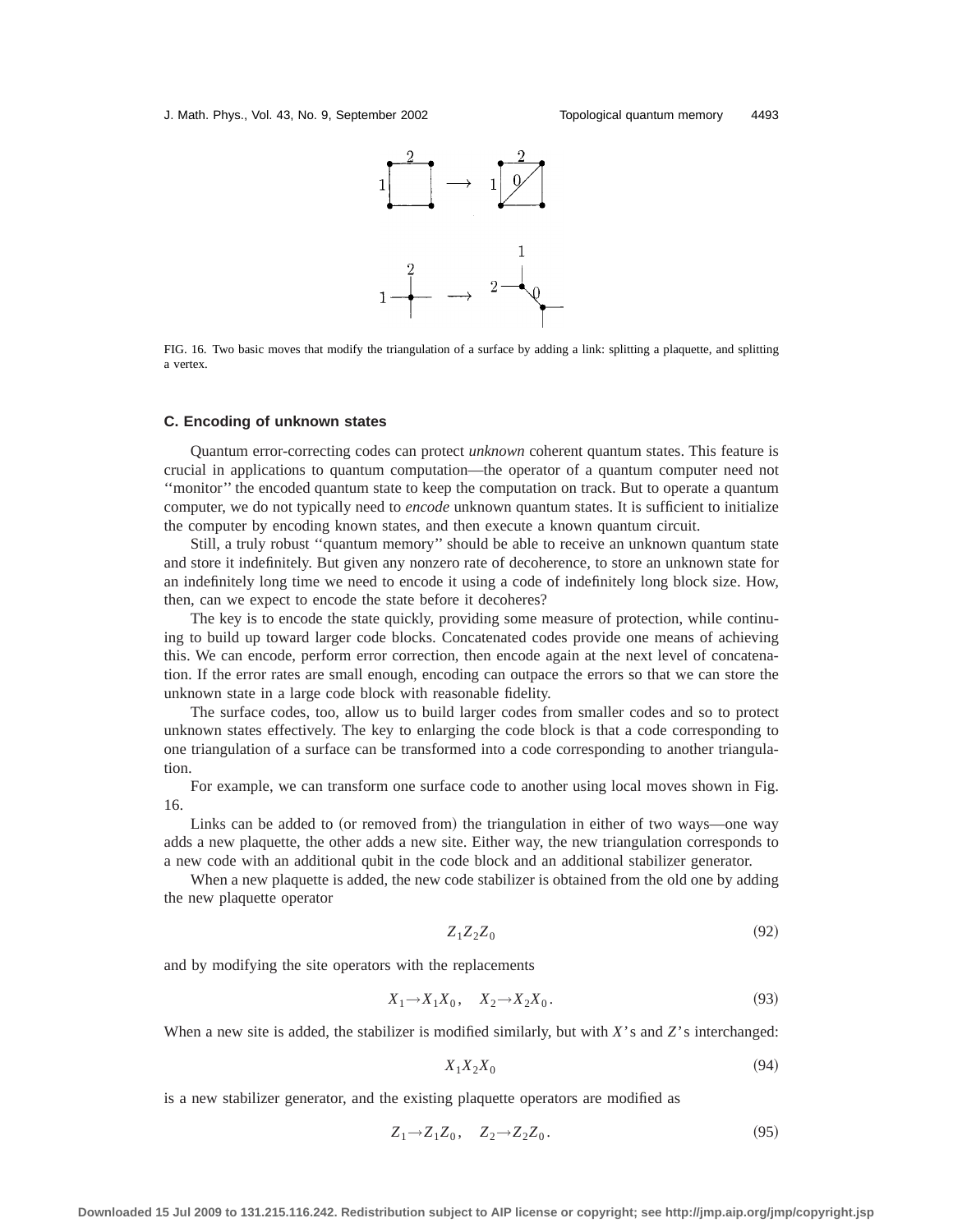

FIG. 16. Two basic moves that modify the triangulation of a surface by adding a link: splitting a plaquette, and splitting a vertex.

#### **C. Encoding of unknown states**

Quantum error-correcting codes can protect *unknown* coherent quantum states. This feature is crucial in applications to quantum computation—the operator of a quantum computer need not ''monitor'' the encoded quantum state to keep the computation on track. But to operate a quantum computer, we do not typically need to *encode* unknown quantum states. It is sufficient to initialize the computer by encoding known states, and then execute a known quantum circuit.

Still, a truly robust ''quantum memory'' should be able to receive an unknown quantum state and store it indefinitely. But given any nonzero rate of decoherence, to store an unknown state for an indefinitely long time we need to encode it using a code of indefinitely long block size. How, then, can we expect to encode the state before it decoheres?

The key is to encode the state quickly, providing some measure of protection, while continuing to build up toward larger code blocks. Concatenated codes provide one means of achieving this. We can encode, perform error correction, then encode again at the next level of concatenation. If the error rates are small enough, encoding can outpace the errors so that we can store the unknown state in a large code block with reasonable fidelity.

The surface codes, too, allow us to build larger codes from smaller codes and so to protect unknown states effectively. The key to enlarging the code block is that a code corresponding to one triangulation of a surface can be transformed into a code corresponding to another triangulation.

For example, we can transform one surface code to another using local moves shown in Fig. 16.

Links can be added to (or removed from) the triangulation in either of two ways—one way adds a new plaquette, the other adds a new site. Either way, the new triangulation corresponds to a new code with an additional qubit in the code block and an additional stabilizer generator.

When a new plaquette is added, the new code stabilizer is obtained from the old one by adding the new plaquette operator

$$
Z_1 Z_2 Z_0 \tag{92}
$$

and by modifying the site operators with the replacements

$$
X_1 \to X_1 X_0, \quad X_2 \to X_2 X_0. \tag{93}
$$

When a new site is added, the stabilizer is modified similarly, but with *X*'s and *Z*'s interchanged:

$$
X_1 X_2 X_0 \tag{94}
$$

is a new stabilizer generator, and the existing plaquette operators are modified as

$$
Z_1 \rightarrow Z_1 Z_0, \quad Z_2 \rightarrow Z_2 Z_0. \tag{95}
$$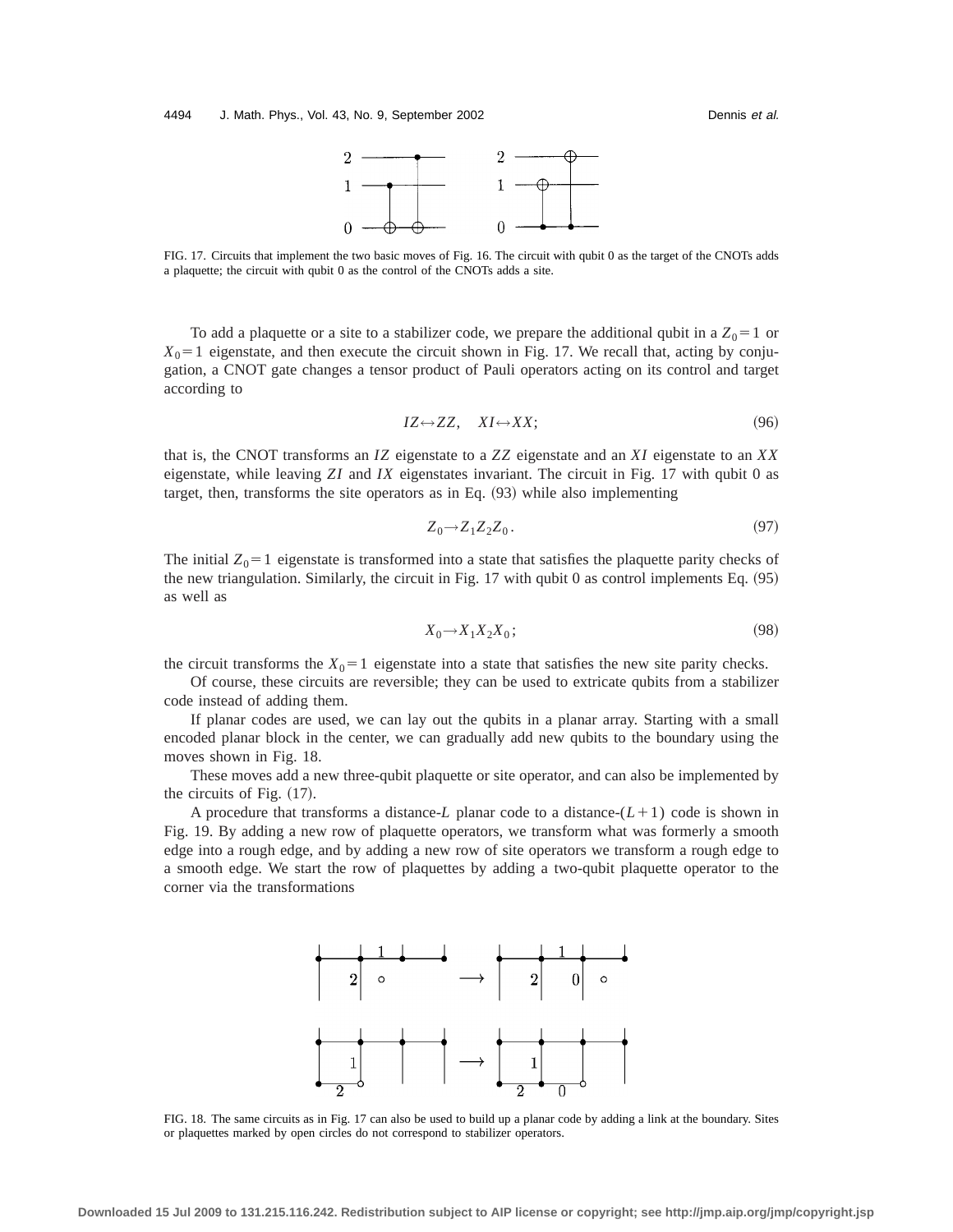

FIG. 17. Circuits that implement the two basic moves of Fig. 16. The circuit with qubit 0 as the target of the CNOTs adds a plaquette; the circuit with qubit 0 as the control of the CNOTs adds a site.

To add a plaquette or a site to a stabilizer code, we prepare the additional qubit in a  $Z_0 = 1$  or  $X_0$ =1 eigenstate, and then execute the circuit shown in Fig. 17. We recall that, acting by conjugation, a CNOT gate changes a tensor product of Pauli operators acting on its control and target according to

$$
IZ \leftrightarrow ZZ, \quad XI \leftrightarrow XX; \tag{96}
$$

that is, the CNOT transforms an *IZ* eigenstate to a *ZZ* eigenstate and an *XI* eigenstate to an *XX* eigenstate, while leaving *ZI* and *IX* eigenstates invariant. The circuit in Fig. 17 with qubit 0 as target, then, transforms the site operators as in Eq.  $(93)$  while also implementing

$$
Z_0 \to Z_1 Z_2 Z_0. \tag{97}
$$

The initial  $Z_0$ =1 eigenstate is transformed into a state that satisfies the plaquette parity checks of the new triangulation. Similarly, the circuit in Fig.  $17$  with qubit 0 as control implements Eq.  $(95)$ as well as

$$
X_0 \to X_1 X_2 X_0; \tag{98}
$$

the circuit transforms the  $X_0 = 1$  eigenstate into a state that satisfies the new site parity checks.

Of course, these circuits are reversible; they can be used to extricate qubits from a stabilizer code instead of adding them.

If planar codes are used, we can lay out the qubits in a planar array. Starting with a small encoded planar block in the center, we can gradually add new qubits to the boundary using the moves shown in Fig. 18.

These moves add a new three-qubit plaquette or site operator, and can also be implemented by the circuits of Fig.  $(17)$ .

A procedure that transforms a distance- $L$  planar code to a distance- $(L+1)$  code is shown in Fig. 19. By adding a new row of plaquette operators, we transform what was formerly a smooth edge into a rough edge, and by adding a new row of site operators we transform a rough edge to a smooth edge. We start the row of plaquettes by adding a two-qubit plaquette operator to the corner via the transformations



FIG. 18. The same circuits as in Fig. 17 can also be used to build up a planar code by adding a link at the boundary. Sites or plaquettes marked by open circles do not correspond to stabilizer operators.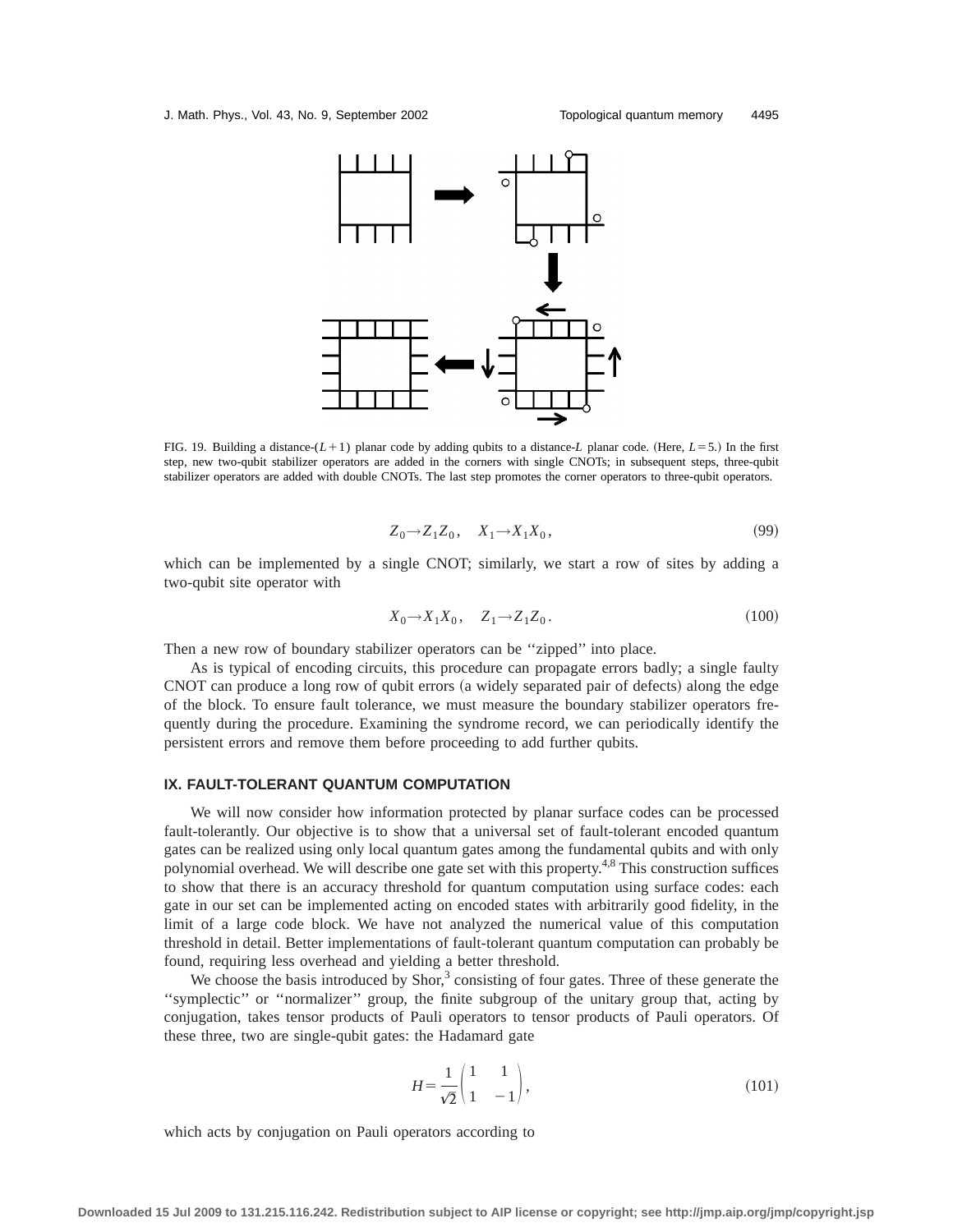

FIG. 19. Building a distance- $(L+1)$  planar code by adding qubits to a distance-*L* planar code. (Here,  $L=5$ .) In the first step, new two-qubit stabilizer operators are added in the corners with single CNOTs; in subsequent steps, three-qubit stabilizer operators are added with double CNOTs. The last step promotes the corner operators to three-qubit operators.

$$
Z_0 \to Z_1 Z_0, \quad X_1 \to X_1 X_0,\tag{99}
$$

which can be implemented by a single CNOT; similarly, we start a row of sites by adding a two-qubit site operator with

$$
X_0 \to X_1 X_0, \quad Z_1 \to Z_1 Z_0. \tag{100}
$$

Then a new row of boundary stabilizer operators can be ''zipped'' into place.

As is typical of encoding circuits, this procedure can propagate errors badly; a single faulty CNOT can produce a long row of qubit errors (a widely separated pair of defects) along the edge of the block. To ensure fault tolerance, we must measure the boundary stabilizer operators frequently during the procedure. Examining the syndrome record, we can periodically identify the persistent errors and remove them before proceeding to add further qubits.

## **IX. FAULT-TOLERANT QUANTUM COMPUTATION**

We will now consider how information protected by planar surface codes can be processed fault-tolerantly. Our objective is to show that a universal set of fault-tolerant encoded quantum gates can be realized using only local quantum gates among the fundamental qubits and with only polynomial overhead. We will describe one gate set with this property.4,8 This construction suffices to show that there is an accuracy threshold for quantum computation using surface codes: each gate in our set can be implemented acting on encoded states with arbitrarily good fidelity, in the limit of a large code block. We have not analyzed the numerical value of this computation threshold in detail. Better implementations of fault-tolerant quantum computation can probably be found, requiring less overhead and yielding a better threshold.

We choose the basis introduced by Shor, $3$  consisting of four gates. Three of these generate the ''symplectic'' or ''normalizer'' group, the finite subgroup of the unitary group that, acting by conjugation, takes tensor products of Pauli operators to tensor products of Pauli operators. Of these three, two are single-qubit gates: the Hadamard gate

$$
H = \frac{1}{\sqrt{2}} \begin{pmatrix} 1 & 1 \\ 1 & -1 \end{pmatrix},\tag{101}
$$

which acts by conjugation on Pauli operators according to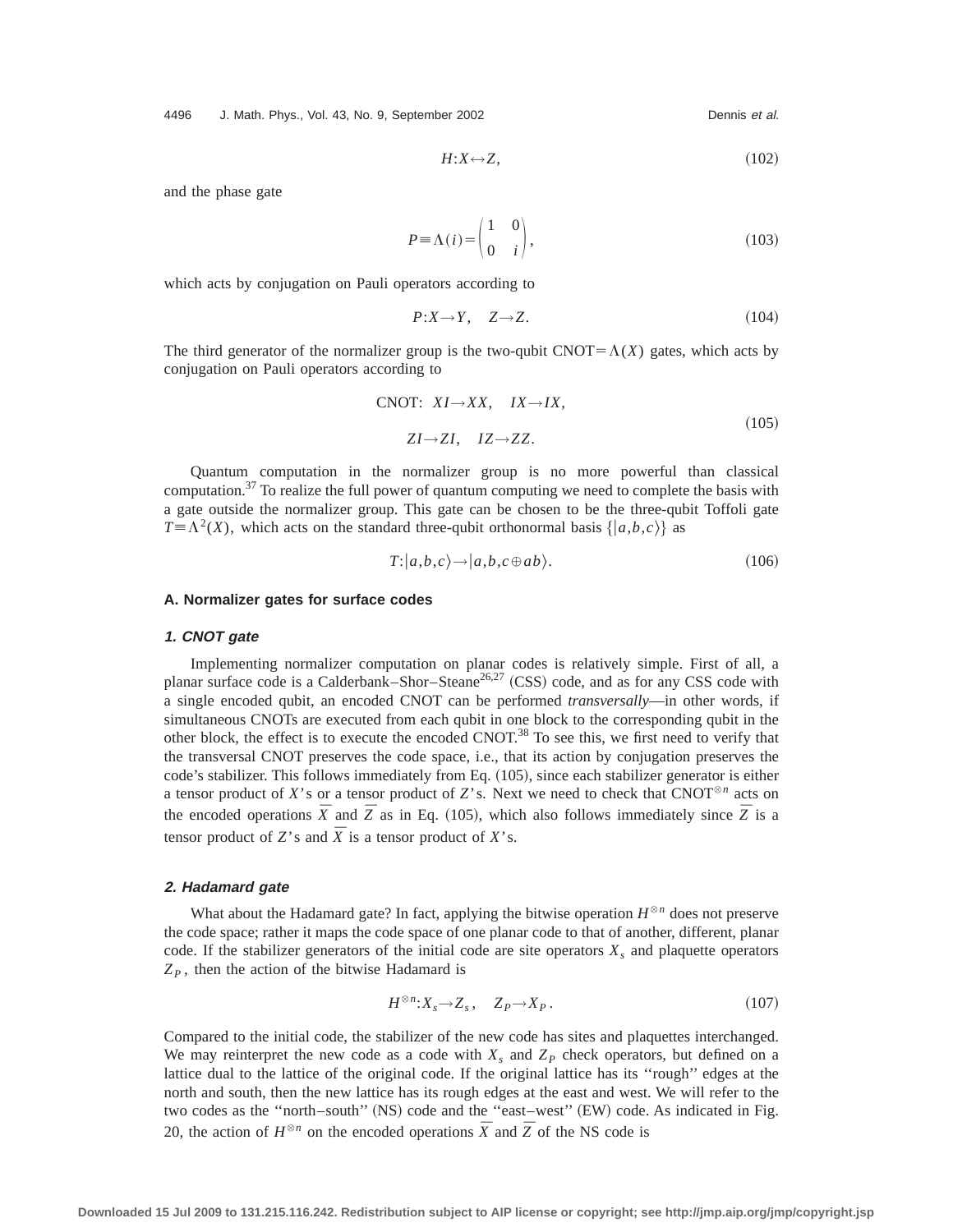4496 J. Math. Phys., Vol. 43, No. 9, September 2002 Channel Communist Al. 2014

$$
H: X \to Z,\tag{102}
$$

and the phase gate

$$
P = \Lambda(i) = \begin{pmatrix} 1 & 0 \\ 0 & i \end{pmatrix},\tag{103}
$$

which acts by conjugation on Pauli operators according to

$$
P:X \to Y, \quad Z \to Z. \tag{104}
$$

The third generator of the normalizer group is the two-qubit CNOT= $\Lambda(X)$  gates, which acts by conjugation on Pauli operators according to

CNOT: 
$$
XI \rightarrow XX
$$
,  $IX \rightarrow IX$ ,  
\n $ZI \rightarrow ZI$ ,  $IZ \rightarrow ZZ$ . (105)

Quantum computation in the normalizer group is no more powerful than classical computation.37 To realize the full power of quantum computing we need to complete the basis with a gate outside the normalizer group. This gate can be chosen to be the three-qubit Toffoli gate  $T = \Lambda^2(X)$ , which acts on the standard three-qubit orthonormal basis  $\{|a,b,c\rangle\}$  as

$$
T: |a,b,c\rangle \to |a,b,c \oplus ab\rangle. \tag{106}
$$

## **A. Normalizer gates for surface codes**

#### **1. CNOT gate**

Implementing normalizer computation on planar codes is relatively simple. First of all, a planar surface code is a Calderbank–Shor–Steane<sup>26,27</sup> (CSS) code, and as for any CSS code with a single encoded qubit, an encoded CNOT can be performed *transversally*—in other words, if simultaneous CNOTs are executed from each qubit in one block to the corresponding qubit in the other block, the effect is to execute the encoded CNOT.<sup>38</sup> To see this, we first need to verify that the transversal CNOT preserves the code space, i.e., that its action by conjugation preserves the code's stabilizer. This follows immediately from Eq. (105), since each stabilizer generator is either a tensor product of *X*'s or a tensor product of *Z*'s. Next we need to check that CNOT<sup>® *n*</sup> acts on the encoded operations  $\bar{X}$  and  $\bar{Z}$  as in Eq. (105), which also follows immediately since  $\bar{Z}$  is a tensor product of *Z*'s and  $\overline{X}$  is a tensor product of *X*'s.

#### **2. Hadamard gate**

What about the Hadamard gate? In fact, applying the bitwise operation  $H^{\otimes n}$  does not preserve the code space; rather it maps the code space of one planar code to that of another, different, planar code. If the stabilizer generators of the initial code are site operators  $X_s$  and plaquette operators  $Z_p$ , then the action of the bitwise Hadamard is

$$
H^{\otimes n}: X_s \to Z_s, \quad Z_P \to X_P. \tag{107}
$$

Compared to the initial code, the stabilizer of the new code has sites and plaquettes interchanged. We may reinterpret the new code as a code with  $X_s$  and  $Z_p$  check operators, but defined on a lattice dual to the lattice of the original code. If the original lattice has its ''rough'' edges at the north and south, then the new lattice has its rough edges at the east and west. We will refer to the two codes as the "north-south" (NS) code and the "east-west" (EW) code. As indicated in Fig. 20, the action of  $H^{\otimes n}$  on the encoded operations  $\overline{X}$  and  $\overline{Z}$  of the NS code is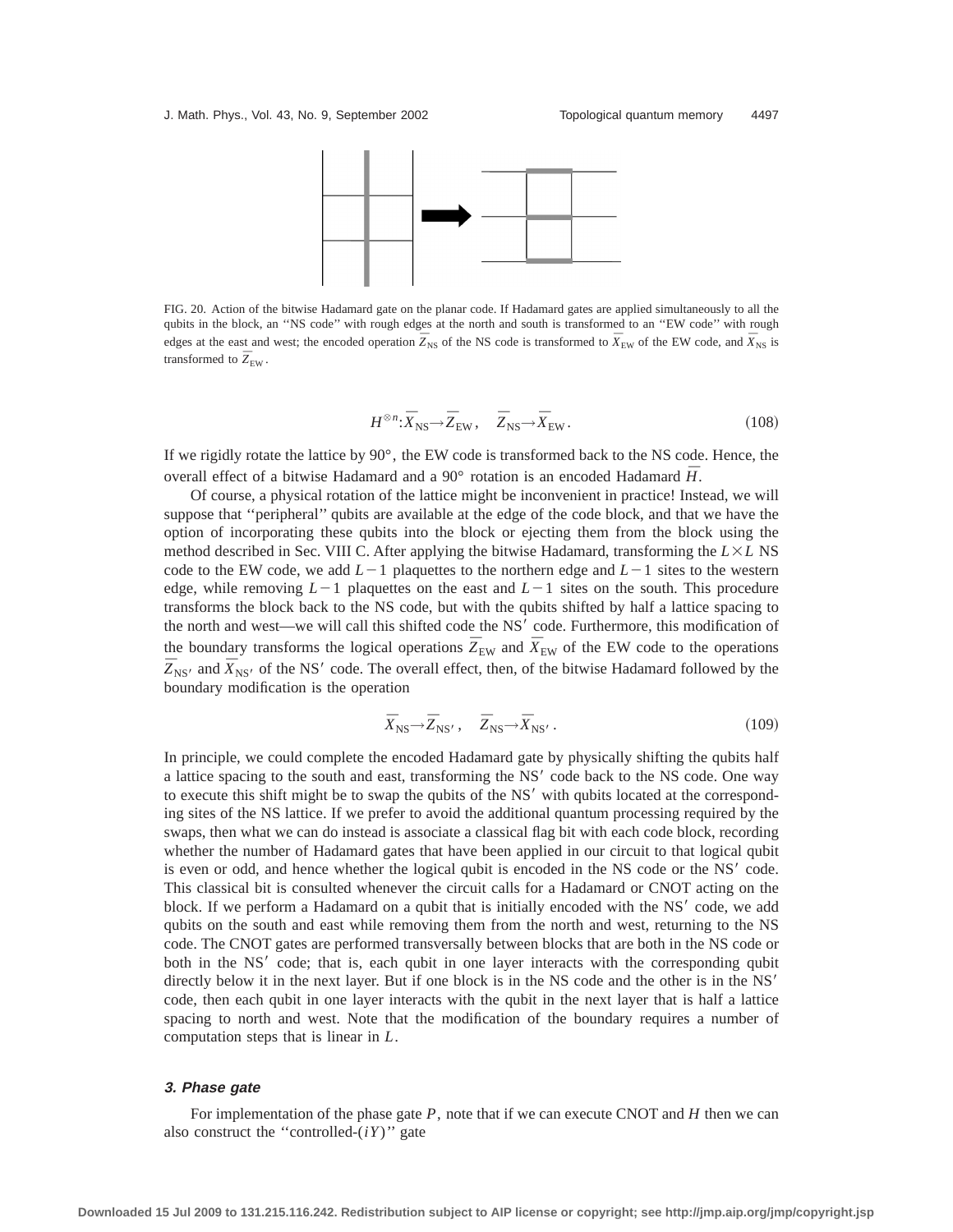

FIG. 20. Action of the bitwise Hadamard gate on the planar code. If Hadamard gates are applied simultaneously to all the qubits in the block, an ''NS code'' with rough edges at the north and south is transformed to an ''EW code'' with rough edges at the east and west; the encoded operation  $\overline{Z}_{\text{NS}}$  of the NS code is transformed to  $\overline{X}_{\text{EW}}$  of the EW code, and  $\overline{X}_{\text{NS}}$  is transformed to  $\bar{Z}_{EW}$ .

$$
H^{\otimes n} : \bar{X}_{\text{NS}} \to \bar{Z}_{\text{EW}}, \quad \bar{Z}_{\text{NS}} \to \bar{X}_{\text{EW}}.
$$
 (108)

If we rigidly rotate the lattice by 90°, the EW code is transformed back to the NS code. Hence, the overall effect of a bitwise Hadamard and a 90 $^{\circ}$  rotation is an encoded Hadamard  $\bar{H}$ .

Of course, a physical rotation of the lattice might be inconvenient in practice! Instead, we will suppose that ''peripheral'' qubits are available at the edge of the code block, and that we have the option of incorporating these qubits into the block or ejecting them from the block using the method described in Sec. VIII C. After applying the bitwise Hadamard, transforming the  $L \times L$  NS code to the EW code, we add  $L-1$  plaquettes to the northern edge and  $L-1$  sites to the western edge, while removing  $L-1$  plaquettes on the east and  $L-1$  sites on the south. This procedure transforms the block back to the NS code, but with the qubits shifted by half a lattice spacing to the north and west—we will call this shifted code the NS' code. Furthermore, this modification of the boundary transforms the logical operations  $\overline{Z}_{EW}$  and  $\overline{X}_{EW}$  of the EW code to the operations  $\bar{Z}_{\text{NS}}$  and  $\bar{X}_{\text{NS}}$  of the NS<sup>1</sup> code. The overall effect, then, of the bitwise Hadamard followed by the boundary modification is the operation

$$
\bar{X}_{\rm NS} \to \bar{Z}_{\rm NS'} ,\quad \bar{Z}_{\rm NS} \to \bar{X}_{\rm NS'} . \tag{109}
$$

In principle, we could complete the encoded Hadamard gate by physically shifting the qubits half a lattice spacing to the south and east, transforming the NS' code back to the NS code. One way to execute this shift might be to swap the qubits of the NS' with qubits located at the corresponding sites of the NS lattice. If we prefer to avoid the additional quantum processing required by the swaps, then what we can do instead is associate a classical flag bit with each code block, recording whether the number of Hadamard gates that have been applied in our circuit to that logical qubit is even or odd, and hence whether the logical qubit is encoded in the NS code or the NS' code. This classical bit is consulted whenever the circuit calls for a Hadamard or CNOT acting on the block. If we perform a Hadamard on a qubit that is initially encoded with the NS<sup>'</sup> code, we add qubits on the south and east while removing them from the north and west, returning to the NS code. The CNOT gates are performed transversally between blocks that are both in the NS code or both in the NS<sup>'</sup> code; that is, each qubit in one layer interacts with the corresponding qubit directly below it in the next layer. But if one block is in the NS code and the other is in the  $NS'$ code, then each qubit in one layer interacts with the qubit in the next layer that is half a lattice spacing to north and west. Note that the modification of the boundary requires a number of computation steps that is linear in *L*.

## **3. Phase gate**

For implementation of the phase gate *P*, note that if we can execute CNOT and *H* then we can also construct the "controlled- $(iY)$ " gate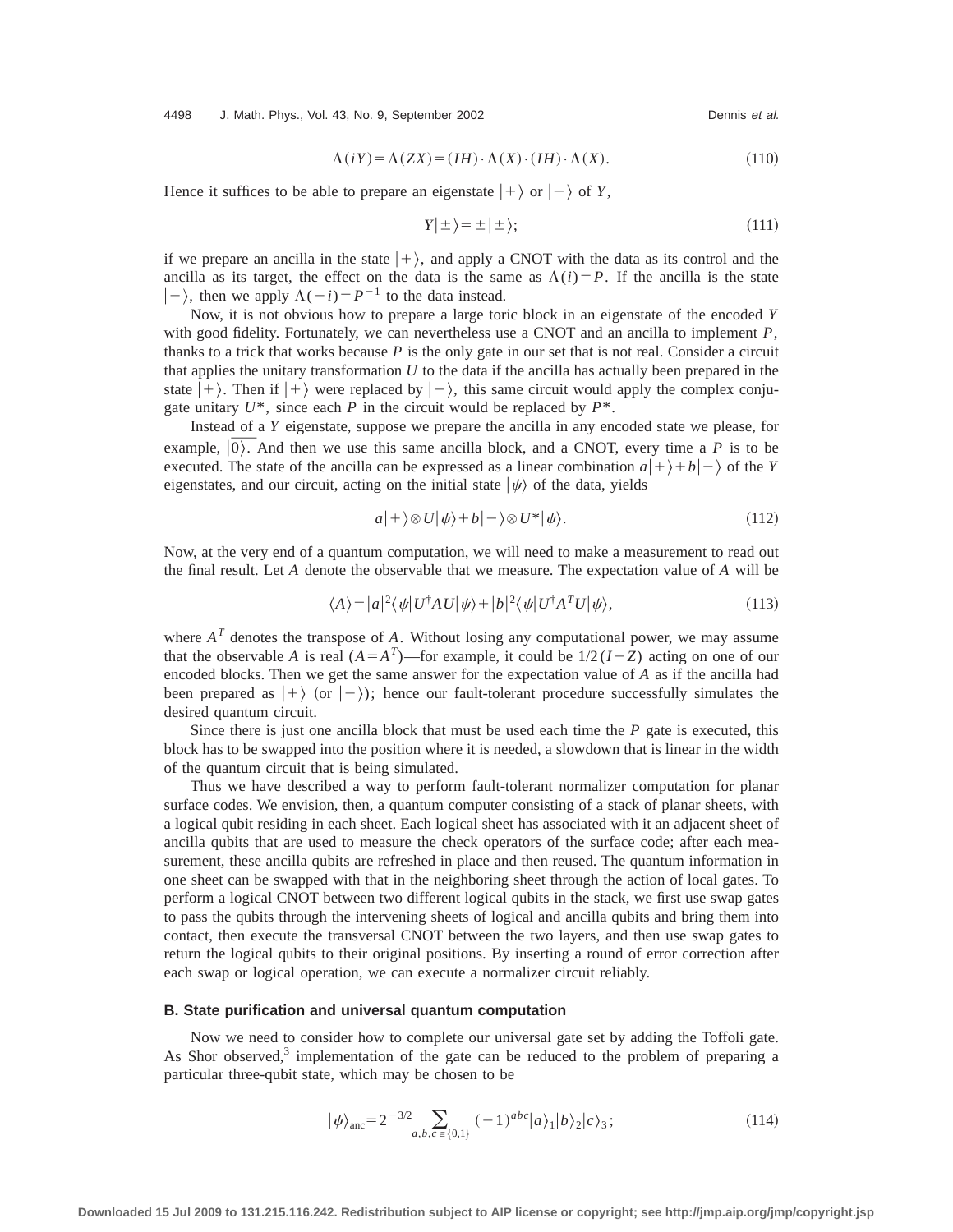4498 J. Math. Phys., Vol. 43, No. 9, September 2002 Channel Communist Channel Dennis et al.

$$
\Lambda(iY) = \Lambda(ZX) = (IH) \cdot \Lambda(X) \cdot (IH) \cdot \Lambda(X). \tag{110}
$$

Hence it suffices to be able to prepare an eigenstate  $|+\rangle$  or  $|-\rangle$  of *Y*,

$$
Y|\pm\rangle = \pm |\pm\rangle; \tag{111}
$$

if we prepare an ancilla in the state  $|+\rangle$ , and apply a CNOT with the data as its control and the ancilla as its target, the effect on the data is the same as  $\Lambda(i)=P$ . If the ancilla is the state  $|-\rangle$ , then we apply  $\Lambda(-i)=P^{-1}$  to the data instead.

Now, it is not obvious how to prepare a large toric block in an eigenstate of the encoded *Y* with good fidelity. Fortunately, we can nevertheless use a CNOT and an ancilla to implement *P*, thanks to a trick that works because  $P$  is the only gate in our set that is not real. Consider a circuit that applies the unitary transformation *U* to the data if the ancilla has actually been prepared in the state  $|+\rangle$ . Then if  $|+\rangle$  were replaced by  $|-\rangle$ , this same circuit would apply the complex conjugate unitary  $U^*$ , since each *P* in the circuit would be replaced by  $P^*$ .

Instead of a *Y* eigenstate, suppose we prepare the ancilla in any encoded state we please, for mple,  $|\overline{0}\rangle$ . And then we use this same ancilla block, and a CNOT, every time a *P* is to be example,  $|\overline{0}\rangle$ . And then we use this same ancilla block, and a CNOT, every time a P is to be executed. The state of the ancilla can be expressed as a linear combination  $a|+\rangle + b|-\rangle$  of the *Y* eigenstates, and our circuit, acting on the initial state  $|\psi\rangle$  of the data, yields

$$
a|+\rangle \otimes U|\psi\rangle + b|-\rangle \otimes U^*|\psi\rangle. \tag{112}
$$

Now, at the very end of a quantum computation, we will need to make a measurement to read out the final result. Let *A* denote the observable that we measure. The expectation value of *A* will be

$$
\langle A \rangle = |a|^2 \langle \psi | U^\dagger A U | \psi \rangle + |b|^2 \langle \psi | U^\dagger A^T U | \psi \rangle, \tag{113}
$$

where  $A<sup>T</sup>$  denotes the transpose of *A*. Without losing any computational power, we may assume that the observable *A* is real  $(A = A<sup>T</sup>)$ —for example, it could be  $1/2(I - Z)$  acting on one of our encoded blocks. Then we get the same answer for the expectation value of *A* as if the ancilla had been prepared as  $|+\rangle$  (or  $|-\rangle$ ); hence our fault-tolerant procedure successfully simulates the desired quantum circuit.

Since there is just one ancilla block that must be used each time the *P* gate is executed, this block has to be swapped into the position where it is needed, a slowdown that is linear in the width of the quantum circuit that is being simulated.

Thus we have described a way to perform fault-tolerant normalizer computation for planar surface codes. We envision, then, a quantum computer consisting of a stack of planar sheets, with a logical qubit residing in each sheet. Each logical sheet has associated with it an adjacent sheet of ancilla qubits that are used to measure the check operators of the surface code; after each measurement, these ancilla qubits are refreshed in place and then reused. The quantum information in one sheet can be swapped with that in the neighboring sheet through the action of local gates. To perform a logical CNOT between two different logical qubits in the stack, we first use swap gates to pass the qubits through the intervening sheets of logical and ancilla qubits and bring them into contact, then execute the transversal CNOT between the two layers, and then use swap gates to return the logical qubits to their original positions. By inserting a round of error correction after each swap or logical operation, we can execute a normalizer circuit reliably.

## **B. State purification and universal quantum computation**

Now we need to consider how to complete our universal gate set by adding the Toffoli gate. As Shor observed, $3$  implementation of the gate can be reduced to the problem of preparing a particular three-qubit state, which may be chosen to be

$$
|\psi\rangle_{\text{anc}} = 2^{-3/2} \sum_{a,b,c \in \{0,1\}} (-1)^{abc} |a\rangle_1 |b\rangle_2 |c\rangle_3; \tag{114}
$$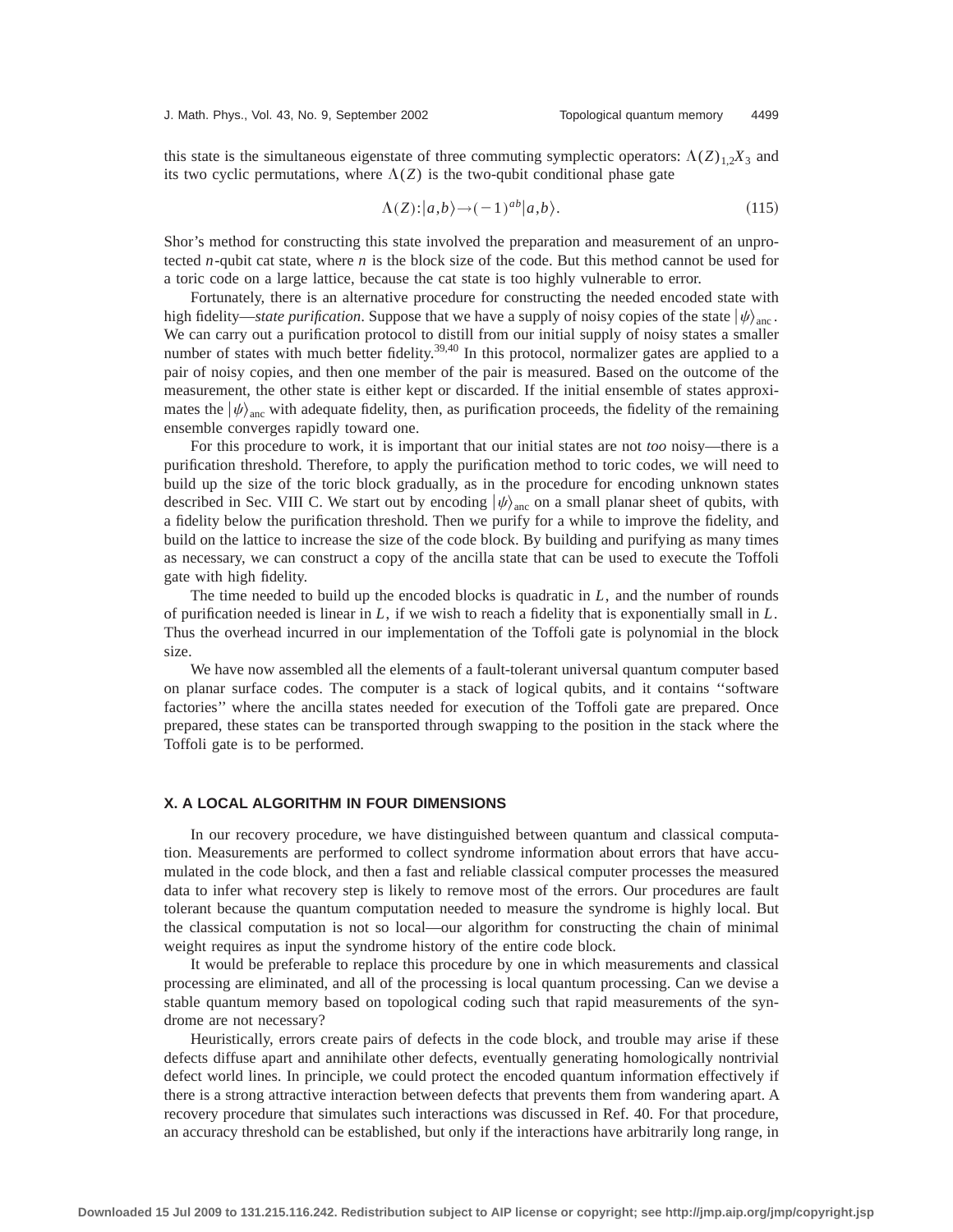this state is the simultaneous eigenstate of three commuting symplectic operators:  $\Lambda(Z)_{1,2}X_3$  and its two cyclic permutations, where  $\Lambda(Z)$  is the two-qubit conditional phase gate

$$
\Lambda(Z):|a,b\rangle \to (-1)^{ab}|a,b\rangle. \tag{115}
$$

Shor's method for constructing this state involved the preparation and measurement of an unprotected *n*-qubit cat state, where *n* is the block size of the code. But this method cannot be used for a toric code on a large lattice, because the cat state is too highly vulnerable to error.

Fortunately, there is an alternative procedure for constructing the needed encoded state with high fidelity—*state purification*. Suppose that we have a supply of noisy copies of the state  $|\psi\rangle_{\text{anc}}$ . We can carry out a purification protocol to distill from our initial supply of noisy states a smaller number of states with much better fidelity.<sup>39,40</sup> In this protocol, normalizer gates are applied to a pair of noisy copies, and then one member of the pair is measured. Based on the outcome of the measurement, the other state is either kept or discarded. If the initial ensemble of states approximates the  $|\psi\rangle_{\text{anc}}$  with adequate fidelity, then, as purification proceeds, the fidelity of the remaining ensemble converges rapidly toward one.

For this procedure to work, it is important that our initial states are not *too* noisy—there is a purification threshold. Therefore, to apply the purification method to toric codes, we will need to build up the size of the toric block gradually, as in the procedure for encoding unknown states described in Sec. VIII C. We start out by encoding  $|\psi\rangle_{\text{anc}}$  on a small planar sheet of qubits, with a fidelity below the purification threshold. Then we purify for a while to improve the fidelity, and build on the lattice to increase the size of the code block. By building and purifying as many times as necessary, we can construct a copy of the ancilla state that can be used to execute the Toffoli gate with high fidelity.

The time needed to build up the encoded blocks is quadratic in *L*, and the number of rounds of purification needed is linear in *L*, if we wish to reach a fidelity that is exponentially small in *L*. Thus the overhead incurred in our implementation of the Toffoli gate is polynomial in the block size.

We have now assembled all the elements of a fault-tolerant universal quantum computer based on planar surface codes. The computer is a stack of logical qubits, and it contains ''software factories'' where the ancilla states needed for execution of the Toffoli gate are prepared. Once prepared, these states can be transported through swapping to the position in the stack where the Toffoli gate is to be performed.

# **X. A LOCAL ALGORITHM IN FOUR DIMENSIONS**

In our recovery procedure, we have distinguished between quantum and classical computation. Measurements are performed to collect syndrome information about errors that have accumulated in the code block, and then a fast and reliable classical computer processes the measured data to infer what recovery step is likely to remove most of the errors. Our procedures are fault tolerant because the quantum computation needed to measure the syndrome is highly local. But the classical computation is not so local—our algorithm for constructing the chain of minimal weight requires as input the syndrome history of the entire code block.

It would be preferable to replace this procedure by one in which measurements and classical processing are eliminated, and all of the processing is local quantum processing. Can we devise a stable quantum memory based on topological coding such that rapid measurements of the syndrome are not necessary?

Heuristically, errors create pairs of defects in the code block, and trouble may arise if these defects diffuse apart and annihilate other defects, eventually generating homologically nontrivial defect world lines. In principle, we could protect the encoded quantum information effectively if there is a strong attractive interaction between defects that prevents them from wandering apart. A recovery procedure that simulates such interactions was discussed in Ref. 40. For that procedure, an accuracy threshold can be established, but only if the interactions have arbitrarily long range, in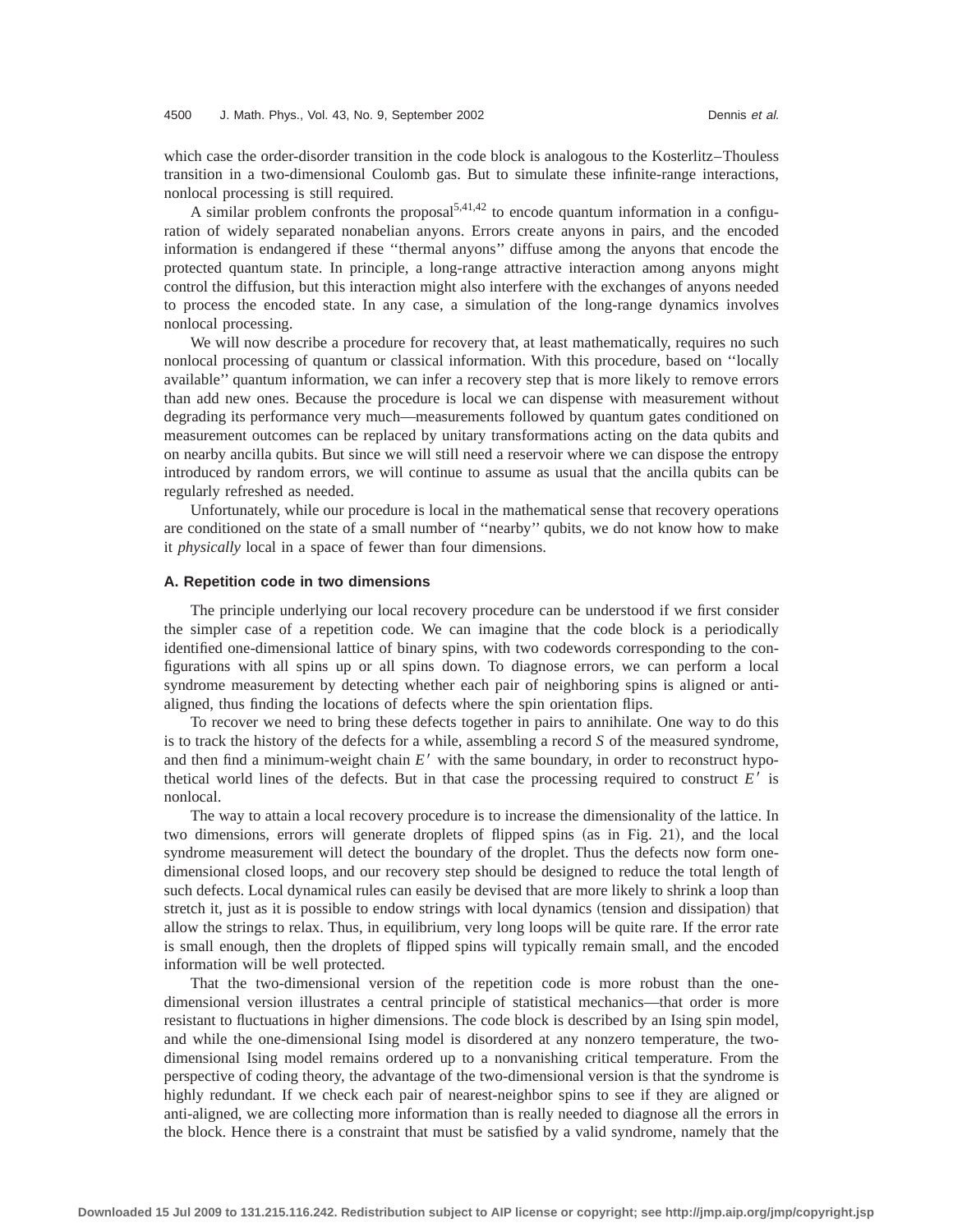which case the order-disorder transition in the code block is analogous to the Kosterlitz–Thouless transition in a two-dimensional Coulomb gas. But to simulate these infinite-range interactions, nonlocal processing is still required.

A similar problem confronts the proposal<sup>5,41,42</sup> to encode quantum information in a configuration of widely separated nonabelian anyons. Errors create anyons in pairs, and the encoded information is endangered if these ''thermal anyons'' diffuse among the anyons that encode the protected quantum state. In principle, a long-range attractive interaction among anyons might control the diffusion, but this interaction might also interfere with the exchanges of anyons needed to process the encoded state. In any case, a simulation of the long-range dynamics involves nonlocal processing.

We will now describe a procedure for recovery that, at least mathematically, requires no such nonlocal processing of quantum or classical information. With this procedure, based on ''locally available'' quantum information, we can infer a recovery step that is more likely to remove errors than add new ones. Because the procedure is local we can dispense with measurement without degrading its performance very much—measurements followed by quantum gates conditioned on measurement outcomes can be replaced by unitary transformations acting on the data qubits and on nearby ancilla qubits. But since we will still need a reservoir where we can dispose the entropy introduced by random errors, we will continue to assume as usual that the ancilla qubits can be regularly refreshed as needed.

Unfortunately, while our procedure is local in the mathematical sense that recovery operations are conditioned on the state of a small number of ''nearby'' qubits, we do not know how to make it *physically* local in a space of fewer than four dimensions.

## **A. Repetition code in two dimensions**

The principle underlying our local recovery procedure can be understood if we first consider the simpler case of a repetition code. We can imagine that the code block is a periodically identified one-dimensional lattice of binary spins, with two codewords corresponding to the configurations with all spins up or all spins down. To diagnose errors, we can perform a local syndrome measurement by detecting whether each pair of neighboring spins is aligned or antialigned, thus finding the locations of defects where the spin orientation flips.

To recover we need to bring these defects together in pairs to annihilate. One way to do this is to track the history of the defects for a while, assembling a record *S* of the measured syndrome, and then find a minimum-weight chain  $E'$  with the same boundary, in order to reconstruct hypothetical world lines of the defects. But in that case the processing required to construct  $E'$  is nonlocal.

The way to attain a local recovery procedure is to increase the dimensionality of the lattice. In two dimensions, errors will generate droplets of flipped spins (as in Fig. 21), and the local syndrome measurement will detect the boundary of the droplet. Thus the defects now form onedimensional closed loops, and our recovery step should be designed to reduce the total length of such defects. Local dynamical rules can easily be devised that are more likely to shrink a loop than stretch it, just as it is possible to endow strings with local dynamics (tension and dissipation) that allow the strings to relax. Thus, in equilibrium, very long loops will be quite rare. If the error rate is small enough, then the droplets of flipped spins will typically remain small, and the encoded information will be well protected.

That the two-dimensional version of the repetition code is more robust than the onedimensional version illustrates a central principle of statistical mechanics—that order is more resistant to fluctuations in higher dimensions. The code block is described by an Ising spin model, and while the one-dimensional Ising model is disordered at any nonzero temperature, the twodimensional Ising model remains ordered up to a nonvanishing critical temperature. From the perspective of coding theory, the advantage of the two-dimensional version is that the syndrome is highly redundant. If we check each pair of nearest-neighbor spins to see if they are aligned or anti-aligned, we are collecting more information than is really needed to diagnose all the errors in the block. Hence there is a constraint that must be satisfied by a valid syndrome, namely that the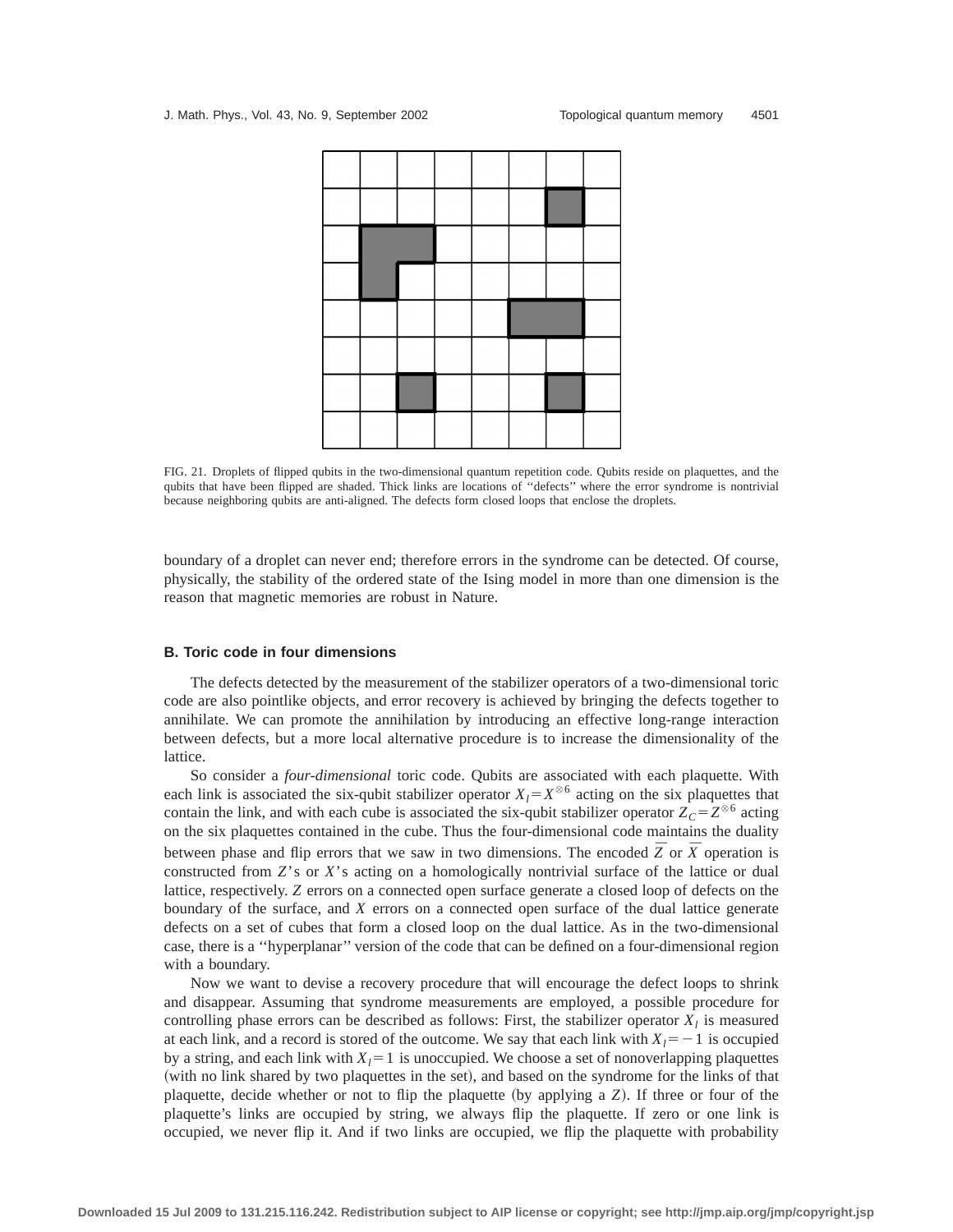

FIG. 21. Droplets of flipped qubits in the two-dimensional quantum repetition code. Qubits reside on plaquettes, and the qubits that have been flipped are shaded. Thick links are locations of ''defects'' where the error syndrome is nontrivial because neighboring qubits are anti-aligned. The defects form closed loops that enclose the droplets.

boundary of a droplet can never end; therefore errors in the syndrome can be detected. Of course, physically, the stability of the ordered state of the Ising model in more than one dimension is the reason that magnetic memories are robust in Nature.

#### **B. Toric code in four dimensions**

The defects detected by the measurement of the stabilizer operators of a two-dimensional toric code are also pointlike objects, and error recovery is achieved by bringing the defects together to annihilate. We can promote the annihilation by introducing an effective long-range interaction between defects, but a more local alternative procedure is to increase the dimensionality of the lattice.

So consider a *four-dimensional* toric code. Qubits are associated with each plaquette. With each link is associated the six-qubit stabilizer operator  $X_l = X^{\otimes 6}$  acting on the six plaquettes that contain the link, and with each cube is associated the six-qubit stabilizer operator  $Z_c = Z^{\otimes 6}$  acting on the six plaquettes contained in the cube. Thus the four-dimensional code maintains the duality between phase and flip errors that we saw in two dimensions. The encoded  $\overline{Z}$  or  $\overline{X}$  operation is constructed from *Z*'s or *X*'s acting on a homologically nontrivial surface of the lattice or dual lattice, respectively. *Z* errors on a connected open surface generate a closed loop of defects on the boundary of the surface, and *X* errors on a connected open surface of the dual lattice generate defects on a set of cubes that form a closed loop on the dual lattice. As in the two-dimensional case, there is a ''hyperplanar'' version of the code that can be defined on a four-dimensional region with a boundary.

Now we want to devise a recovery procedure that will encourage the defect loops to shrink and disappear. Assuming that syndrome measurements are employed, a possible procedure for controlling phase errors can be described as follows: First, the stabilizer operator  $X<sub>l</sub>$  is measured at each link, and a record is stored of the outcome. We say that each link with  $X<sub>l</sub> = -1$  is occupied by a string, and each link with  $X<sub>l</sub>=1$  is unoccupied. We choose a set of nonoverlapping plaquettes (with no link shared by two plaquettes in the set), and based on the syndrome for the links of that plaquette, decide whether or not to flip the plaquette (by applying a  $Z$ ). If three or four of the plaquette's links are occupied by string, we always flip the plaquette. If zero or one link is occupied, we never flip it. And if two links are occupied, we flip the plaquette with probability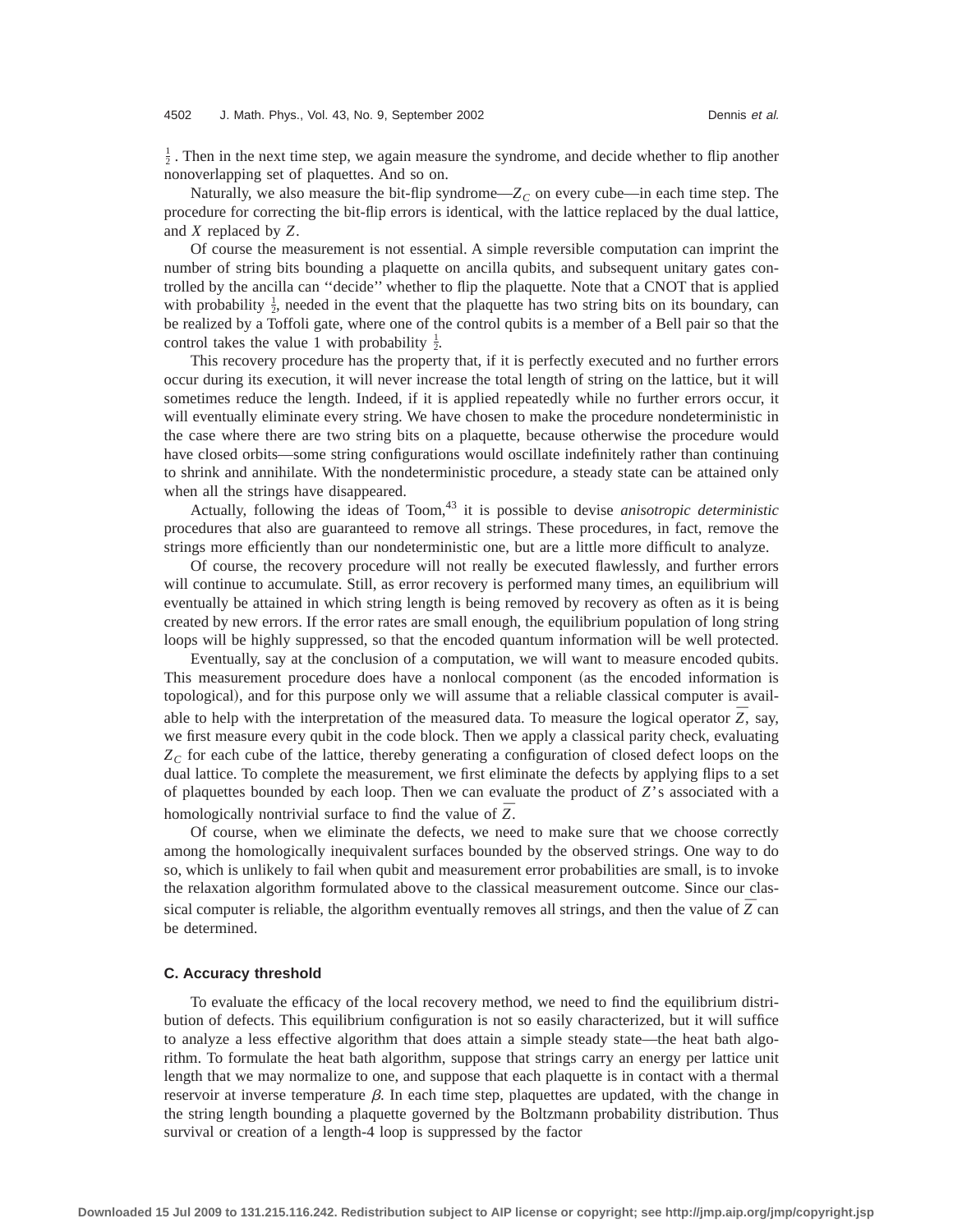$\frac{1}{2}$ . Then in the next time step, we again measure the syndrome, and decide whether to flip another nonoverlapping set of plaquettes. And so on.

Naturally, we also measure the bit-flip syndrome— $Z_C$  on every cube—in each time step. The procedure for correcting the bit-flip errors is identical, with the lattice replaced by the dual lattice, and *X* replaced by *Z*.

Of course the measurement is not essential. A simple reversible computation can imprint the number of string bits bounding a plaquette on ancilla qubits, and subsequent unitary gates controlled by the ancilla can ''decide'' whether to flip the plaquette. Note that a CNOT that is applied with probability  $\frac{1}{2}$ , needed in the event that the plaquette has two string bits on its boundary, can be realized by a Toffoli gate, where one of the control qubits is a member of a Bell pair so that the control takes the value 1 with probability  $\frac{1}{2}$ .

This recovery procedure has the property that, if it is perfectly executed and no further errors occur during its execution, it will never increase the total length of string on the lattice, but it will sometimes reduce the length. Indeed, if it is applied repeatedly while no further errors occur, it will eventually eliminate every string. We have chosen to make the procedure nondeterministic in the case where there are two string bits on a plaquette, because otherwise the procedure would have closed orbits—some string configurations would oscillate indefinitely rather than continuing to shrink and annihilate. With the nondeterministic procedure, a steady state can be attained only when all the strings have disappeared.

Actually, following the ideas of Toom,<sup>43</sup> it is possible to devise *anisotropic deterministic* procedures that also are guaranteed to remove all strings. These procedures, in fact, remove the strings more efficiently than our nondeterministic one, but are a little more difficult to analyze.

Of course, the recovery procedure will not really be executed flawlessly, and further errors will continue to accumulate. Still, as error recovery is performed many times, an equilibrium will eventually be attained in which string length is being removed by recovery as often as it is being created by new errors. If the error rates are small enough, the equilibrium population of long string loops will be highly suppressed, so that the encoded quantum information will be well protected.

Eventually, say at the conclusion of a computation, we will want to measure encoded qubits. This measurement procedure does have a nonlocal component (as the encoded information is topological), and for this purpose only we will assume that a reliable classical computer is available to help with the interpretation of the measured data. To measure the logical operator  $\overline{Z}$ , say, we first measure every qubit in the code block. Then we apply a classical parity check, evaluating  $Z_c$  for each cube of the lattice, thereby generating a configuration of closed defect loops on the dual lattice. To complete the measurement, we first eliminate the defects by applying flips to a set of plaquettes bounded by each loop. Then we can evaluate the product of *Z*'s associated with a homologically nontrivial surface to find the value of *¯ Z*.

Of course, when we eliminate the defects, we need to make sure that we choose correctly among the homologically inequivalent surfaces bounded by the observed strings. One way to do so, which is unlikely to fail when qubit and measurement error probabilities are small, is to invoke the relaxation algorithm formulated above to the classical measurement outcome. Since our classical computer is reliable, the algorithm eventually removes all strings, and then the value of  $\bar{Z}$  can be determined.

## **C. Accuracy threshold**

To evaluate the efficacy of the local recovery method, we need to find the equilibrium distribution of defects. This equilibrium configuration is not so easily characterized, but it will suffice to analyze a less effective algorithm that does attain a simple steady state—the heat bath algorithm. To formulate the heat bath algorithm, suppose that strings carry an energy per lattice unit length that we may normalize to one, and suppose that each plaquette is in contact with a thermal reservoir at inverse temperature  $\beta$ . In each time step, plaquettes are updated, with the change in the string length bounding a plaquette governed by the Boltzmann probability distribution. Thus survival or creation of a length-4 loop is suppressed by the factor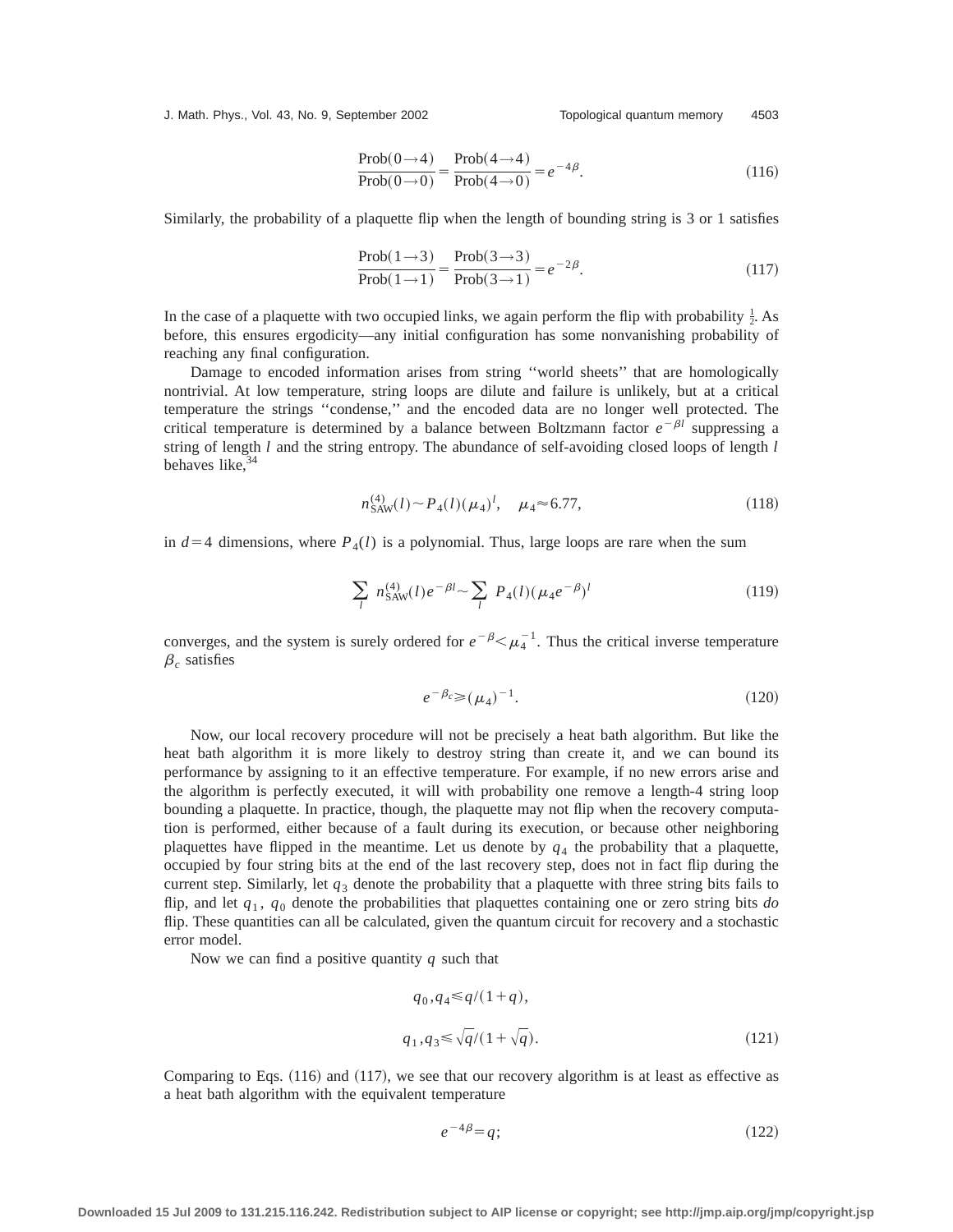J. Math. Phys., Vol. 43, No. 9, September 2002 Topological quantum memory 4503

$$
\frac{\text{Prob}(0 \to 4)}{\text{Prob}(0 \to 0)} = \frac{\text{Prob}(4 \to 4)}{\text{Prob}(4 \to 0)} = e^{-4\beta}.
$$
\n(116)

Similarly, the probability of a plaquette flip when the length of bounding string is 3 or 1 satisfies

$$
\frac{\text{Prob}(1\rightarrow 3)}{\text{Prob}(1\rightarrow 1)} = \frac{\text{Prob}(3\rightarrow 3)}{\text{Prob}(3\rightarrow 1)} = e^{-2\beta}.
$$
\n(117)

In the case of a plaquette with two occupied links, we again perform the flip with probability  $\frac{1}{2}$ . As before, this ensures ergodicity—any initial configuration has some nonvanishing probability of reaching any final configuration.

Damage to encoded information arises from string "world sheets" that are homologically nontrivial. At low temperature, string loops are dilute and failure is unlikely, but at a critical temperature the strings ''condense,'' and the encoded data are no longer well protected. The critical temperature is determined by a balance between Boltzmann factor  $e^{-\beta l}$  suppressing a string of length *l* and the string entropy. The abundance of self-avoiding closed loops of length *l* behaves like. $34$ 

$$
n_{\text{SAW}}^{(4)}(l) \sim P_4(l) (\mu_4)^l, \quad \mu_4 \approx 6.77,\tag{118}
$$

in  $d=4$  dimensions, where  $P_4(l)$  is a polynomial. Thus, large loops are rare when the sum

$$
\sum_{l} n_{SAW}^{(4)}(l) e^{-\beta l} \sim \sum_{l} P_4(l) (\mu_4 e^{-\beta})^l
$$
\n(119)

converges, and the system is surely ordered for  $e^{-\beta} \le \mu_4^{-1}$ . Thus the critical inverse temperature  $\beta_c$  satisfies

$$
e^{-\beta_c} \ge (\mu_4)^{-1}.
$$
 (120)

Now, our local recovery procedure will not be precisely a heat bath algorithm. But like the heat bath algorithm it is more likely to destroy string than create it, and we can bound its performance by assigning to it an effective temperature. For example, if no new errors arise and the algorithm is perfectly executed, it will with probability one remove a length-4 string loop bounding a plaquette. In practice, though, the plaquette may not flip when the recovery computation is performed, either because of a fault during its execution, or because other neighboring plaquettes have flipped in the meantime. Let us denote by  $q<sub>4</sub>$  the probability that a plaquette, occupied by four string bits at the end of the last recovery step, does not in fact flip during the current step. Similarly, let  $q_3$  denote the probability that a plaquette with three string bits fails to flip, and let *q*<sup>1</sup> , *q*<sup>0</sup> denote the probabilities that plaquettes containing one or zero string bits *do* flip. These quantities can all be calculated, given the quantum circuit for recovery and a stochastic error model.

Now we can find a positive quantity *q* such that

$$
q_0, q_4 \le q/(1+q),
$$
  
\n
$$
q_1, q_3 \le \sqrt{q}/(1+\sqrt{q}).
$$
\n(121)

Comparing to Eqs.  $(116)$  and  $(117)$ , we see that our recovery algorithm is at least as effective as a heat bath algorithm with the equivalent temperature

$$
e^{-4\beta} = q;
$$
\n(122)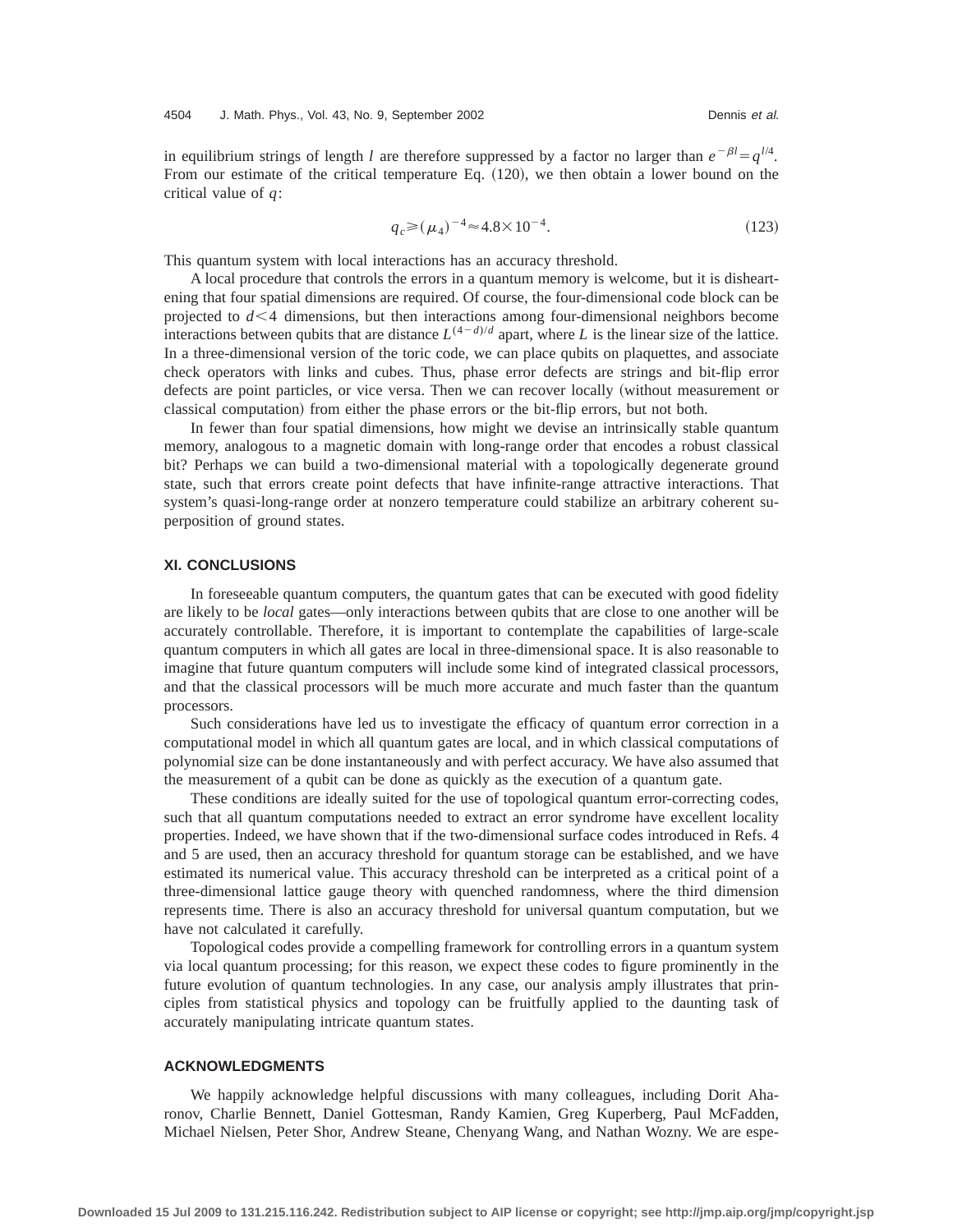in equilibrium strings of length *l* are therefore suppressed by a factor no larger than  $e^{-\beta l} = q^{l/4}$ . From our estimate of the critical temperature Eq.  $(120)$ , we then obtain a lower bound on the critical value of *q*:

$$
q_c \ge (\mu_4)^{-4} \approx 4.8 \times 10^{-4}.
$$
 (123)

This quantum system with local interactions has an accuracy threshold.

A local procedure that controls the errors in a quantum memory is welcome, but it is disheartening that four spatial dimensions are required. Of course, the four-dimensional code block can be projected to  $d < 4$  dimensions, but then interactions among four-dimensional neighbors become interactions between qubits that are distance  $L^{(4-d)/d}$  apart, where *L* is the linear size of the lattice. In a three-dimensional version of the toric code, we can place qubits on plaquettes, and associate check operators with links and cubes. Thus, phase error defects are strings and bit-flip error defects are point particles, or vice versa. Then we can recover locally (without measurement or classical computation) from either the phase errors or the bit-flip errors, but not both.

In fewer than four spatial dimensions, how might we devise an intrinsically stable quantum memory, analogous to a magnetic domain with long-range order that encodes a robust classical bit? Perhaps we can build a two-dimensional material with a topologically degenerate ground state, such that errors create point defects that have infinite-range attractive interactions. That system's quasi-long-range order at nonzero temperature could stabilize an arbitrary coherent superposition of ground states.

## **XI. CONCLUSIONS**

In foreseeable quantum computers, the quantum gates that can be executed with good fidelity are likely to be *local* gates—only interactions between qubits that are close to one another will be accurately controllable. Therefore, it is important to contemplate the capabilities of large-scale quantum computers in which all gates are local in three-dimensional space. It is also reasonable to imagine that future quantum computers will include some kind of integrated classical processors, and that the classical processors will be much more accurate and much faster than the quantum processors.

Such considerations have led us to investigate the efficacy of quantum error correction in a computational model in which all quantum gates are local, and in which classical computations of polynomial size can be done instantaneously and with perfect accuracy. We have also assumed that the measurement of a qubit can be done as quickly as the execution of a quantum gate.

These conditions are ideally suited for the use of topological quantum error-correcting codes, such that all quantum computations needed to extract an error syndrome have excellent locality properties. Indeed, we have shown that if the two-dimensional surface codes introduced in Refs. 4 and 5 are used, then an accuracy threshold for quantum storage can be established, and we have estimated its numerical value. This accuracy threshold can be interpreted as a critical point of a three-dimensional lattice gauge theory with quenched randomness, where the third dimension represents time. There is also an accuracy threshold for universal quantum computation, but we have not calculated it carefully.

Topological codes provide a compelling framework for controlling errors in a quantum system via local quantum processing; for this reason, we expect these codes to figure prominently in the future evolution of quantum technologies. In any case, our analysis amply illustrates that principles from statistical physics and topology can be fruitfully applied to the daunting task of accurately manipulating intricate quantum states.

## **ACKNOWLEDGMENTS**

We happily acknowledge helpful discussions with many colleagues, including Dorit Aharonov, Charlie Bennett, Daniel Gottesman, Randy Kamien, Greg Kuperberg, Paul McFadden, Michael Nielsen, Peter Shor, Andrew Steane, Chenyang Wang, and Nathan Wozny. We are espe